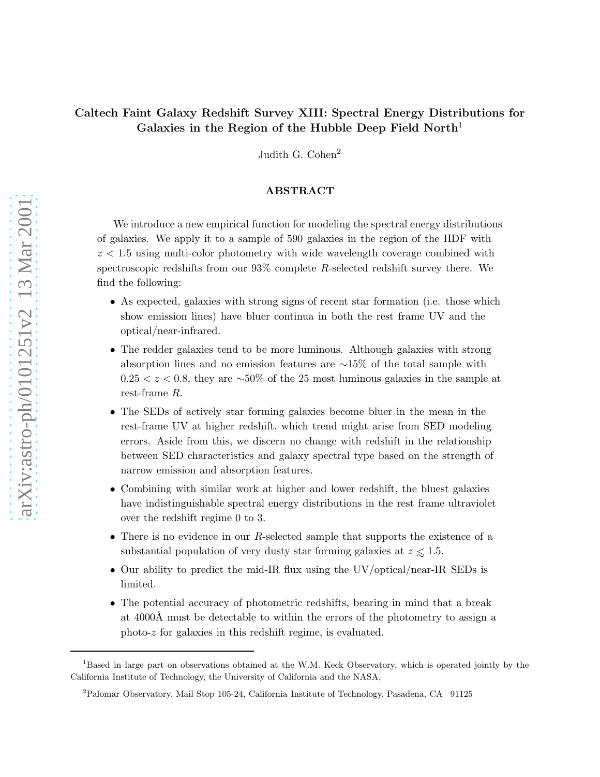# Caltech Faint Galaxy Redshift Survey XIII: Spectral Energy Distributions for Galaxies in the Region of the Hubble Deep Field North<sup>1</sup>

Judith G. Cohen<sup>2</sup>

# ABSTRACT

We introduce a new empirical function for modeling the spectral energy distributions of galaxies. We apply it to a sample of 590 galaxies in the region of the HDF with  $z < 1.5$  using multi-color photometry with wide wavelength coverage combined with spectroscopic redshifts from our  $93\%$  complete R-selected redshift survey there. We find the following:

- As expected, galaxies with strong signs of recent star formation (i.e. those which show emission lines) have bluer continua in both the rest frame UV and the optical/near-infrared.
- The redder galaxies tend to be more luminous. Although galaxies with strong absorption lines and no emission features are ∼15% of the total sample with  $0.25 < z < 0.8$ , they are ∼50% of the 25 most luminous galaxies in the sample at rest-frame R.
- The SEDs of actively star forming galaxies become bluer in the mean in the rest-frame UV at higher redshift, which trend might arise from SED modeling errors. Aside from this, we discern no change with redshift in the relationship between SED characteristics and galaxy spectral type based on the strength of narrow emission and absorption features.
- Combining with similar work at higher and lower redshift, the bluest galaxies have indistinguishable spectral energy distributions in the rest frame ultraviolet over the redshift regime 0 to 3.
- There is no evidence in our R-selected sample that supports the existence of a substantial population of very dusty star forming galaxies at  $z \leq 1.5$ .
- Our ability to predict the mid-IR flux using the UV/optical/near-IR SEDs is limited.
- The potential accuracy of photometric redshifts, bearing in mind that a break at 4000Å must be detectable to within the errors of the photometry to assign a photo-z for galaxies in this redshift regime, is evaluated.

<sup>1</sup>Based in large part on observations obtained at the W.M. Keck Observatory, which is operated jointly by the California Institute of Technology, the University of California and the NASA,

<sup>2</sup>Palomar Observatory, Mail Stop 105-24, California Institute of Technology, Pasadena, CA 91125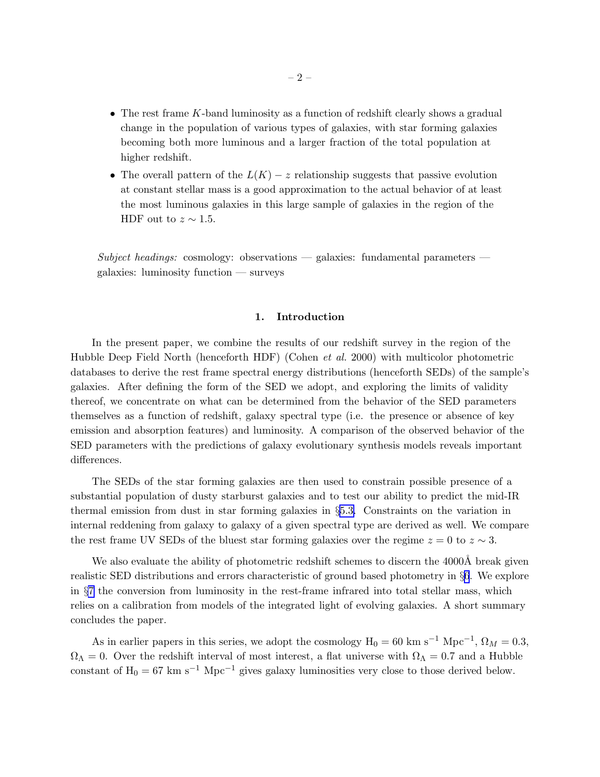- <span id="page-1-0"></span>• The rest frame  $K$ -band luminosity as a function of redshift clearly shows a gradual change in the population of various types of galaxies, with star forming galaxies becoming both more luminous and a larger fraction of the total population at higher redshift.
- The overall pattern of the  $L(K) z$  relationship suggests that passive evolution at constant stellar mass is a good approximation to the actual behavior of at least the most luminous galaxies in this large sample of galaxies in the region of the HDF out to  $z \sim 1.5$ .

*Subject headings:* cosmology: observations — galaxies: fundamental parameters galaxies: luminosity function — surveys

# 1. Introduction

In the present paper, we combine the results of our redshift survey in the region of the Hubble Deep Field North (henceforth HDF) (Cohen *et al.* 2000) with multicolor photometric databases to derive the rest frame spectral energy distributions (henceforth SEDs) of the sample's galaxies. After defining the form of the SED we adopt, and exploring the limits of validity thereof, we concentrate on what can be determined from the behavior of the SED parameters themselves as a function of redshift, galaxy spectral type (i.e. the presence or absence of key emission and absorption features) and luminosity. A comparison of the observed behavior of the SED parameters with the predictions of galaxy evolutionary synthesis models reveals important differences.

The SEDs of the star forming galaxies are then used to constrain possible presence of a substantial population of dusty starburst galaxies and to test our ability to predict the mid-IR thermal emission from dust in star forming galaxies in §[5.3.](#page-16-0) Constraints on the variation in internal reddening from galaxy to galaxy of a given spectral type are derived as well. We compare the rest frame UV SEDs of the bluest star forming galaxies over the regime  $z = 0$  to  $z \sim 3$ .

We also evaluate the ability of photometric redshift schemes to discern the 4000Å break given realistic SED distributions and errors characteristic of ground based photometry in §[6](#page-17-0). We explore in §[7](#page-19-0) the conversion from luminosity in the rest-frame infrared into total stellar mass, which relies on a calibration from models of the integrated light of evolving galaxies. A short summary concludes the paper.

As in earlier papers in this series, we adopt the cosmology  $H_0 = 60 \text{ km s}^{-1} \text{ Mpc}^{-1}$ ,  $\Omega_M = 0.3$ ,  $\Omega_{\Lambda} = 0$ . Over the redshift interval of most interest, a flat universe with  $\Omega_{\Lambda} = 0.7$  and a Hubble constant of H<sub>0</sub> = 67 km s<sup>-1</sup> Mpc<sup>-1</sup> gives galaxy luminosities very close to those derived below.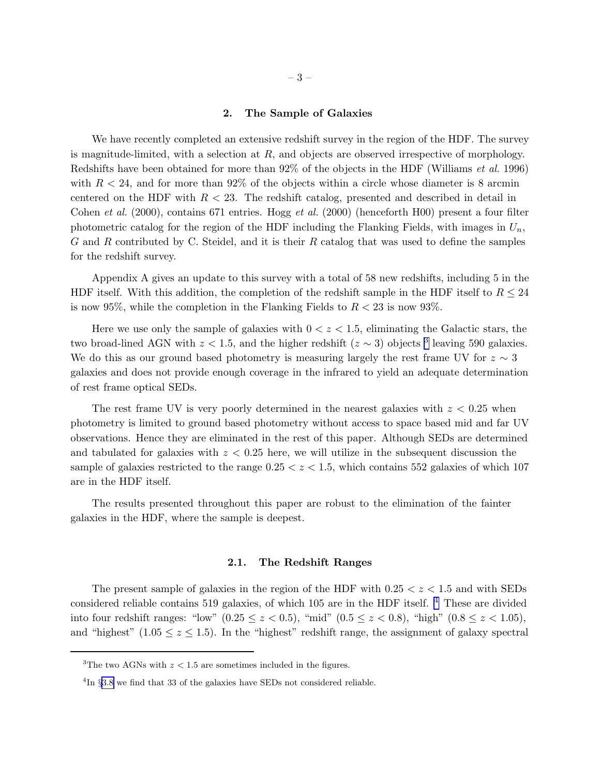## 2. The Sample of Galaxies

We have recently completed an extensive redshift survey in the region of the HDF. The survey is magnitude-limited, with a selection at  $R$ , and objects are observed irrespective of morphology. Redshifts have been obtained for more than 92% of the objects in the HDF (Williams *et al.* 1996) with  $R < 24$ , and for more than 92% of the objects within a circle whose diameter is 8 arcmin centered on the HDF with  $R < 23$ . The redshift catalog, presented and described in detail in Cohen *et al.* (2000), contains 671 entries. Hogg *et al.* (2000) (henceforth H00) present a four filter photometric catalog for the region of the HDF including the Flanking Fields, with images in  $U_n$ , G and R contributed by C. Steidel, and it is their R catalog that was used to define the samples for the redshift survey.

Appendix A gives an update to this survey with a total of 58 new redshifts, including 5 in the HDF itself. With this addition, the completion of the redshift sample in the HDF itself to  $R \leq 24$ is now 95%, while the completion in the Flanking Fields to  $R < 23$  is now 93%.

Here we use only the sample of galaxies with  $0 < z < 1.5$ , eliminating the Galactic stars, the two broad-lined AGN with  $z < 1.5$ , and the higher redshift  $(z \sim 3)$  objects <sup>3</sup> leaving 590 galaxies. We do this as our ground based photometry is measuring largely the rest frame UV for  $z \sim 3$ galaxies and does not provide enough coverage in the infrared to yield an adequate determination of rest frame optical SEDs.

The rest frame UV is very poorly determined in the nearest galaxies with  $z < 0.25$  when photometry is limited to ground based photometry without access to space based mid and far UV observations. Hence they are eliminated in the rest of this paper. Although SEDs are determined and tabulated for galaxies with  $z < 0.25$  here, we will utilize in the subsequent discussion the sample of galaxies restricted to the range  $0.25 < z < 1.5$ , which contains 552 galaxies of which 107 are in the HDF itself.

The results presented throughout this paper are robust to the elimination of the fainter galaxies in the HDF, where the sample is deepest.

#### 2.1. The Redshift Ranges

The present sample of galaxies in the region of the HDF with  $0.25 < z < 1.5$  and with SEDs considered reliable contains 519 galaxies, of which 105 are in the HDF itself. <sup>4</sup> These are divided into four redshift ranges: "low"  $(0.25 \le z < 0.5)$ , "mid"  $(0.5 \le z < 0.8)$ , "high"  $(0.8 \le z < 1.05)$ , and "highest" (1.05  $\leq z \leq 1.5$ ). In the "highest" redshift range, the assignment of galaxy spectral

<sup>&</sup>lt;sup>3</sup>The two AGNs with  $z < 1.5$  are sometimes included in the figures.

 ${}^{4}\text{In }$  §[3.8](#page-9-0) we find that 33 of the galaxies have SEDs not considered reliable.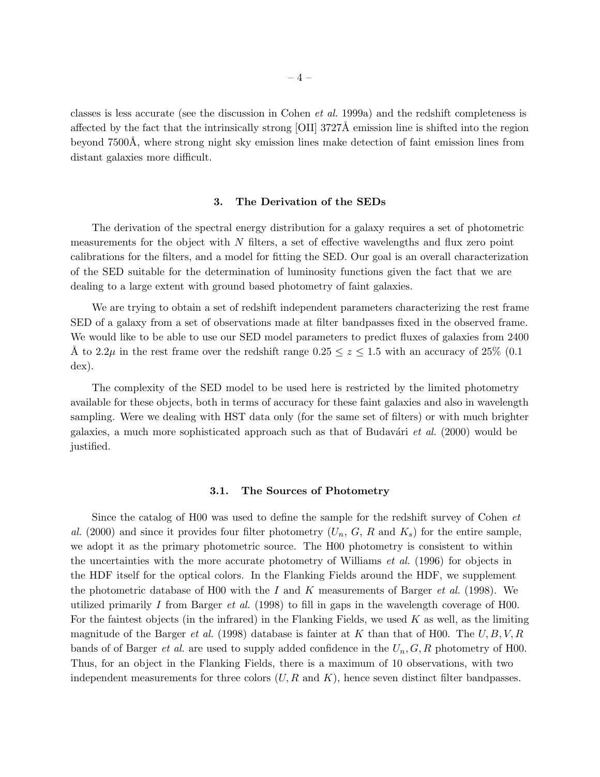classes is less accurate (see the discussion in Cohen *et al.* 1999a) and the redshift completeness is affected by the fact that the intrinsically strong [OII] 3727Å emission line is shifted into the region beyond 7500Å, where strong night sky emission lines make detection of faint emission lines from distant galaxies more difficult.

### 3. The Derivation of the SEDs

The derivation of the spectral energy distribution for a galaxy requires a set of photometric measurements for the object with  $N$  filters, a set of effective wavelengths and flux zero point calibrations for the filters, and a model for fitting the SED. Our goal is an overall characterization of the SED suitable for the determination of luminosity functions given the fact that we are dealing to a large extent with ground based photometry of faint galaxies.

We are trying to obtain a set of redshift independent parameters characterizing the rest frame SED of a galaxy from a set of observations made at filter bandpasses fixed in the observed frame. We would like to be able to use our SED model parameters to predict fluxes of galaxies from 2400 A to 2.2 $\mu$  in the rest frame over the redshift range  $0.25 \le z \le 1.5$  with an accuracy of 25% (0.1) dex).

The complexity of the SED model to be used here is restricted by the limited photometry available for these objects, both in terms of accuracy for these faint galaxies and also in wavelength sampling. Were we dealing with HST data only (for the same set of filters) or with much brighter galaxies, a much more sophisticated approach such as that of Budavári *et al.* (2000) would be justified.

#### 3.1. The Sources of Photometry

Since the catalog of H00 was used to define the sample for the redshift survey of Cohen *et* al. (2000) and since it provides four filter photometry  $(U_n, G, R$  and  $K_s)$  for the entire sample, we adopt it as the primary photometric source. The H00 photometry is consistent to within the uncertainties with the more accurate photometry of Williams *et al.* (1996) for objects in the HDF itself for the optical colors. In the Flanking Fields around the HDF, we supplement the photometric database of H00 with the I and K measurements of Barger *et al.* (1998). We utilized primarily I from Barger *et al.* (1998) to fill in gaps in the wavelength coverage of H00. For the faintest objects (in the infrared) in the Flanking Fields, we used  $K$  as well, as the limiting magnitude of the Barger *et al.* (1998) database is fainter at K than that of H00. The  $U, B, V, R$ bands of of Barger *et al.* are used to supply added confidence in the  $U_n, G, R$  photometry of H00. Thus, for an object in the Flanking Fields, there is a maximum of 10 observations, with two independent measurements for three colors  $(U, R \text{ and } K)$ , hence seven distinct filter bandpasses.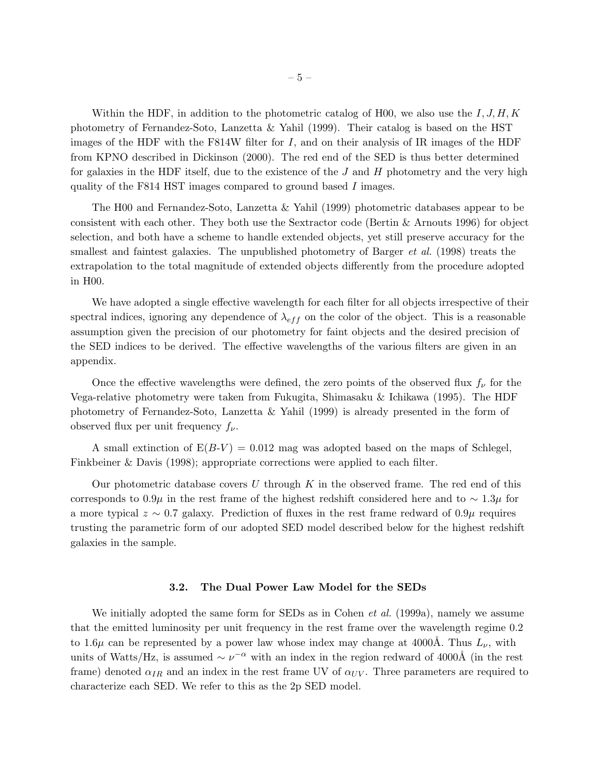Within the HDF, in addition to the photometric catalog of H00, we also use the  $I, J, H, K$ photometry of Fernandez-Soto, Lanzetta & Yahil (1999). Their catalog is based on the HST images of the HDF with the F814W filter for  $I$ , and on their analysis of IR images of the HDF from KPNO described in Dickinson (2000). The red end of the SED is thus better determined for galaxies in the HDF itself, due to the existence of the  $J$  and  $H$  photometry and the very high quality of the F814 HST images compared to ground based I images.

The H00 and Fernandez-Soto, Lanzetta & Yahil (1999) photometric databases appear to be consistent with each other. They both use the Sextractor code (Bertin & Arnouts 1996) for object selection, and both have a scheme to handle extended objects, yet still preserve accuracy for the smallest and faintest galaxies. The unpublished photometry of Barger *et al.* (1998) treats the extrapolation to the total magnitude of extended objects differently from the procedure adopted in H00.

We have adopted a single effective wavelength for each filter for all objects irrespective of their spectral indices, ignoring any dependence of  $\lambda_{eff}$  on the color of the object. This is a reasonable assumption given the precision of our photometry for faint objects and the desired precision of the SED indices to be derived. The effective wavelengths of the various filters are given in an appendix.

Once the effective wavelengths were defined, the zero points of the observed flux  $f_{\nu}$  for the Vega-relative photometry were taken from Fukugita, Shimasaku & Ichikawa (1995). The HDF photometry of Fernandez-Soto, Lanzetta & Yahil (1999) is already presented in the form of observed flux per unit frequency  $f_{\nu}$ .

A small extinction of  $E(B-V) = 0.012$  mag was adopted based on the maps of Schlegel, Finkbeiner & Davis (1998); appropriate corrections were applied to each filter.

Our photometric database covers  $U$  through  $K$  in the observed frame. The red end of this corresponds to 0.9µ in the rest frame of the highest redshift considered here and to  $\sim 1.3\mu$  for a more typical  $z \sim 0.7$  galaxy. Prediction of fluxes in the rest frame redward of  $0.9\mu$  requires trusting the parametric form of our adopted SED model described below for the highest redshift galaxies in the sample.

#### 3.2. The Dual Power Law Model for the SEDs

We initially adopted the same form for SEDs as in Cohen *et al.* (1999a), namely we assume that the emitted luminosity per unit frequency in the rest frame over the wavelength regime 0.2 to 1.6 $\mu$  can be represented by a power law whose index may change at 4000Å. Thus  $L_{\nu}$ , with units of Watts/Hz, is assumed  $\sim \nu^{-\alpha}$  with an index in the region redward of 4000Å (in the rest frame) denoted  $\alpha_{IR}$  and an index in the rest frame UV of  $\alpha_{UV}$ . Three parameters are required to characterize each SED. We refer to this as the 2p SED model.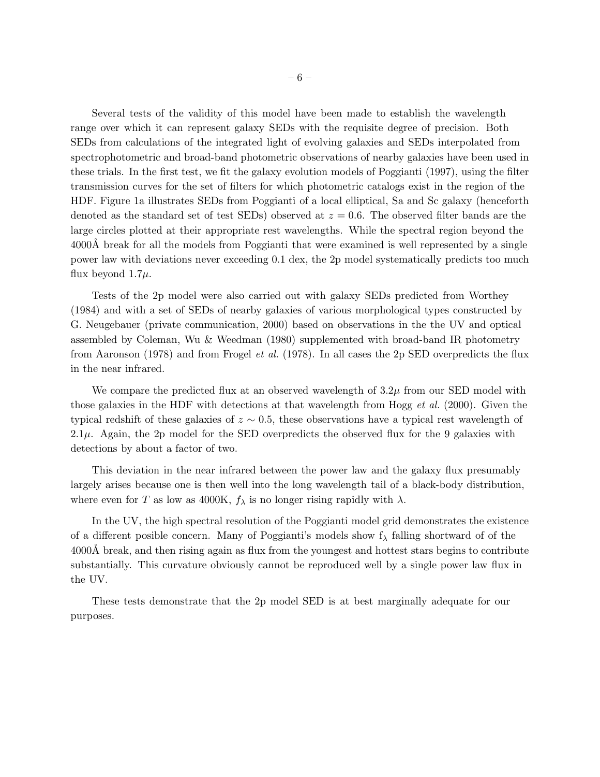Several tests of the validity of this model have been made to establish the wavelength range over which it can represent galaxy SEDs with the requisite degree of precision. Both SEDs from calculations of the integrated light of evolving galaxies and SEDs interpolated from spectrophotometric and broad-band photometric observations of nearby galaxies have been used in these trials. In the first test, we fit the galaxy evolution models of Poggianti (1997), using the filter transmission curves for the set of filters for which photometric catalogs exist in the region of the HDF. Figure 1a illustrates SEDs from Poggianti of a local elliptical, Sa and Sc galaxy (henceforth denoted as the standard set of test SEDs) observed at  $z = 0.6$ . The observed filter bands are the large circles plotted at their appropriate rest wavelengths. While the spectral region beyond the 4000Å break for all the models from Poggianti that were examined is well represented by a single power law with deviations never exceeding 0.1 dex, the 2p model systematically predicts too much flux beyond  $1.7\mu$ .

Tests of the 2p model were also carried out with galaxy SEDs predicted from Worthey (1984) and with a set of SEDs of nearby galaxies of various morphological types constructed by G. Neugebauer (private communication, 2000) based on observations in the the UV and optical assembled by Coleman, Wu & Weedman (1980) supplemented with broad-band IR photometry from Aaronson (1978) and from Frogel *et al.* (1978). In all cases the 2p SED overpredicts the flux in the near infrared.

We compare the predicted flux at an observed wavelength of  $3.2\mu$  from our SED model with those galaxies in the HDF with detections at that wavelength from Hogg *et al.* (2000). Given the typical redshift of these galaxies of  $z \sim 0.5$ , these observations have a typical rest wavelength of 2.1 $\mu$ . Again, the 2p model for the SED overpredicts the observed flux for the 9 galaxies with detections by about a factor of two.

This deviation in the near infrared between the power law and the galaxy flux presumably largely arises because one is then well into the long wavelength tail of a black-body distribution, where even for T as low as 4000K,  $f_{\lambda}$  is no longer rising rapidly with  $\lambda$ .

In the UV, the high spectral resolution of the Poggianti model grid demonstrates the existence of a different posible concern. Many of Poggianti's models show  $f_{\lambda}$  falling shortward of of the 4000Å break, and then rising again as flux from the youngest and hottest stars begins to contribute substantially. This curvature obviously cannot be reproduced well by a single power law flux in the UV.

These tests demonstrate that the 2p model SED is at best marginally adequate for our purposes.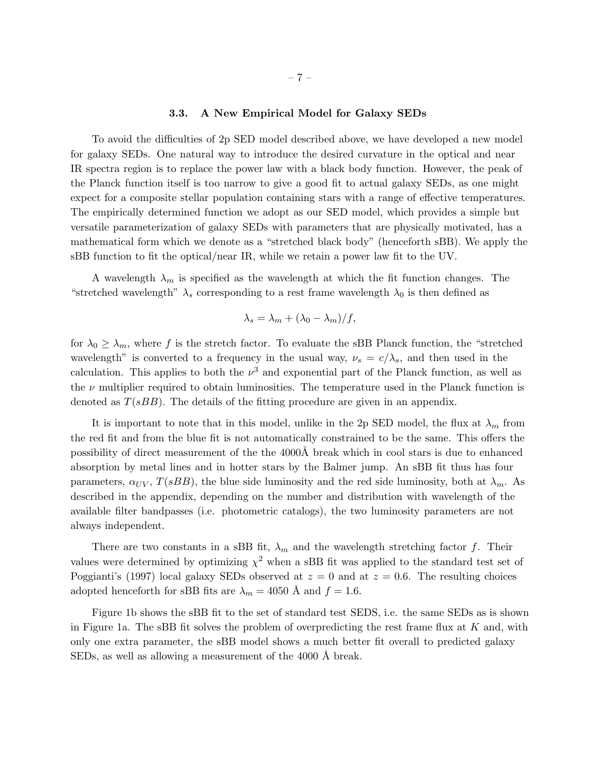# – 7 –

# 3.3. A New Empirical Model for Galaxy SEDs

To avoid the difficulties of 2p SED model described above, we have developed a new model for galaxy SEDs. One natural way to introduce the desired curvature in the optical and near IR spectra region is to replace the power law with a black body function. However, the peak of the Planck function itself is too narrow to give a good fit to actual galaxy SEDs, as one might expect for a composite stellar population containing stars with a range of effective temperatures. The empirically determined function we adopt as our SED model, which provides a simple but versatile parameterization of galaxy SEDs with parameters that are physically motivated, has a mathematical form which we denote as a "stretched black body" (henceforth sBB). We apply the sBB function to fit the optical/near IR, while we retain a power law fit to the UV.

A wavelength  $\lambda_m$  is specified as the wavelength at which the fit function changes. The "stretched wavelength"  $\lambda_s$  corresponding to a rest frame wavelength  $\lambda_0$  is then defined as

$$
\lambda_s = \lambda_m + (\lambda_0 - \lambda_m)/f,
$$

for  $\lambda_0 \geq \lambda_m$ , where f is the stretch factor. To evaluate the sBB Planck function, the "stretched" wavelength" is converted to a frequency in the usual way,  $\nu_s = c/\lambda_s$ , and then used in the calculation. This applies to both the  $\nu^3$  and exponential part of the Planck function, as well as the  $\nu$  multiplier required to obtain luminosities. The temperature used in the Planck function is denoted as  $T(sBB)$ . The details of the fitting procedure are given in an appendix.

It is important to note that in this model, unlike in the 2p SED model, the flux at  $\lambda_m$  from the red fit and from the blue fit is not automatically constrained to be the same. This offers the possibility of direct measurement of the the 4000Å break which in cool stars is due to enhanced absorption by metal lines and in hotter stars by the Balmer jump. An sBB fit thus has four parameters,  $\alpha_{UV}$ ,  $T(sBB)$ , the blue side luminosity and the red side luminosity, both at  $\lambda_m$ . As described in the appendix, depending on the number and distribution with wavelength of the available filter bandpasses (i.e. photometric catalogs), the two luminosity parameters are not always independent.

There are two constants in a sBB fit,  $\lambda_m$  and the wavelength stretching factor f. Their values were determined by optimizing  $\chi^2$  when a sBB fit was applied to the standard test set of Poggianti's (1997) local galaxy SEDs observed at  $z = 0$  and at  $z = 0.6$ . The resulting choices adopted henceforth for sBB fits are  $\lambda_m = 4050$  Å and  $f = 1.6$ .

Figure 1b shows the sBB fit to the set of standard test SEDS, i.e. the same SEDs as is shown in Figure 1a. The sBB fit solves the problem of overpredicting the rest frame flux at  $K$  and, with only one extra parameter, the sBB model shows a much better fit overall to predicted galaxy SEDs, as well as allowing a measurement of the 4000 Å break.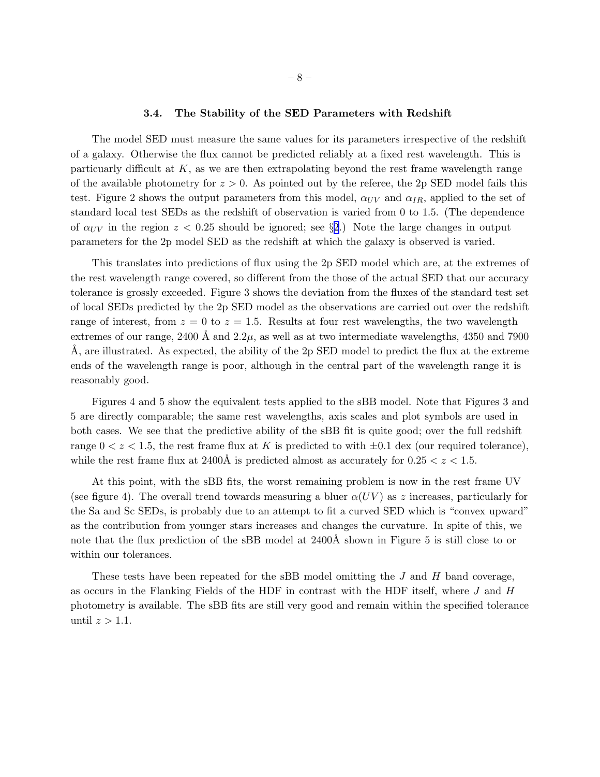#### 3.4. The Stability of the SED Parameters with Redshift

The model SED must measure the same values for its parameters irrespective of the redshift of a galaxy. Otherwise the flux cannot be predicted reliably at a fixed rest wavelength. This is particuarly difficult at  $K$ , as we are then extrapolating beyond the rest frame wavelength range of the available photometry for  $z > 0$ . As pointed out by the referee, the 2p SED model fails this test. Figure 2 shows the output parameters from this model,  $\alpha_{UV}$  and  $\alpha_{IR}$ , applied to the set of standard local test SEDs as the redshift of observation is varied from 0 to 1.5. (The dependence of  $\alpha_{UV}$  in the region  $z < 0.25$  $z < 0.25$  $z < 0.25$  should be ignored; see §2.) Note the large changes in output parameters for the 2p model SED as the redshift at which the galaxy is observed is varied.

This translates into predictions of flux using the 2p SED model which are, at the extremes of the rest wavelength range covered, so different from the those of the actual SED that our accuracy tolerance is grossly exceeded. Figure 3 shows the deviation from the fluxes of the standard test set of local SEDs predicted by the 2p SED model as the observations are carried out over the redshift range of interest, from  $z = 0$  to  $z = 1.5$ . Results at four rest wavelengths, the two wavelength extremes of our range, 2400 Å and  $2.2\mu$ , as well as at two intermediate wavelengths, 4350 and 7900  $\AA$ , are illustrated. As expected, the ability of the 2p SED model to predict the flux at the extreme ends of the wavelength range is poor, although in the central part of the wavelength range it is reasonably good.

Figures 4 and 5 show the equivalent tests applied to the sBB model. Note that Figures 3 and 5 are directly comparable; the same rest wavelengths, axis scales and plot symbols are used in both cases. We see that the predictive ability of the sBB fit is quite good; over the full redshift range  $0 < z < 1.5$ , the rest frame flux at K is predicted to with  $\pm 0.1$  dex (our required tolerance), while the rest frame flux at 2400Å is predicted almost as accurately for  $0.25 < z < 1.5$ .

At this point, with the sBB fits, the worst remaining problem is now in the rest frame UV (see figure 4). The overall trend towards measuring a bluer  $\alpha(UV)$  as z increases, particularly for the Sa and Sc SEDs, is probably due to an attempt to fit a curved SED which is "convex upward" as the contribution from younger stars increases and changes the curvature. In spite of this, we note that the flux prediction of the sBB model at 2400Å shown in Figure 5 is still close to or within our tolerances.

These tests have been repeated for the sBB model omitting the  $J$  and  $H$  band coverage, as occurs in the Flanking Fields of the HDF in contrast with the HDF itself, where  $J$  and  $H$ photometry is available. The sBB fits are still very good and remain within the specified tolerance until  $z > 1.1$ .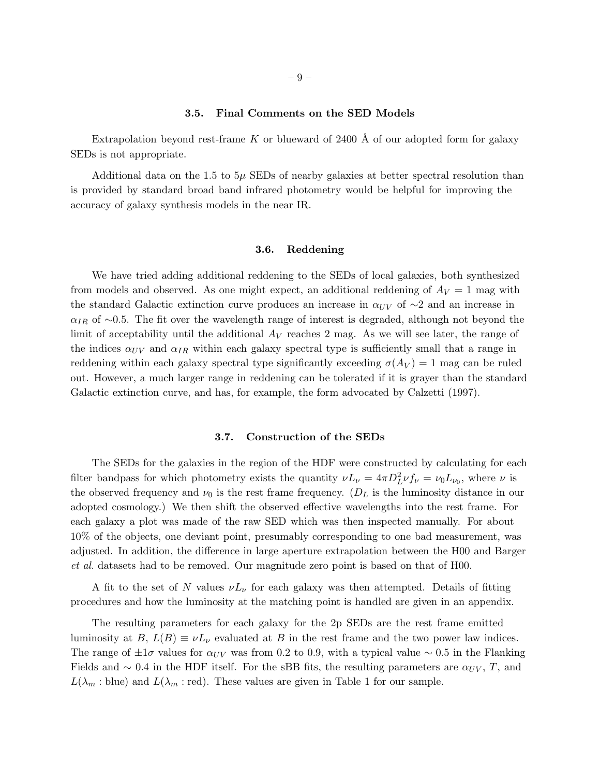## 3.5. Final Comments on the SED Models

Extrapolation beyond rest-frame K or blueward of 2400  $\AA$  of our adopted form for galaxy SEDs is not appropriate.

Additional data on the 1.5 to  $5\mu$  SEDs of nearby galaxies at better spectral resolution than is provided by standard broad band infrared photometry would be helpful for improving the accuracy of galaxy synthesis models in the near IR.

# 3.6. Reddening

We have tried adding additional reddening to the SEDs of local galaxies, both synthesized from models and observed. As one might expect, an additional reddening of  $A_V = 1$  mag with the standard Galactic extinction curve produces an increase in  $\alpha_{UV}$  of ∼2 and an increase in  $\alpha_{IR}$  of ∼0.5. The fit over the wavelength range of interest is degraded, although not beyond the limit of acceptability until the additional  $A_V$  reaches 2 mag. As we will see later, the range of the indices  $\alpha_{UV}$  and  $\alpha_{IR}$  within each galaxy spectral type is sufficiently small that a range in reddening within each galaxy spectral type significantly exceeding  $\sigma(A_V) = 1$  mag can be ruled out. However, a much larger range in reddening can be tolerated if it is grayer than the standard Galactic extinction curve, and has, for example, the form advocated by Calzetti (1997).

#### 3.7. Construction of the SEDs

The SEDs for the galaxies in the region of the HDF were constructed by calculating for each filter bandpass for which photometry exists the quantity  $\nu L_{\nu} = 4\pi D_L^2 \nu f_{\nu} = \nu_0 L_{\nu_0}$ , where  $\nu$  is the observed frequency and  $\nu_0$  is the rest frame frequency. ( $D<sub>L</sub>$  is the luminosity distance in our adopted cosmology.) We then shift the observed effective wavelengths into the rest frame. For each galaxy a plot was made of the raw SED which was then inspected manually. For about 10% of the objects, one deviant point, presumably corresponding to one bad measurement, was adjusted. In addition, the difference in large aperture extrapolation between the H00 and Barger *et al.* datasets had to be removed. Our magnitude zero point is based on that of H00.

A fit to the set of N values  $\nu L_{\nu}$  for each galaxy was then attempted. Details of fitting procedures and how the luminosity at the matching point is handled are given in an appendix.

The resulting parameters for each galaxy for the 2p SEDs are the rest frame emitted luminosity at  $B, L(B) \equiv \nu L_{\nu}$  evaluated at B in the rest frame and the two power law indices. The range of  $\pm 1\sigma$  values for  $\alpha_{UV}$  was from 0.2 to 0.9, with a typical value ~ 0.5 in the Flanking Fields and  $\sim 0.4$  in the HDF itself. For the sBB fits, the resulting parameters are  $\alpha_{UV}$ , T, and  $L(\lambda_m : \text{blue})$  and  $L(\lambda_m : \text{red})$ . These values are given in Table 1 for our sample.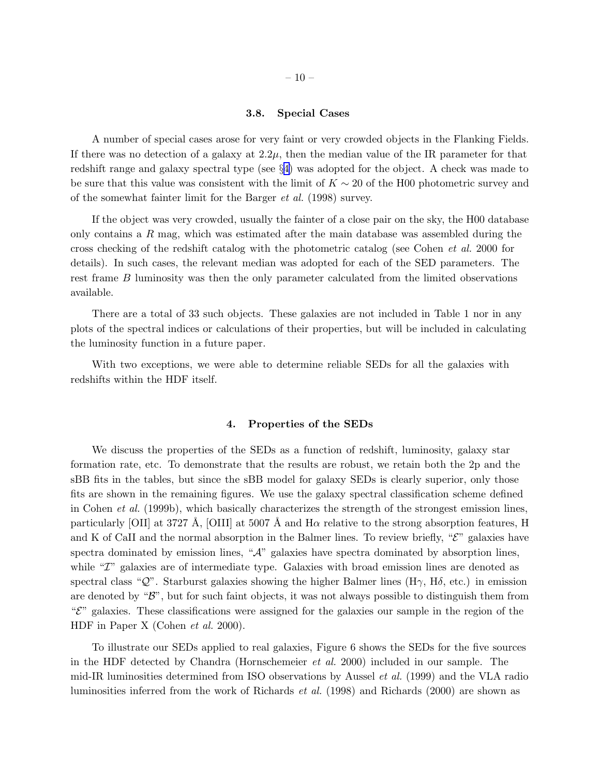## 3.8. Special Cases

<span id="page-9-0"></span>A number of special cases arose for very faint or very crowded objects in the Flanking Fields. If there was no detection of a galaxy at  $2.2\mu$ , then the median value of the IR parameter for that redshift range and galaxy spectral type (see §4) was adopted for the object. A check was made to be sure that this value was consistent with the limit of  $K \sim 20$  of the H00 photometric survey and of the somewhat fainter limit for the Barger *et al.* (1998) survey.

If the object was very crowded, usually the fainter of a close pair on the sky, the H00 database only contains a R mag, which was estimated after the main database was assembled during the cross checking of the redshift catalog with the photometric catalog (see Cohen *et al.* 2000 for details). In such cases, the relevant median was adopted for each of the SED parameters. The rest frame B luminosity was then the only parameter calculated from the limited observations available.

There are a total of 33 such objects. These galaxies are not included in Table 1 nor in any plots of the spectral indices or calculations of their properties, but will be included in calculating the luminosity function in a future paper.

With two exceptions, we were able to determine reliable SEDs for all the galaxies with redshifts within the HDF itself.

## 4. Properties of the SEDs

We discuss the properties of the SEDs as a function of redshift, luminosity, galaxy star formation rate, etc. To demonstrate that the results are robust, we retain both the 2p and the sBB fits in the tables, but since the sBB model for galaxy SEDs is clearly superior, only those fits are shown in the remaining figures. We use the galaxy spectral classification scheme defined in Cohen *et al.* (1999b), which basically characterizes the strength of the strongest emission lines, particularly [OII] at 3727 Å, [OIII] at 5007 Å and  $H\alpha$  relative to the strong absorption features, H and K of CaII and the normal absorption in the Balmer lines. To review briefly, " $\mathcal{E}$ " galaxies have spectra dominated by emission lines, " $A$ " galaxies have spectra dominated by absorption lines, while "*T*" galaxies are of intermediate type. Galaxies with broad emission lines are denoted as spectral class "Q". Starburst galaxies showing the higher Balmer lines (H $\gamma$ , H $\delta$ , etc.) in emission are denoted by " $\mathcal{B}$ ", but for such faint objects, it was not always possible to distinguish them from  $\mathscr{C}$ " galaxies. These classifications were assigned for the galaxies our sample in the region of the HDF in Paper X (Cohen *et al.* 2000).

To illustrate our SEDs applied to real galaxies, Figure 6 shows the SEDs for the five sources in the HDF detected by Chandra (Hornschemeier *et al.* 2000) included in our sample. The mid-IR luminosities determined from ISO observations by Aussel *et al.* (1999) and the VLA radio luminosities inferred from the work of Richards *et al.* (1998) and Richards (2000) are shown as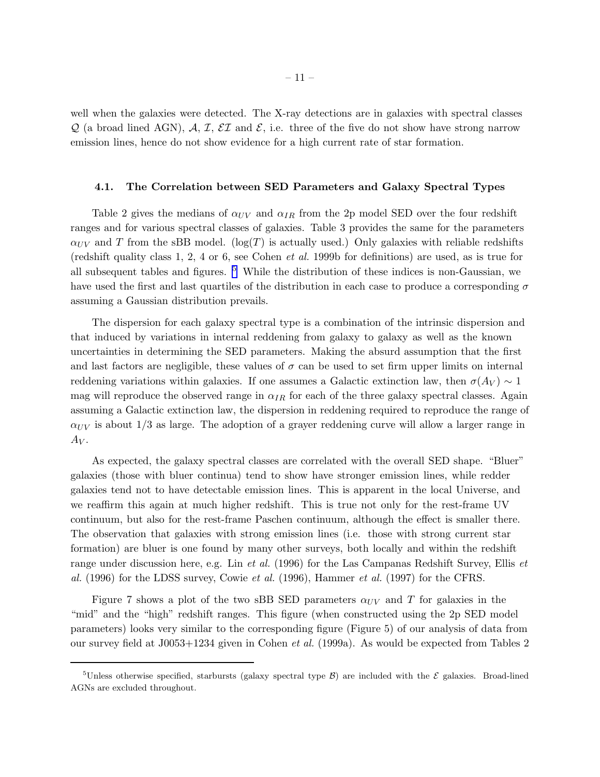well when the galaxies were detected. The X-ray detections are in galaxies with spectral classes  $\mathcal{Q}$  (a broad lined AGN),  $\mathcal{A}, \mathcal{I}, \mathcal{EI}$  and  $\mathcal{E},$  i.e. three of the five do not show have strong narrow emission lines, hence do not show evidence for a high current rate of star formation.

## 4.1. The Correlation between SED Parameters and Galaxy Spectral Types

Table 2 gives the medians of  $\alpha_{UV}$  and  $\alpha_{IR}$  from the 2p model SED over the four redshift ranges and for various spectral classes of galaxies. Table 3 provides the same for the parameters  $\alpha_{UV}$  and T from the sBB model. (log(T) is actually used.) Only galaxies with reliable redshifts (redshift quality class 1, 2, 4 or 6, see Cohen *et al.* 1999b for definitions) are used, as is true for all subsequent tables and figures.  $5$  While the distribution of these indices is non-Gaussian, we have used the first and last quartiles of the distribution in each case to produce a corresponding  $\sigma$ assuming a Gaussian distribution prevails.

The dispersion for each galaxy spectral type is a combination of the intrinsic dispersion and that induced by variations in internal reddening from galaxy to galaxy as well as the known uncertainties in determining the SED parameters. Making the absurd assumption that the first and last factors are negligible, these values of  $\sigma$  can be used to set firm upper limits on internal reddening variations within galaxies. If one assumes a Galactic extinction law, then  $\sigma(A_V) \sim 1$ mag will reproduce the observed range in  $\alpha_{IR}$  for each of the three galaxy spectral classes. Again assuming a Galactic extinction law, the dispersion in reddening required to reproduce the range of  $\alpha_{UV}$  is about 1/3 as large. The adoption of a grayer reddening curve will allow a larger range in  $A_V$ .

As expected, the galaxy spectral classes are correlated with the overall SED shape. "Bluer" galaxies (those with bluer continua) tend to show have stronger emission lines, while redder galaxies tend not to have detectable emission lines. This is apparent in the local Universe, and we reaffirm this again at much higher redshift. This is true not only for the rest-frame UV continuum, but also for the rest-frame Paschen continuum, although the effect is smaller there. The observation that galaxies with strong emission lines (i.e. those with strong current star formation) are bluer is one found by many other surveys, both locally and within the redshift range under discussion here, e.g. Lin *et al.* (1996) for the Las Campanas Redshift Survey, Ellis *et al.* (1996) for the LDSS survey, Cowie *et al.* (1996), Hammer *et al.* (1997) for the CFRS.

Figure 7 shows a plot of the two sBB SED parameters  $\alpha_{UV}$  and T for galaxies in the "mid" and the "high" redshift ranges. This figure (when constructed using the 2p SED model parameters) looks very similar to the corresponding figure (Figure 5) of our analysis of data from our survey field at J0053+1234 given in Cohen *et al.* (1999a). As would be expected from Tables 2

<sup>&</sup>lt;sup>5</sup>Unless otherwise specified, starbursts (galaxy spectral type  $\beta$ ) are included with the  $\mathcal E$  galaxies. Broad-lined AGNs are excluded throughout.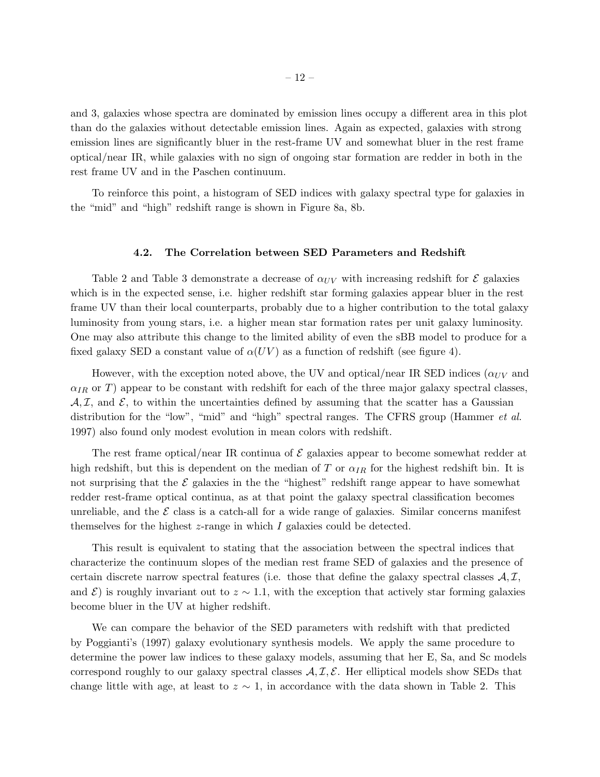and 3, galaxies whose spectra are dominated by emission lines occupy a different area in this plot than do the galaxies without detectable emission lines. Again as expected, galaxies with strong emission lines are significantly bluer in the rest-frame UV and somewhat bluer in the rest frame optical/near IR, while galaxies with no sign of ongoing star formation are redder in both in the rest frame UV and in the Paschen continuum.

To reinforce this point, a histogram of SED indices with galaxy spectral type for galaxies in the "mid" and "high" redshift range is shown in Figure 8a, 8b.

### 4.2. The Correlation between SED Parameters and Redshift

Table 2 and Table 3 demonstrate a decrease of  $\alpha_{UV}$  with increasing redshift for  $\mathcal E$  galaxies which is in the expected sense, i.e. higher redshift star forming galaxies appear bluer in the rest frame UV than their local counterparts, probably due to a higher contribution to the total galaxy luminosity from young stars, i.e. a higher mean star formation rates per unit galaxy luminosity. One may also attribute this change to the limited ability of even the sBB model to produce for a fixed galaxy SED a constant value of  $\alpha(UV)$  as a function of redshift (see figure 4).

However, with the exception noted above, the UV and optical/near IR SED indices ( $\alpha_{UV}$  and  $\alpha_{IR}$  or T) appear to be constant with redshift for each of the three major galaxy spectral classes,  $A, \mathcal{I}$ , and  $\mathcal{E}$ , to within the uncertainties defined by assuming that the scatter has a Gaussian distribution for the "low", "mid" and "high" spectral ranges. The CFRS group (Hammer *et al.* 1997) also found only modest evolution in mean colors with redshift.

The rest frame optical/near IR continua of  $\mathcal E$  galaxies appear to become somewhat redder at high redshift, but this is dependent on the median of T or  $\alpha_{IR}$  for the highest redshift bin. It is not surprising that the  $\mathcal E$  galaxies in the the "highest" redshift range appear to have somewhat redder rest-frame optical continua, as at that point the galaxy spectral classification becomes unreliable, and the  $\mathcal E$  class is a catch-all for a wide range of galaxies. Similar concerns manifest themselves for the highest  $z$ -range in which I galaxies could be detected.

This result is equivalent to stating that the association between the spectral indices that characterize the continuum slopes of the median rest frame SED of galaxies and the presence of certain discrete narrow spectral features (i.e. those that define the galaxy spectral classes  $A, \mathcal{I},$ and  $\mathcal{E}$ ) is roughly invariant out to  $z \sim 1.1$ , with the exception that actively star forming galaxies become bluer in the UV at higher redshift.

We can compare the behavior of the SED parameters with redshift with that predicted by Poggianti's (1997) galaxy evolutionary synthesis models. We apply the same procedure to determine the power law indices to these galaxy models, assuming that her E, Sa, and Sc models correspond roughly to our galaxy spectral classes  $A, \mathcal{I}, \mathcal{E}$ . Her elliptical models show SEDs that change little with age, at least to  $z \sim 1$ , in accordance with the data shown in Table 2. This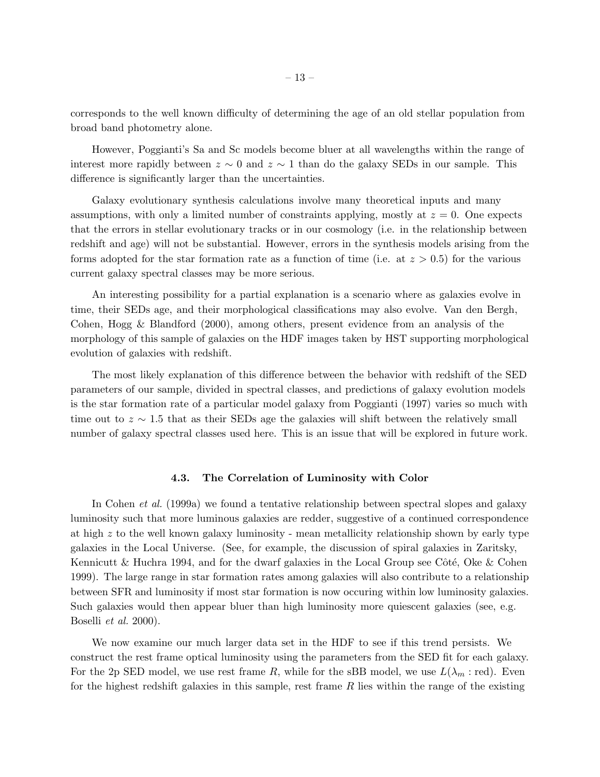corresponds to the well known difficulty of determining the age of an old stellar population from broad band photometry alone.

However, Poggianti's Sa and Sc models become bluer at all wavelengths within the range of interest more rapidly between  $z \sim 0$  and  $z \sim 1$  than do the galaxy SEDs in our sample. This difference is significantly larger than the uncertainties.

Galaxy evolutionary synthesis calculations involve many theoretical inputs and many assumptions, with only a limited number of constraints applying, mostly at  $z = 0$ . One expects that the errors in stellar evolutionary tracks or in our cosmology (i.e. in the relationship between redshift and age) will not be substantial. However, errors in the synthesis models arising from the forms adopted for the star formation rate as a function of time (i.e. at  $z > 0.5$ ) for the various current galaxy spectral classes may be more serious.

An interesting possibility for a partial explanation is a scenario where as galaxies evolve in time, their SEDs age, and their morphological classifications may also evolve. Van den Bergh, Cohen, Hogg & Blandford (2000), among others, present evidence from an analysis of the morphology of this sample of galaxies on the HDF images taken by HST supporting morphological evolution of galaxies with redshift.

The most likely explanation of this difference between the behavior with redshift of the SED parameters of our sample, divided in spectral classes, and predictions of galaxy evolution models is the star formation rate of a particular model galaxy from Poggianti (1997) varies so much with time out to  $z \sim 1.5$  that as their SEDs age the galaxies will shift between the relatively small number of galaxy spectral classes used here. This is an issue that will be explored in future work.

# 4.3. The Correlation of Luminosity with Color

In Cohen *et al.* (1999a) we found a tentative relationship between spectral slopes and galaxy luminosity such that more luminous galaxies are redder, suggestive of a continued correspondence at high  $z$  to the well known galaxy luminosity - mean metallicity relationship shown by early type galaxies in the Local Universe. (See, for example, the discussion of spiral galaxies in Zaritsky, Kennicutt & Huchra 1994, and for the dwarf galaxies in the Local Group see Côté, Oke & Cohen 1999). The large range in star formation rates among galaxies will also contribute to a relationship between SFR and luminosity if most star formation is now occuring within low luminosity galaxies. Such galaxies would then appear bluer than high luminosity more quiescent galaxies (see, e.g. Boselli *et al.* 2000).

We now examine our much larger data set in the HDF to see if this trend persists. We construct the rest frame optical luminosity using the parameters from the SED fit for each galaxy. For the 2p SED model, we use rest frame R, while for the sBB model, we use  $L(\lambda_m : red)$ . Even for the highest redshift galaxies in this sample, rest frame  $R$  lies within the range of the existing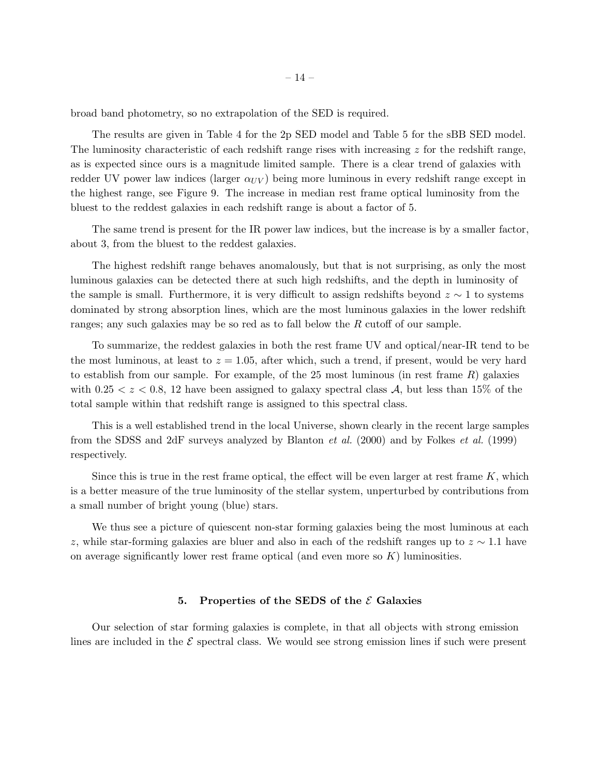broad band photometry, so no extrapolation of the SED is required.

The results are given in Table 4 for the 2p SED model and Table 5 for the sBB SED model. The luminosity characteristic of each redshift range rises with increasing  $z$  for the redshift range, as is expected since ours is a magnitude limited sample. There is a clear trend of galaxies with redder UV power law indices (larger  $\alpha_{UV}$ ) being more luminous in every redshift range except in the highest range, see Figure 9. The increase in median rest frame optical luminosity from the bluest to the reddest galaxies in each redshift range is about a factor of 5.

The same trend is present for the IR power law indices, but the increase is by a smaller factor, about 3, from the bluest to the reddest galaxies.

The highest redshift range behaves anomalously, but that is not surprising, as only the most luminous galaxies can be detected there at such high redshifts, and the depth in luminosity of the sample is small. Furthermore, it is very difficult to assign redshifts beyond  $z \sim 1$  to systems dominated by strong absorption lines, which are the most luminous galaxies in the lower redshift ranges; any such galaxies may be so red as to fall below the R cutoff of our sample.

To summarize, the reddest galaxies in both the rest frame UV and optical/near-IR tend to be the most luminous, at least to  $z = 1.05$ , after which, such a trend, if present, would be very hard to establish from our sample. For example, of the 25 most luminous (in rest frame  $R$ ) galaxies with  $0.25 < z < 0.8$ , 12 have been assigned to galaxy spectral class A, but less than 15% of the total sample within that redshift range is assigned to this spectral class.

This is a well established trend in the local Universe, shown clearly in the recent large samples from the SDSS and 2dF surveys analyzed by Blanton *et al.* (2000) and by Folkes *et al.* (1999) respectively.

Since this is true in the rest frame optical, the effect will be even larger at rest frame  $K$ , which is a better measure of the true luminosity of the stellar system, unperturbed by contributions from a small number of bright young (blue) stars.

We thus see a picture of quiescent non-star forming galaxies being the most luminous at each z, while star-forming galaxies are bluer and also in each of the redshift ranges up to  $z \sim 1.1$  have on average significantly lower rest frame optical (and even more so  $K$ ) luminosities.

#### 5. Properties of the SEDS of the  $\mathcal E$  Galaxies

Our selection of star forming galaxies is complete, in that all objects with strong emission lines are included in the  $\mathcal E$  spectral class. We would see strong emission lines if such were present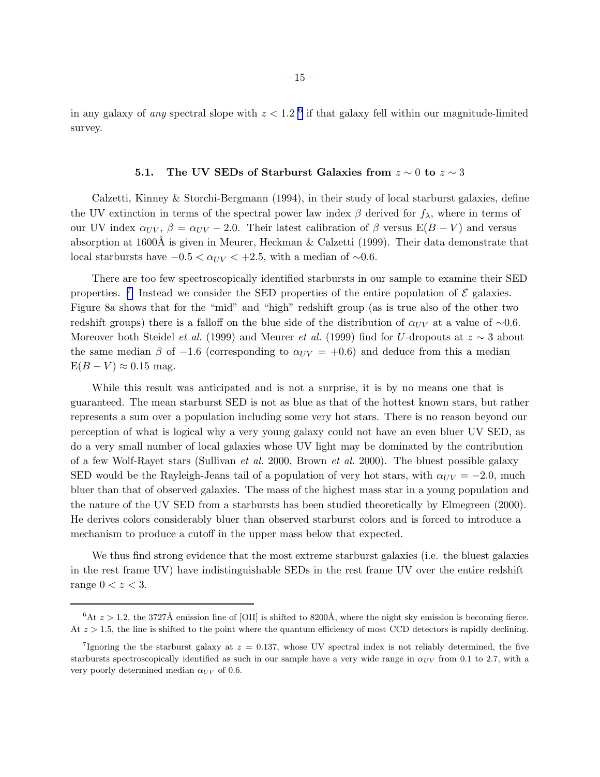in any galaxy of *any* spectral slope with  $z < 1.2$  <sup>6</sup> if that galaxy fell within our magnitude-limited survey.

# 5.1. The UV SEDs of Starburst Galaxies from  $z \sim 0$  to  $z \sim 3$

Calzetti, Kinney & Storchi-Bergmann (1994), in their study of local starburst galaxies, define the UV extinction in terms of the spectral power law index  $\beta$  derived for  $f_{\lambda}$ , where in terms of our UV index  $\alpha_{UV}$ ,  $\beta = \alpha_{UV} - 2.0$ . Their latest calibration of  $\beta$  versus E(B – V) and versus absorption at 1600Å is given in Meurer, Heckman  $&$  Calzetti (1999). Their data demonstrate that local starbursts have  $-0.5 < \alpha_{UV} < +2.5$ , with a median of ∼0.6.

There are too few spectroscopically identified starbursts in our sample to examine their SED properties. <sup>7</sup> Instead we consider the SED properties of the entire population of  $\mathcal E$  galaxies. Figure 8a shows that for the "mid" and "high" redshift group (as is true also of the other two redshift groups) there is a falloff on the blue side of the distribution of  $\alpha_{UV}$  at a value of ∼0.6. Moreover both Steidel *et al.* (1999) and Meurer *et al.* (1999) find for U-dropouts at z ∼ 3 about the same median  $\beta$  of -1.6 (corresponding to  $\alpha_{UV} = +0.6$ ) and deduce from this a median  $E(B-V) \approx 0.15$  mag.

While this result was anticipated and is not a surprise, it is by no means one that is guaranteed. The mean starburst SED is not as blue as that of the hottest known stars, but rather represents a sum over a population including some very hot stars. There is no reason beyond our perception of what is logical why a very young galaxy could not have an even bluer UV SED, as do a very small number of local galaxies whose UV light may be dominated by the contribution of a few Wolf-Rayet stars (Sullivan *et al.* 2000, Brown *et al.* 2000). The bluest possible galaxy SED would be the Rayleigh-Jeans tail of a population of very hot stars, with  $\alpha_{UV} = -2.0$ , much bluer than that of observed galaxies. The mass of the highest mass star in a young population and the nature of the UV SED from a starbursts has been studied theoretically by Elmegreen (2000). He derives colors considerably bluer than observed starburst colors and is forced to introduce a mechanism to produce a cutoff in the upper mass below that expected.

We thus find strong evidence that the most extreme starburst galaxies (i.e. the bluest galaxies in the rest frame UV) have indistinguishable SEDs in the rest frame UV over the entire redshift range  $0 < z < 3$ .

 $6$ At  $z > 1.2$ , the 3727Å emission line of [OII] is shifted to 8200Å, where the night sky emission is becoming fierce. At  $z > 1.5$ , the line is shifted to the point where the quantum efficiency of most CCD detectors is rapidly declining.

<sup>&</sup>lt;sup>7</sup>Ignoring the the starburst galaxy at  $z = 0.137$ , whose UV spectral index is not reliably determined, the five starbursts spectroscopically identified as such in our sample have a very wide range in  $\alpha_{UV}$  from 0.1 to 2.7, with a very poorly determined median  $\alpha_{UV}$  of 0.6.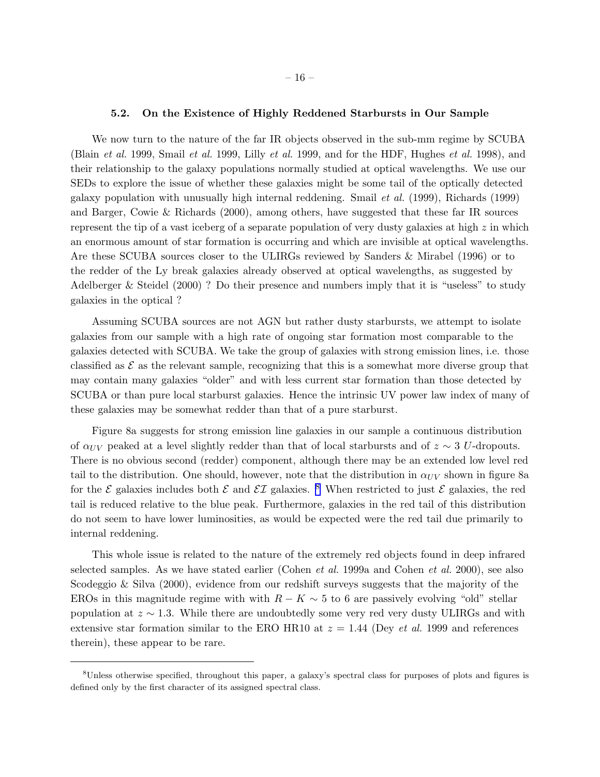## 5.2. On the Existence of Highly Reddened Starbursts in Our Sample

We now turn to the nature of the far IR objects observed in the sub-mm regime by SCUBA (Blain *et al.* 1999, Smail *et al.* 1999, Lilly *et al.* 1999, and for the HDF, Hughes *et al.* 1998), and their relationship to the galaxy populations normally studied at optical wavelengths. We use our SEDs to explore the issue of whether these galaxies might be some tail of the optically detected galaxy population with unusually high internal reddening. Smail *et al.* (1999), Richards (1999) and Barger, Cowie & Richards (2000), among others, have suggested that these far IR sources represent the tip of a vast iceberg of a separate population of very dusty galaxies at high  $z$  in which an enormous amount of star formation is occurring and which are invisible at optical wavelengths. Are these SCUBA sources closer to the ULIRGs reviewed by Sanders & Mirabel (1996) or to the redder of the Ly break galaxies already observed at optical wavelengths, as suggested by Adelberger & Steidel (2000) ? Do their presence and numbers imply that it is "useless" to study galaxies in the optical ?

Assuming SCUBA sources are not AGN but rather dusty starbursts, we attempt to isolate galaxies from our sample with a high rate of ongoing star formation most comparable to the galaxies detected with SCUBA. We take the group of galaxies with strong emission lines, i.e. those classified as  $\mathcal E$  as the relevant sample, recognizing that this is a somewhat more diverse group that may contain many galaxies "older" and with less current star formation than those detected by SCUBA or than pure local starburst galaxies. Hence the intrinsic UV power law index of many of these galaxies may be somewhat redder than that of a pure starburst.

Figure 8a suggests for strong emission line galaxies in our sample a continuous distribution of  $\alpha_{UV}$  peaked at a level slightly redder than that of local starbursts and of  $z \sim 3$  U-dropouts. There is no obvious second (redder) component, although there may be an extended low level red tail to the distribution. One should, however, note that the distribution in  $\alpha_{UV}$  shown in figure 8a for the  $\mathcal E$  galaxies includes both  $\mathcal E$  and  $\mathcal E\mathcal I$  galaxies. <sup>8</sup> When restricted to just  $\mathcal E$  galaxies, the red tail is reduced relative to the blue peak. Furthermore, galaxies in the red tail of this distribution do not seem to have lower luminosities, as would be expected were the red tail due primarily to internal reddening.

This whole issue is related to the nature of the extremely red objects found in deep infrared selected samples. As we have stated earlier (Cohen *et al.* 1999a and Cohen *et al.* 2000), see also Scodeggio & Silva (2000), evidence from our redshift surveys suggests that the majority of the EROs in this magnitude regime with with  $R - K \sim 5$  to 6 are passively evolving "old" stellar population at  $z \sim 1.3$ . While there are undoubtedly some very red very dusty ULIRGs and with extensive star formation similar to the ERO HR10 at  $z = 1.44$  (Dey *et al.* 1999 and references therein), these appear to be rare.

<sup>8</sup>Unless otherwise specified, throughout this paper, a galaxy's spectral class for purposes of plots and figures is defined only by the first character of its assigned spectral class.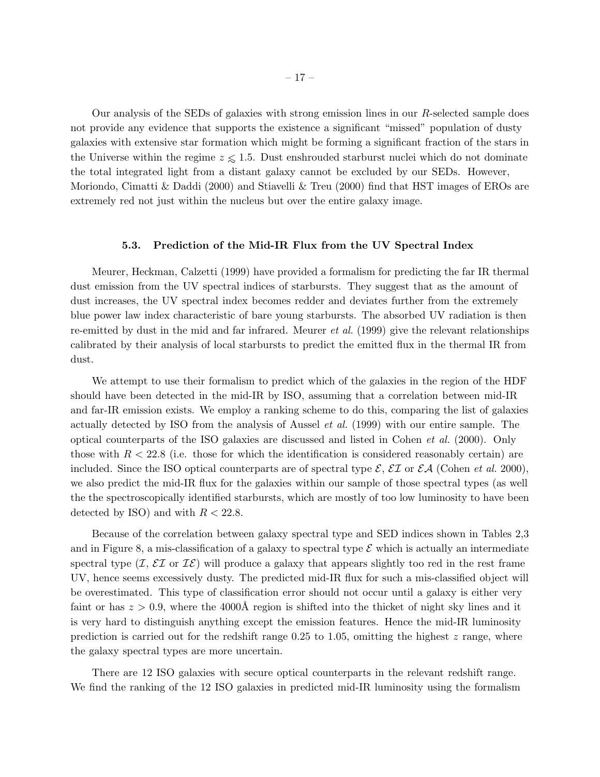<span id="page-16-0"></span>Our analysis of the SEDs of galaxies with strong emission lines in our R-selected sample does not provide any evidence that supports the existence a significant "missed" population of dusty galaxies with extensive star formation which might be forming a significant fraction of the stars in the Universe within the regime  $z \leq 1.5$ . Dust enshrouded starburst nuclei which do not dominate the total integrated light from a distant galaxy cannot be excluded by our SEDs. However, Moriondo, Cimatti & Daddi (2000) and Stiavelli & Treu (2000) find that HST images of EROs are extremely red not just within the nucleus but over the entire galaxy image.

## 5.3. Prediction of the Mid-IR Flux from the UV Spectral Index

Meurer, Heckman, Calzetti (1999) have provided a formalism for predicting the far IR thermal dust emission from the UV spectral indices of starbursts. They suggest that as the amount of dust increases, the UV spectral index becomes redder and deviates further from the extremely blue power law index characteristic of bare young starbursts. The absorbed UV radiation is then re-emitted by dust in the mid and far infrared. Meurer *et al.* (1999) give the relevant relationships calibrated by their analysis of local starbursts to predict the emitted flux in the thermal IR from dust.

We attempt to use their formalism to predict which of the galaxies in the region of the HDF should have been detected in the mid-IR by ISO, assuming that a correlation between mid-IR and far-IR emission exists. We employ a ranking scheme to do this, comparing the list of galaxies actually detected by ISO from the analysis of Aussel *et al.* (1999) with our entire sample. The optical counterparts of the ISO galaxies are discussed and listed in Cohen *et al.* (2000). Only those with  $R < 22.8$  (i.e. those for which the identification is considered reasonably certain) are included. Since the ISO optical counterparts are of spectral type  $\mathcal{E}, \mathcal{E} \mathcal{I}$  or  $\mathcal{E} \mathcal{A}$  (Cohen *et al.* 2000), we also predict the mid-IR flux for the galaxies within our sample of those spectral types (as well the the spectroscopically identified starbursts, which are mostly of too low luminosity to have been detected by ISO) and with  $R < 22.8$ .

Because of the correlation between galaxy spectral type and SED indices shown in Tables 2,3 and in Figure 8, a mis-classification of a galaxy to spectral type  $\mathcal E$  which is actually an intermediate spectral type  $(\mathcal{I}, \mathcal{E} \mathcal{I})$  or  $\mathcal{I} \mathcal{E})$  will produce a galaxy that appears slightly too red in the rest frame UV, hence seems excessively dusty. The predicted mid-IR flux for such a mis-classified object will be overestimated. This type of classification error should not occur until a galaxy is either very faint or has  $z > 0.9$ , where the 4000Å region is shifted into the thicket of night sky lines and it is very hard to distinguish anything except the emission features. Hence the mid-IR luminosity prediction is carried out for the redshift range  $0.25$  to 1.05, omitting the highest z range, where the galaxy spectral types are more uncertain.

There are 12 ISO galaxies with secure optical counterparts in the relevant redshift range. We find the ranking of the 12 ISO galaxies in predicted mid-IR luminosity using the formalism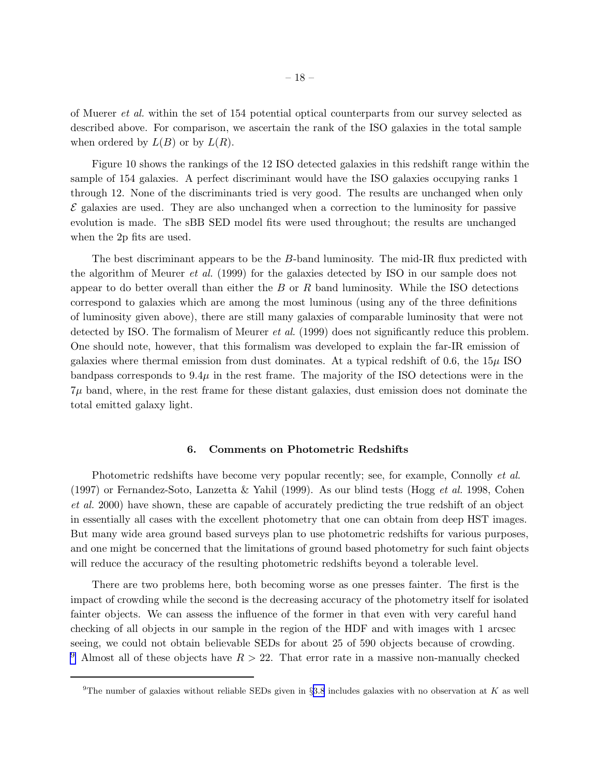<span id="page-17-0"></span>of Muerer *et al.* within the set of 154 potential optical counterparts from our survey selected as described above. For comparison, we ascertain the rank of the ISO galaxies in the total sample when ordered by  $L(B)$  or by  $L(R)$ .

Figure 10 shows the rankings of the 12 ISO detected galaxies in this redshift range within the sample of 154 galaxies. A perfect discriminant would have the ISO galaxies occupying ranks 1 through 12. None of the discriminants tried is very good. The results are unchanged when only  $\mathcal E$  galaxies are used. They are also unchanged when a correction to the luminosity for passive evolution is made. The sBB SED model fits were used throughout; the results are unchanged when the 2p fits are used.

The best discriminant appears to be the B-band luminosity. The mid-IR flux predicted with the algorithm of Meurer *et al.* (1999) for the galaxies detected by ISO in our sample does not appear to do better overall than either the  $B$  or  $R$  band luminosity. While the ISO detections correspond to galaxies which are among the most luminous (using any of the three definitions of luminosity given above), there are still many galaxies of comparable luminosity that were not detected by ISO. The formalism of Meurer *et al.* (1999) does not significantly reduce this problem. One should note, however, that this formalism was developed to explain the far-IR emission of galaxies where thermal emission from dust dominates. At a typical redshift of 0.6, the  $15\mu$  ISO bandpass corresponds to  $9.4\mu$  in the rest frame. The majority of the ISO detections were in the  $7\mu$  band, where, in the rest frame for these distant galaxies, dust emission does not dominate the total emitted galaxy light.

#### 6. Comments on Photometric Redshifts

Photometric redshifts have become very popular recently; see, for example, Connolly *et al.* (1997) or Fernandez-Soto, Lanzetta & Yahil (1999). As our blind tests (Hogg *et al.* 1998, Cohen *et al.* 2000) have shown, these are capable of accurately predicting the true redshift of an object in essentially all cases with the excellent photometry that one can obtain from deep HST images. But many wide area ground based surveys plan to use photometric redshifts for various purposes, and one might be concerned that the limitations of ground based photometry for such faint objects will reduce the accuracy of the resulting photometric redshifts beyond a tolerable level.

There are two problems here, both becoming worse as one presses fainter. The first is the impact of crowding while the second is the decreasing accuracy of the photometry itself for isolated fainter objects. We can assess the influence of the former in that even with very careful hand checking of all objects in our sample in the region of the HDF and with images with 1 arcsec seeing, we could not obtain believable SEDs for about 25 of 590 objects because of crowding. <sup>9</sup> Almost all of these objects have  $R > 22$ . That error rate in a massive non-manually checked

<sup>&</sup>lt;sup>9</sup>The number of galaxies without reliable SEDs given in §[3.8](#page-9-0) includes galaxies with no observation at K as well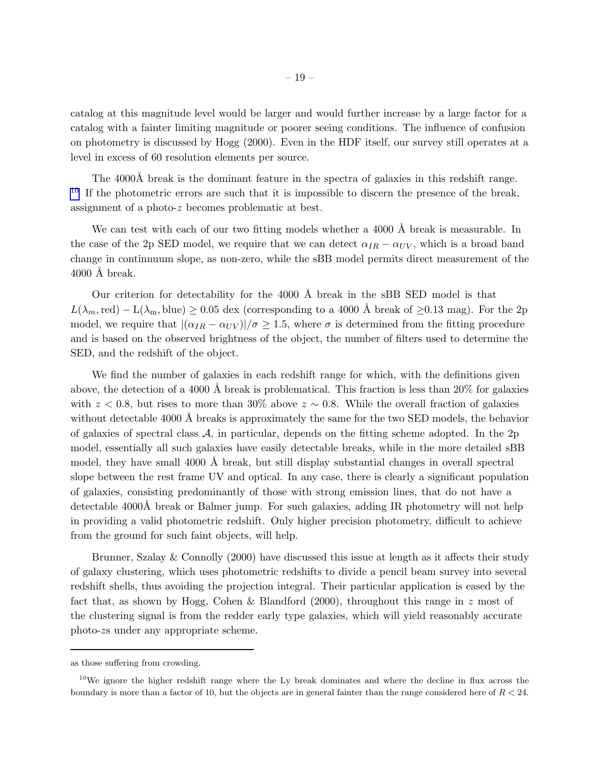catalog at this magnitude level would be larger and would further increase by a large factor for a catalog with a fainter limiting magnitude or poorer seeing conditions. The influence of confusion on photometry is discussed by Hogg (2000). Even in the HDF itself, our survey still operates at a level in excess of 60 resolution elements per source.

The 4000Å break is the dominant feature in the spectra of galaxies in this redshift range.  $10$  If the photometric errors are such that it is impossible to discern the presence of the break, assignment of a photo-z becomes problematic at best.

We can test with each of our two fitting models whether a 4000 Å break is measurable. In the case of the 2p SED model, we require that we can detect  $\alpha_{IR} - \alpha_{UV}$ , which is a broad band change in continnuum slope, as non-zero, while the sBB model permits direct measurement of the  $4000$  Å break.

Our criterion for detectability for the 4000 Å break in the sBB SED model is that  $L(\lambda_m, \text{red}) - L(\lambda_m, \text{blue}) \geq 0.05$  dex (corresponding to a 4000 Å break of  $\geq 0.13$  mag). For the 2p model, we require that  $|(\alpha_{IR} - \alpha_{UV})|/\sigma \ge 1.5$ , where  $\sigma$  is determined from the fitting procedure and is based on the observed brightness of the object, the number of filters used to determine the SED, and the redshift of the object.

We find the number of galaxies in each redshift range for which, with the definitions given above, the detection of a 4000 Å break is problematical. This fraction is less than  $20\%$  for galaxies with  $z < 0.8$ , but rises to more than 30% above  $z \sim 0.8$ . While the overall fraction of galaxies without detectable 4000 Å breaks is approximately the same for the two SED models, the behavior of galaxies of spectral class  $A$ , in particular, depends on the fitting scheme adopted. In the 2p model, essentially all such galaxies have easily detectable breaks, while in the more detailed sBB model, they have small  $4000 \text{ Å}$  break, but still display substantial changes in overall spectral slope between the rest frame UV and optical. In any case, there is clearly a significant population of galaxies, consisting predominantly of those with strong emission lines, that do not have a detectable 4000Å break or Balmer jump. For such galaxies, adding IR photometry will not help in providing a valid photometric redshift. Only higher precision photometry, difficult to achieve from the ground for such faint objects, will help.

Brunner, Szalay & Connolly (2000) have discussed this issue at length as it affects their study of galaxy clustering, which uses photometric redshifts to divide a pencil beam survey into several redshift shells, thus avoiding the projection integral. Their particular application is eased by the fact that, as shown by Hogg, Cohen & Blandford (2000), throughout this range in z most of the clustering signal is from the redder early type galaxies, which will yield reasonably accurate photo-zs under any appropriate scheme.

as those suffering from crowding.

 $10$ We ignore the higher redshift range where the Ly break dominates and where the decline in flux across the boundary is more than a factor of 10, but the objects are in general fainter than the range considered here of  $R < 24$ .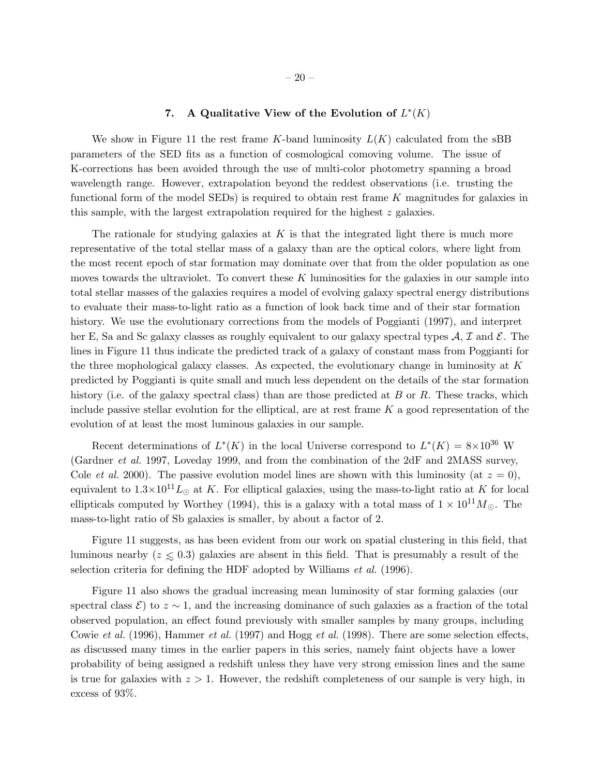# 7. A Qualitative View of the Evolution of  $L^*(K)$

<span id="page-19-0"></span>We show in Figure 11 the rest frame K-band luminosity  $L(K)$  calculated from the sBB parameters of the SED fits as a function of cosmological comoving volume. The issue of K-corrections has been avoided through the use of multi-color photometry spanning a broad wavelength range. However, extrapolation beyond the reddest observations (i.e. trusting the functional form of the model SEDs) is required to obtain rest frame K magnitudes for galaxies in this sample, with the largest extrapolation required for the highest  $z$  galaxies.

The rationale for studying galaxies at  $K$  is that the integrated light there is much more representative of the total stellar mass of a galaxy than are the optical colors, where light from the most recent epoch of star formation may dominate over that from the older population as one moves towards the ultraviolet. To convert these  $K$  luminosities for the galaxies in our sample into total stellar masses of the galaxies requires a model of evolving galaxy spectral energy distributions to evaluate their mass-to-light ratio as a function of look back time and of their star formation history. We use the evolutionary corrections from the models of Poggianti (1997), and interpret her E, Sa and Sc galaxy classes as roughly equivalent to our galaxy spectral types  $\mathcal{A}, \mathcal{I}$  and  $\mathcal{E}$ . The lines in Figure 11 thus indicate the predicted track of a galaxy of constant mass from Poggianti for the three mophological galaxy classes. As expected, the evolutionary change in luminosity at  $K$ predicted by Poggianti is quite small and much less dependent on the details of the star formation history (i.e. of the galaxy spectral class) than are those predicted at  $B$  or  $R$ . These tracks, which include passive stellar evolution for the elliptical, are at rest frame  $K$  a good representation of the evolution of at least the most luminous galaxies in our sample.

Recent determinations of  $L^*(K)$  in the local Universe correspond to  $L^*(K) = 8 \times 10^{36}$  W (Gardner *et al.* 1997, Loveday 1999, and from the combination of the 2dF and 2MASS survey, Cole *et al.* 2000). The passive evolution model lines are shown with this luminosity (at  $z = 0$ ), equivalent to  $1.3\times10^{11}L_{\odot}$  at K. For elliptical galaxies, using the mass-to-light ratio at K for local ellipticals computed by Worthey (1994), this is a galaxy with a total mass of  $1 \times 10^{11} M_{\odot}$ . The mass-to-light ratio of Sb galaxies is smaller, by about a factor of 2.

Figure 11 suggests, as has been evident from our work on spatial clustering in this field, that luminous nearby ( $z \le 0.3$ ) galaxies are absent in this field. That is presumably a result of the selection criteria for defining the HDF adopted by Williams *et al.* (1996).

Figure 11 also shows the gradual increasing mean luminosity of star forming galaxies (our spectral class  $\mathcal{E}$ ) to  $z \sim 1$ , and the increasing dominance of such galaxies as a fraction of the total observed population, an effect found previously with smaller samples by many groups, including Cowie *et al.* (1996), Hammer *et al.* (1997) and Hogg *et al.* (1998). There are some selection effects, as discussed many times in the earlier papers in this series, namely faint objects have a lower probability of being assigned a redshift unless they have very strong emission lines and the same is true for galaxies with  $z > 1$ . However, the redshift completeness of our sample is very high, in excess of 93%.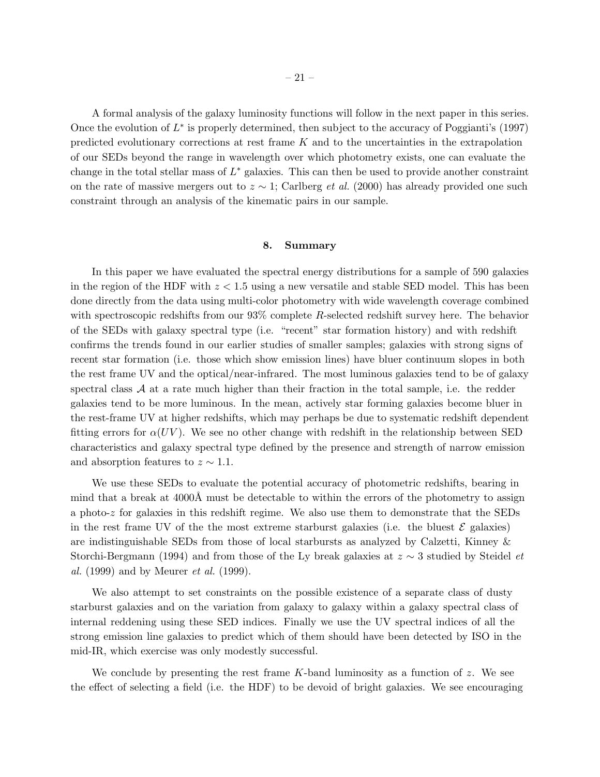A formal analysis of the galaxy luminosity functions will follow in the next paper in this series. Once the evolution of  $L^*$  is properly determined, then subject to the accuracy of Poggianti's (1997) predicted evolutionary corrections at rest frame  $K$  and to the uncertainties in the extrapolation of our SEDs beyond the range in wavelength over which photometry exists, one can evaluate the change in the total stellar mass of  $L^*$  galaxies. This can then be used to provide another constraint on the rate of massive mergers out to z ∼ 1; Carlberg *et al.* (2000) has already provided one such constraint through an analysis of the kinematic pairs in our sample.

### 8. Summary

In this paper we have evaluated the spectral energy distributions for a sample of 590 galaxies in the region of the HDF with  $z < 1.5$  using a new versatile and stable SED model. This has been done directly from the data using multi-color photometry with wide wavelength coverage combined with spectroscopic redshifts from our 93% complete R-selected redshift survey here. The behavior of the SEDs with galaxy spectral type (i.e. "recent" star formation history) and with redshift confirms the trends found in our earlier studies of smaller samples; galaxies with strong signs of recent star formation (i.e. those which show emission lines) have bluer continuum slopes in both the rest frame UV and the optical/near-infrared. The most luminous galaxies tend to be of galaxy spectral class  $A$  at a rate much higher than their fraction in the total sample, i.e. the redder galaxies tend to be more luminous. In the mean, actively star forming galaxies become bluer in the rest-frame UV at higher redshifts, which may perhaps be due to systematic redshift dependent fitting errors for  $\alpha(UV)$ . We see no other change with redshift in the relationship between SED characteristics and galaxy spectral type defined by the presence and strength of narrow emission and absorption features to  $z \sim 1.1$ .

We use these SEDs to evaluate the potential accuracy of photometric redshifts, bearing in mind that a break at  $4000\text{\AA}$  must be detectable to within the errors of the photometry to assign a photo- $z$  for galaxies in this redshift regime. We also use them to demonstrate that the SEDs in the rest frame UV of the the most extreme starburst galaxies (i.e. the bluest  $\mathcal E$  galaxies) are indistinguishable SEDs from those of local starbursts as analyzed by Calzetti, Kinney & Storchi-Bergmann (1994) and from those of the Ly break galaxies at z ∼ 3 studied by Steidel *et al.* (1999) and by Meurer *et al.* (1999).

We also attempt to set constraints on the possible existence of a separate class of dusty starburst galaxies and on the variation from galaxy to galaxy within a galaxy spectral class of internal reddening using these SED indices. Finally we use the UV spectral indices of all the strong emission line galaxies to predict which of them should have been detected by ISO in the mid-IR, which exercise was only modestly successful.

We conclude by presenting the rest frame  $K$ -band luminosity as a function of z. We see the effect of selecting a field (i.e. the HDF) to be devoid of bright galaxies. We see encouraging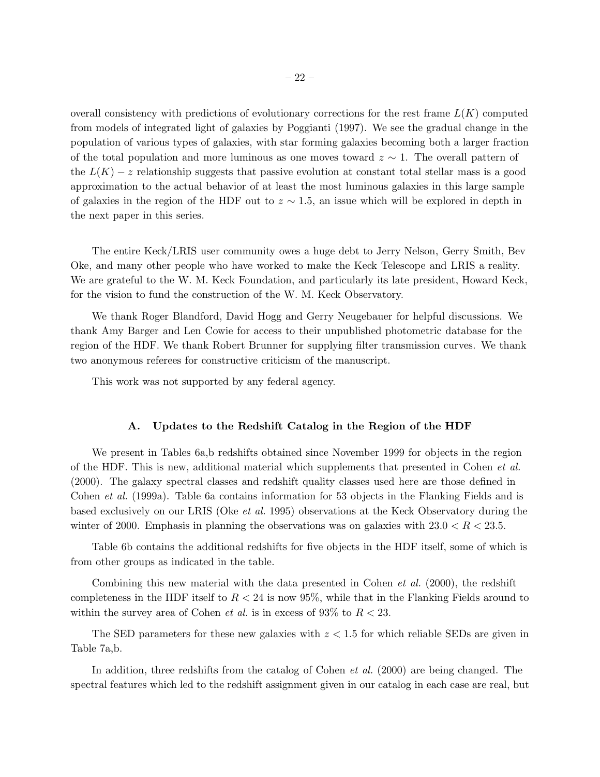overall consistency with predictions of evolutionary corrections for the rest frame  $L(K)$  computed from models of integrated light of galaxies by Poggianti (1997). We see the gradual change in the population of various types of galaxies, with star forming galaxies becoming both a larger fraction of the total population and more luminous as one moves toward  $z \sim 1$ . The overall pattern of the  $L(K) - z$  relationship suggests that passive evolution at constant total stellar mass is a good approximation to the actual behavior of at least the most luminous galaxies in this large sample of galaxies in the region of the HDF out to  $z \sim 1.5$ , an issue which will be explored in depth in the next paper in this series.

The entire Keck/LRIS user community owes a huge debt to Jerry Nelson, Gerry Smith, Bev Oke, and many other people who have worked to make the Keck Telescope and LRIS a reality. We are grateful to the W. M. Keck Foundation, and particularly its late president, Howard Keck, for the vision to fund the construction of the W. M. Keck Observatory.

We thank Roger Blandford, David Hogg and Gerry Neugebauer for helpful discussions. We thank Amy Barger and Len Cowie for access to their unpublished photometric database for the region of the HDF. We thank Robert Brunner for supplying filter transmission curves. We thank two anonymous referees for constructive criticism of the manuscript.

This work was not supported by any federal agency.

# A. Updates to the Redshift Catalog in the Region of the HDF

We present in Tables 6a,b redshifts obtained since November 1999 for objects in the region of the HDF. This is new, additional material which supplements that presented in Cohen *et al.* (2000). The galaxy spectral classes and redshift quality classes used here are those defined in Cohen *et al.* (1999a). Table 6a contains information for 53 objects in the Flanking Fields and is based exclusively on our LRIS (Oke *et al.* 1995) observations at the Keck Observatory during the winter of 2000. Emphasis in planning the observations was on galaxies with  $23.0 < R < 23.5$ .

Table 6b contains the additional redshifts for five objects in the HDF itself, some of which is from other groups as indicated in the table.

Combining this new material with the data presented in Cohen *et al.* (2000), the redshift completeness in the HDF itself to  $R < 24$  is now 95%, while that in the Flanking Fields around to within the survey area of Cohen *et al.* is in excess of 93% to  $R < 23$ .

The SED parameters for these new galaxies with  $z < 1.5$  for which reliable SEDs are given in Table 7a,b.

In addition, three redshifts from the catalog of Cohen *et al.* (2000) are being changed. The spectral features which led to the redshift assignment given in our catalog in each case are real, but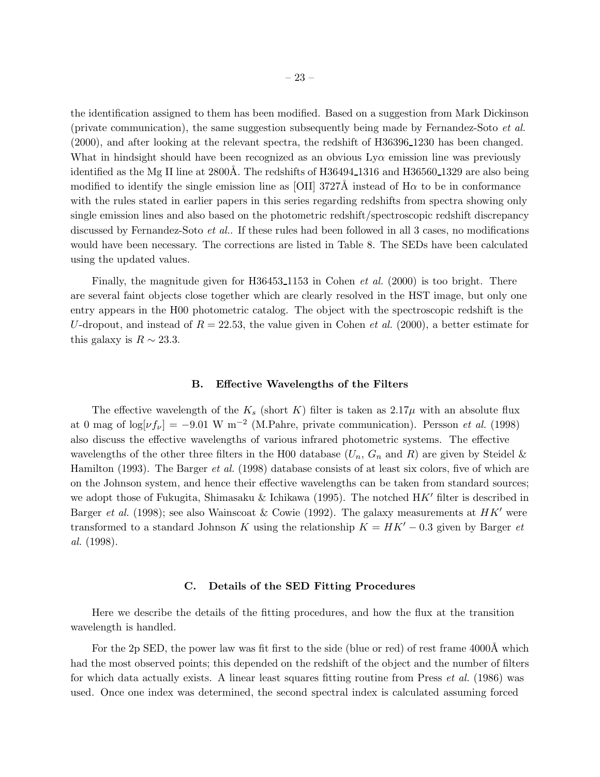the identification assigned to them has been modified. Based on a suggestion from Mark Dickinson (private communication), the same suggestion subsequently being made by Fernandez-Soto *et al.* (2000), and after looking at the relevant spectra, the redshift of H36396 1230 has been changed. What in hindsight should have been recognized as an obvious  $Ly\alpha$  emission line was previously identified as the Mg II line at  $2800\text{\AA}$ . The redshifts of H36494<sub>-1316</sub> and H36560<sub>-1329</sub> are also being modified to identify the single emission line as [OII] 3727Å instead of  $H\alpha$  to be in conformance with the rules stated in earlier papers in this series regarding redshifts from spectra showing only single emission lines and also based on the photometric redshift/spectroscopic redshift discrepancy discussed by Fernandez-Soto *et al.*. If these rules had been followed in all 3 cases, no modifications would have been necessary. The corrections are listed in Table 8. The SEDs have been calculated using the updated values.

Finally, the magnitude given for H36453 1153 in Cohen *et al.* (2000) is too bright. There are several faint objects close together which are clearly resolved in the HST image, but only one entry appears in the H00 photometric catalog. The object with the spectroscopic redshift is the U-dropout, and instead of  $R = 22.53$ , the value given in Cohen *et al.* (2000), a better estimate for this galaxy is  $R \sim 23.3$ .

# B. Effective Wavelengths of the Filters

The effective wavelength of the  $K_s$  (short K) filter is taken as  $2.17\mu$  with an absolute flux at 0 mag of  $log[\nu f_{\nu}] = -9.01 \text{ W m}^{-2}$  (M.Pahre, private communication). Persson *et al.* (1998) also discuss the effective wavelengths of various infrared photometric systems. The effective wavelengths of the other three filters in the H00 database  $(U_n, G_n$  and R) are given by Steidel & Hamilton (1993). The Barger *et al.* (1998) database consists of at least six colors, five of which are on the Johnson system, and hence their effective wavelengths can be taken from standard sources; we adopt those of Fukugita, Shimasaku & Ichikawa (1995). The notched  $HK'$  filter is described in Barger *et al.* (1998); see also Wainscoat & Cowie (1992). The galaxy measurements at  $HK'$  were transformed to a standard Johnson K using the relationship  $K = HK' - 0.3$  given by Barger *et al.* (1998).

#### C. Details of the SED Fitting Procedures

Here we describe the details of the fitting procedures, and how the flux at the transition wavelength is handled.

For the 2p SED, the power law was fit first to the side (blue or red) of rest frame 4000Å which had the most observed points; this depended on the redshift of the object and the number of filters for which data actually exists. A linear least squares fitting routine from Press *et al.* (1986) was used. Once one index was determined, the second spectral index is calculated assuming forced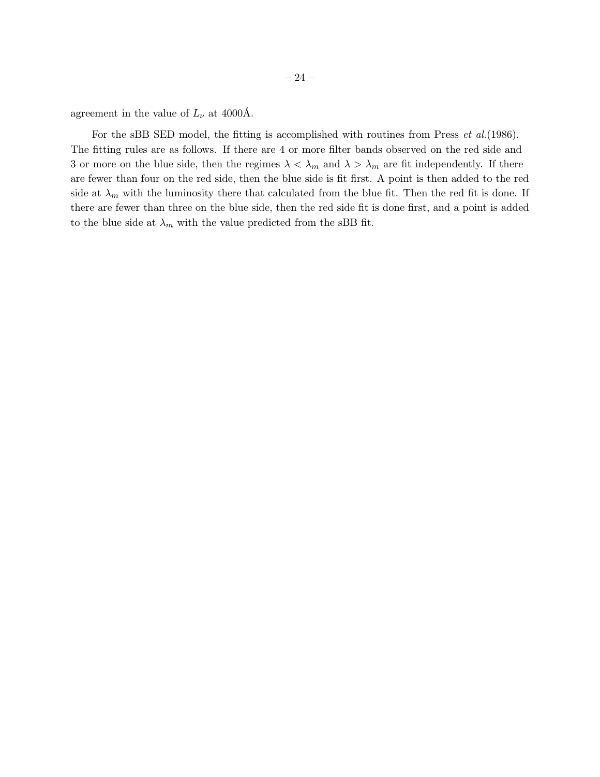For the sBB SED model, the fitting is accomplished with routines from Press *et al.*(1986). The fitting rules are as follows. If there are 4 or more filter bands observed on the red side and 3 or more on the blue side, then the regimes  $\lambda < \lambda_m$  and  $\lambda > \lambda_m$  are fit independently. If there are fewer than four on the red side, then the blue side is fit first. A point is then added to the red side at  $\lambda_m$  with the luminosity there that calculated from the blue fit. Then the red fit is done. If there are fewer than three on the blue side, then the red side fit is done first, and a point is added to the blue side at  $\lambda_m$  with the value predicted from the sBB fit.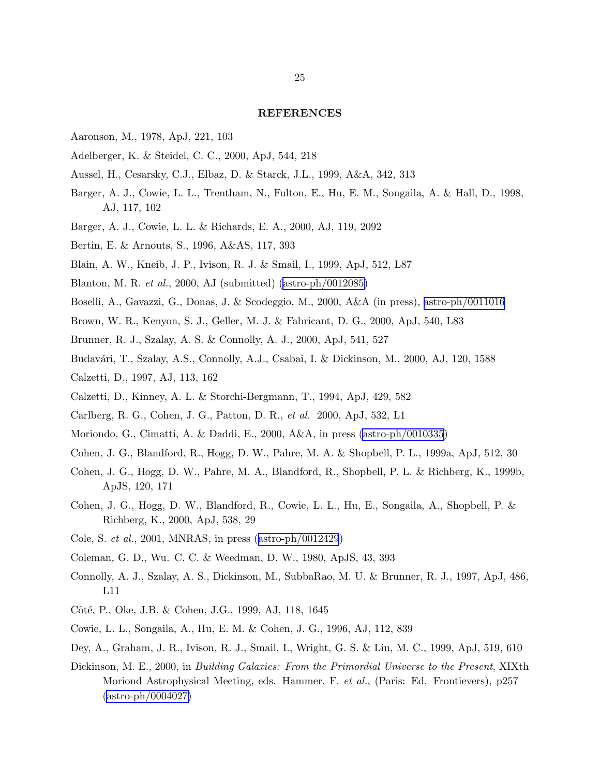# REFERENCES

- Aaronson, M., 1978, ApJ, 221, 103
- Adelberger, K. & Steidel, C. C., 2000, ApJ, 544, 218
- Aussel, H., Cesarsky, C.J., Elbaz, D. & Starck, J.L., 1999, A&A, 342, 313
- Barger, A. J., Cowie, L. L., Trentham, N., Fulton, E., Hu, E. M., Songaila, A. & Hall, D., 1998, AJ, 117, 102
- Barger, A. J., Cowie, L. L. & Richards, E. A., 2000, AJ, 119, 2092
- Bertin, E. & Arnouts, S., 1996, A&AS, 117, 393
- Blain, A. W., Kneib, J. P., Ivison, R. J. & Smail, I., 1999, ApJ, 512, L87
- Blanton, M. R. *et al.*, 2000, AJ (submitted)([astro-ph/0012085\)](http://arxiv.org/abs/astro-ph/0012085)
- Boselli, A., Gavazzi, G., Donas, J. & Scodeggio, M., 2000, A&A (in press), [astro-ph/0011016](http://arxiv.org/abs/astro-ph/0011016)
- Brown, W. R., Kenyon, S. J., Geller, M. J. & Fabricant, D. G., 2000, ApJ, 540, L83
- Brunner, R. J., Szalay, A. S. & Connolly, A. J., 2000, ApJ, 541, 527
- Budavári, T., Szalay, A.S., Connolly, A.J., Csabai, I. & Dickinson, M., 2000, AJ, 120, 1588
- Calzetti, D., 1997, AJ, 113, 162
- Calzetti, D., Kinney, A. L. & Storchi-Bergmann, T., 1994, ApJ, 429, 582
- Carlberg, R. G., Cohen, J. G., Patton, D. R., *et al.* 2000, ApJ, 532, L1
- Moriondo, G., Cimatti, A. & Daddi, E., 2000, A&A, in press [\(astro-ph/0010335](http://arxiv.org/abs/astro-ph/0010335))
- Cohen, J. G., Blandford, R., Hogg, D. W., Pahre, M. A. & Shopbell, P. L., 1999a, ApJ, 512, 30
- Cohen, J. G., Hogg, D. W., Pahre, M. A., Blandford, R., Shopbell, P. L. & Richberg, K., 1999b, ApJS, 120, 171
- Cohen, J. G., Hogg, D. W., Blandford, R., Cowie, L. L., Hu, E., Songaila, A., Shopbell, P. & Richberg, K., 2000, ApJ, 538, 29
- Cole, S. *et al.*, 2001, MNRAS, in press([astro-ph/0012429](http://arxiv.org/abs/astro-ph/0012429))
- Coleman, G. D., Wu. C. C. & Weedman, D. W., 1980, ApJS, 43, 393
- Connolly, A. J., Szalay, A. S., Dickinson, M., SubbaRao, M. U. & Brunner, R. J., 1997, ApJ, 486, L11
- Côté, P., Oke, J.B. & Cohen, J.G., 1999, AJ, 118, 1645
- Cowie, L. L., Songaila, A., Hu, E. M. & Cohen, J. G., 1996, AJ, 112, 839
- Dey, A., Graham, J. R., Ivison, R. J., Smail, I., Wright, G. S. & Liu, M. C., 1999, ApJ, 519, 610
- Dickinson, M. E., 2000, in *Building Galaxies: From the Primordial Universe to the Present*, XIXth Moriond Astrophysical Meeting, eds. Hammer, F. *et al.*, (Paris: Ed. Frontievers), p257  $(astro-ph/0004027)$  $(astro-ph/0004027)$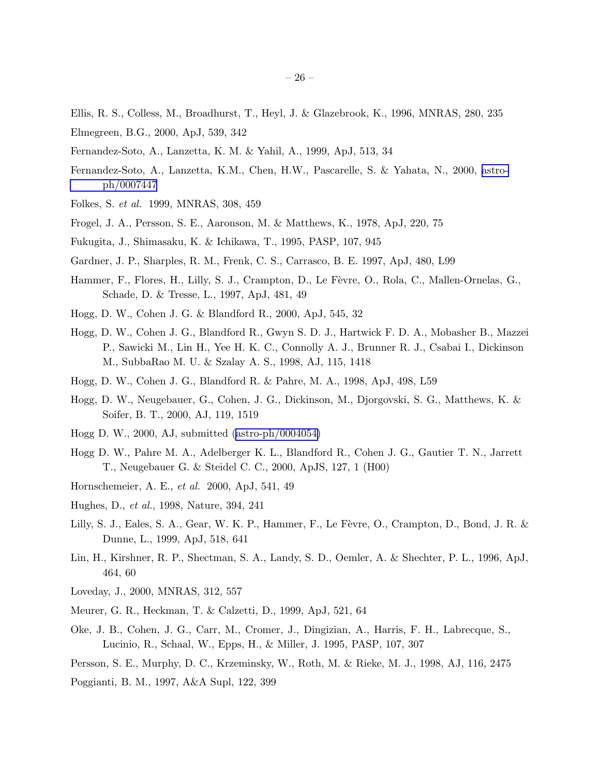- Ellis, R. S., Colless, M., Broadhurst, T., Heyl, J. & Glazebrook, K., 1996, MNRAS, 280, 235
- Elmegreen, B.G., 2000, ApJ, 539, 342
- Fernandez-Soto, A., Lanzetta, K. M. & Yahil, A., 1999, ApJ, 513, 34
- Fernandez-Soto, A., Lanzetta, K.M., Chen, H.W., Pascarelle, S. & Yahata, N., 2000, [astro](http://arxiv.org/abs/astro-ph/0007447)[ph/0007447](http://arxiv.org/abs/astro-ph/0007447)
- Folkes, S. *et al.* 1999, MNRAS, 308, 459
- Frogel, J. A., Persson, S. E., Aaronson, M. & Matthews, K., 1978, ApJ, 220, 75
- Fukugita, J., Shimasaku, K. & Ichikawa, T., 1995, PASP, 107, 945
- Gardner, J. P., Sharples, R. M., Frenk, C. S., Carrasco, B. E. 1997, ApJ, 480, L99
- Hammer, F., Flores, H., Lilly, S. J., Crampton, D., Le Fèvre, O., Rola, C., Mallen-Ornelas, G., Schade, D. & Tresse, L., 1997, ApJ, 481, 49
- Hogg, D. W., Cohen J. G. & Blandford R., 2000, ApJ, 545, 32
- Hogg, D. W., Cohen J. G., Blandford R., Gwyn S. D. J., Hartwick F. D. A., Mobasher B., Mazzei P., Sawicki M., Lin H., Yee H. K. C., Connolly A. J., Brunner R. J., Csabai I., Dickinson M., SubbaRao M. U. & Szalay A. S., 1998, AJ, 115, 1418
- Hogg, D. W., Cohen J. G., Blandford R. & Pahre, M. A., 1998, ApJ, 498, L59
- Hogg, D. W., Neugebauer, G., Cohen, J. G., Dickinson, M., Djorgovski, S. G., Matthews, K. & Soifer, B. T., 2000, AJ, 119, 1519
- Hogg D. W., 2000, AJ, submitted([astro-ph/0004054\)](http://arxiv.org/abs/astro-ph/0004054)
- Hogg D. W., Pahre M. A., Adelberger K. L., Blandford R., Cohen J. G., Gautier T. N., Jarrett T., Neugebauer G. & Steidel C. C., 2000, ApJS, 127, 1 (H00)
- Hornschemeier, A. E., *et al.* 2000, ApJ, 541, 49
- Hughes, D., *et al.*, 1998, Nature, 394, 241
- Lilly, S. J., Eales, S. A., Gear, W. K. P., Hammer, F., Le Fèvre, O., Crampton, D., Bond, J. R. & Dunne, L., 1999, ApJ, 518, 641
- Lin, H., Kirshner, R. P., Shectman, S. A., Landy, S. D., Oemler, A. & Shechter, P. L., 1996, ApJ, 464, 60
- Loveday, J., 2000, MNRAS, 312, 557
- Meurer, G. R., Heckman, T. & Calzetti, D., 1999, ApJ, 521, 64
- Oke, J. B., Cohen, J. G., Carr, M., Cromer, J., Dingizian, A., Harris, F. H., Labrecque, S., Lucinio, R., Schaal, W., Epps, H., & Miller, J. 1995, PASP, 107, 307
- Persson, S. E., Murphy, D. C., Krzeminsky, W., Roth, M. & Rieke, M. J., 1998, AJ, 116, 2475

Poggianti, B. M., 1997, A&A Supl, 122, 399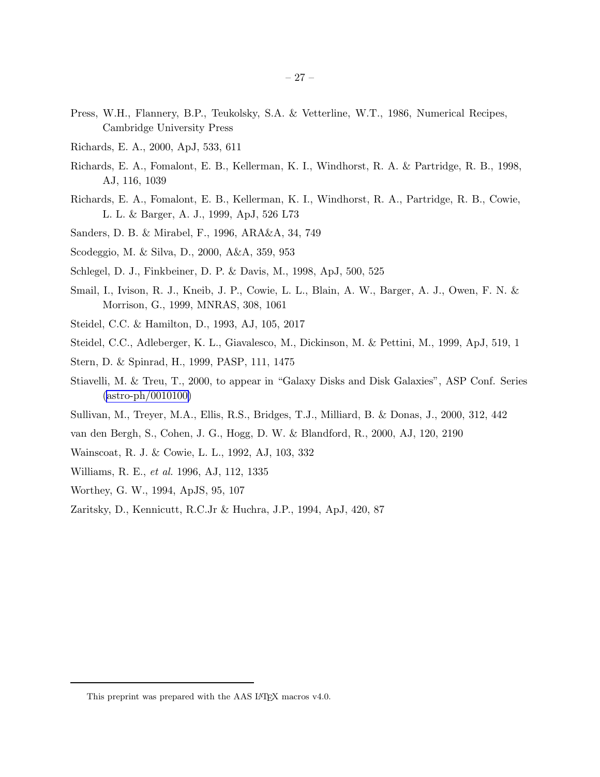- Press, W.H., Flannery, B.P., Teukolsky, S.A. & Vetterline, W.T., 1986, Numerical Recipes, Cambridge University Press
- Richards, E. A., 2000, ApJ, 533, 611
- Richards, E. A., Fomalont, E. B., Kellerman, K. I., Windhorst, R. A. & Partridge, R. B., 1998, AJ, 116, 1039
- Richards, E. A., Fomalont, E. B., Kellerman, K. I., Windhorst, R. A., Partridge, R. B., Cowie, L. L. & Barger, A. J., 1999, ApJ, 526 L73
- Sanders, D. B. & Mirabel, F., 1996, ARA&A, 34, 749
- Scodeggio, M. & Silva, D., 2000, A&A, 359, 953
- Schlegel, D. J., Finkbeiner, D. P. & Davis, M., 1998, ApJ, 500, 525
- Smail, I., Ivison, R. J., Kneib, J. P., Cowie, L. L., Blain, A. W., Barger, A. J., Owen, F. N. & Morrison, G., 1999, MNRAS, 308, 1061
- Steidel, C.C. & Hamilton, D., 1993, AJ, 105, 2017
- Steidel, C.C., Adleberger, K. L., Giavalesco, M., Dickinson, M. & Pettini, M., 1999, ApJ, 519, 1
- Stern, D. & Spinrad, H., 1999, PASP, 111, 1475
- Stiavelli, M. & Treu, T., 2000, to appear in "Galaxy Disks and Disk Galaxies", ASP Conf. Series ([astro-ph/0010100\)](http://arxiv.org/abs/astro-ph/0010100)
- Sullivan, M., Treyer, M.A., Ellis, R.S., Bridges, T.J., Milliard, B. & Donas, J., 2000, 312, 442
- van den Bergh, S., Cohen, J. G., Hogg, D. W. & Blandford, R., 2000, AJ, 120, 2190
- Wainscoat, R. J. & Cowie, L. L., 1992, AJ, 103, 332
- Williams, R. E., *et al.* 1996, AJ, 112, 1335
- Worthey, G. W., 1994, ApJS, 95, 107
- Zaritsky, D., Kennicutt, R.C.Jr & Huchra, J.P., 1994, ApJ, 420, 87

This preprint was prepared with the AAS IATEX macros v4.0.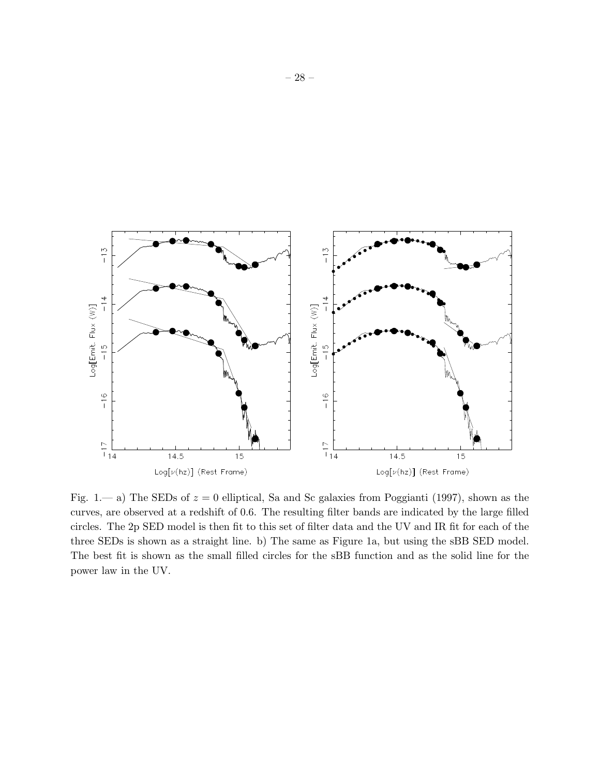

Fig. 1.— a) The SEDs of  $z = 0$  elliptical, Sa and Sc galaxies from Poggianti (1997), shown as the curves, are observed at a redshift of 0.6. The resulting filter bands are indicated by the large filled circles. The 2p SED model is then fit to this set of filter data and the UV and IR fit for each of the three SEDs is shown as a straight line. b) The same as Figure 1a, but using the sBB SED model. The best fit is shown as the small filled circles for the sBB function and as the solid line for the power law in the UV.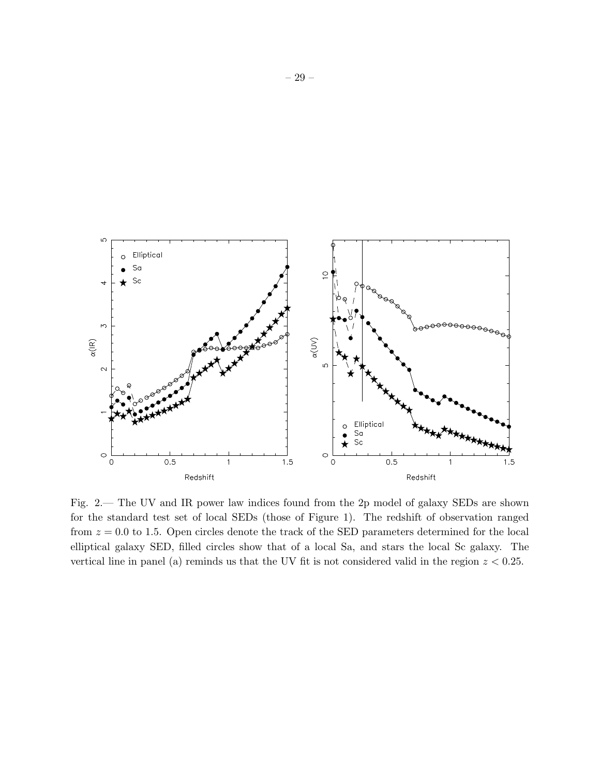

Fig. 2.— The UV and IR power law indices found from the 2p model of galaxy SEDs are shown for the standard test set of local SEDs (those of Figure 1). The redshift of observation ranged from  $z = 0.0$  to 1.5. Open circles denote the track of the SED parameters determined for the local elliptical galaxy SED, filled circles show that of a local Sa, and stars the local Sc galaxy. The vertical line in panel (a) reminds us that the UV fit is not considered valid in the region  $z < 0.25$ .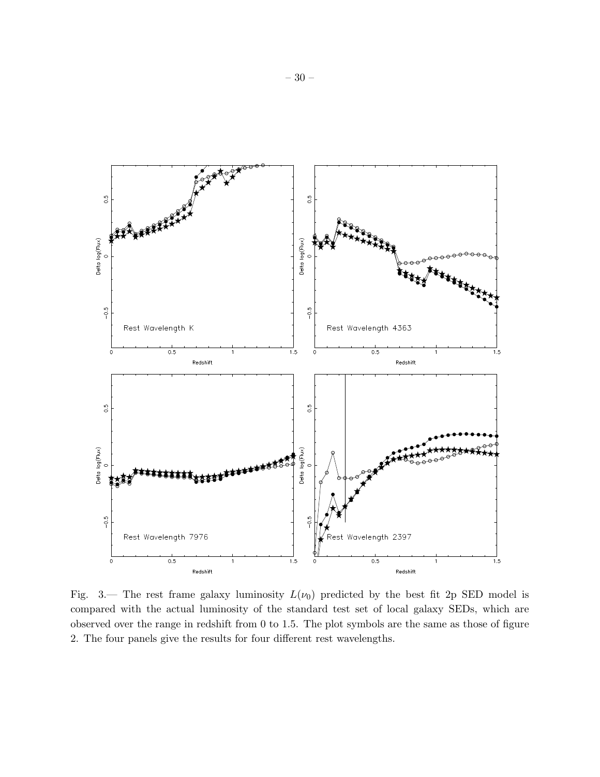

Fig. 3.— The rest frame galaxy luminosity  $L(\nu_0)$  predicted by the best fit 2p SED model is compared with the actual luminosity of the standard test set of local galaxy SEDs, which are observed over the range in redshift from 0 to 1.5. The plot symbols are the same as those of figure 2. The four panels give the results for four different rest wavelengths.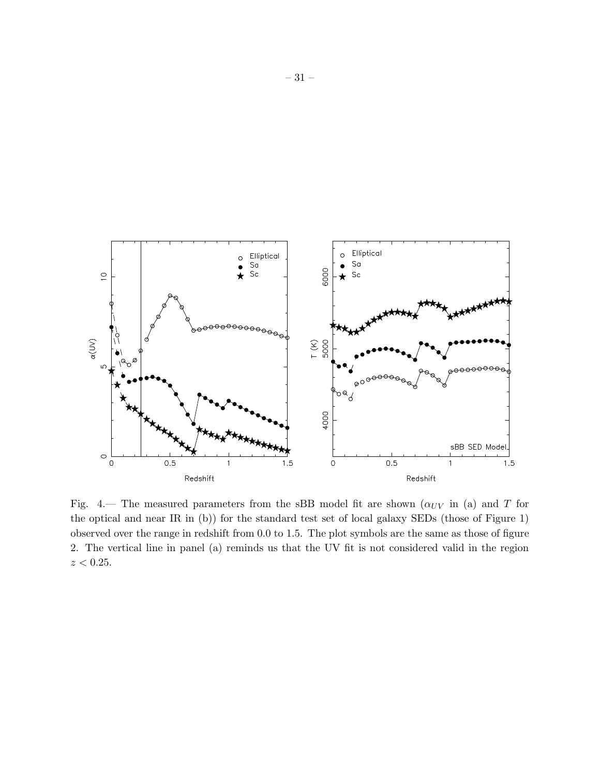

Fig. 4.— The measured parameters from the sBB model fit are shown ( $\alpha_{UV}$  in (a) and T for the optical and near IR in (b)) for the standard test set of local galaxy SEDs (those of Figure 1) observed over the range in redshift from 0.0 to 1.5. The plot symbols are the same as those of figure 2. The vertical line in panel (a) reminds us that the UV fit is not considered valid in the region  $z < 0.25$ .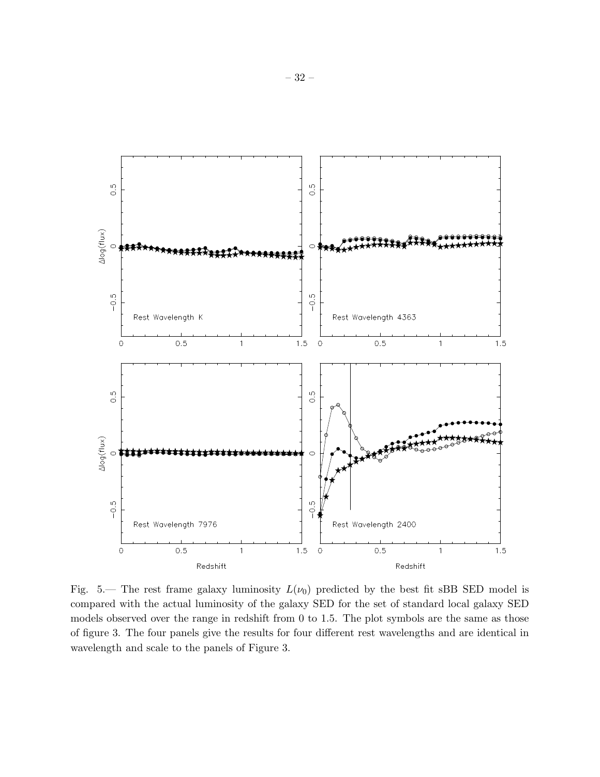

Fig. 5.— The rest frame galaxy luminosity  $L(\nu_0)$  predicted by the best fit sBB SED model is compared with the actual luminosity of the galaxy SED for the set of standard local galaxy SED models observed over the range in redshift from 0 to 1.5. The plot symbols are the same as those of figure 3. The four panels give the results for four different rest wavelengths and are identical in wavelength and scale to the panels of Figure 3.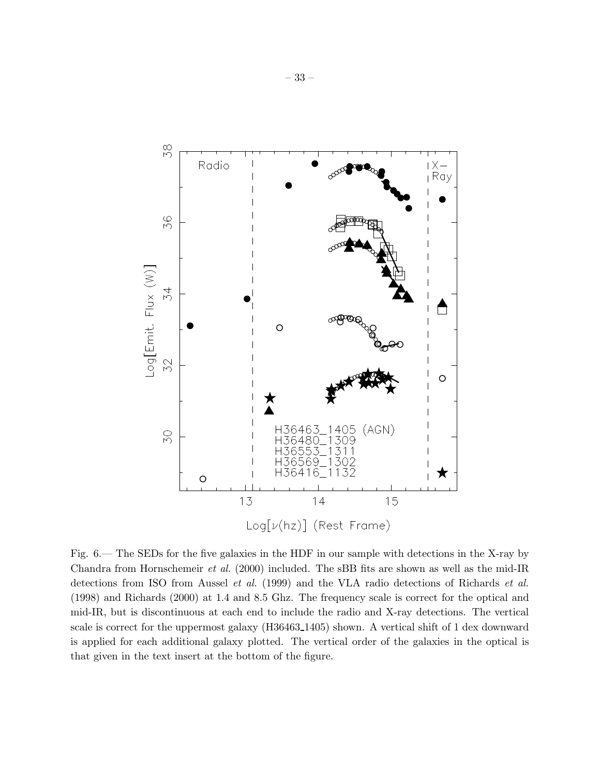

Fig. 6.— The SEDs for the five galaxies in the HDF in our sample with detections in the X-ray by Chandra from Hornschemeir *et al.* (2000) included. The sBB fits are shown as well as the mid-IR detections from ISO from Aussel *et al.* (1999) and the VLA radio detections of Richards *et al.* (1998) and Richards (2000) at 1.4 and 8.5 Ghz. The frequency scale is correct for the optical and mid-IR, but is discontinuous at each end to include the radio and X-ray detections. The vertical scale is correct for the uppermost galaxy (H36463 1405) shown. A vertical shift of 1 dex downward is applied for each additional galaxy plotted. The vertical order of the galaxies in the optical is that given in the text insert at the bottom of the figure.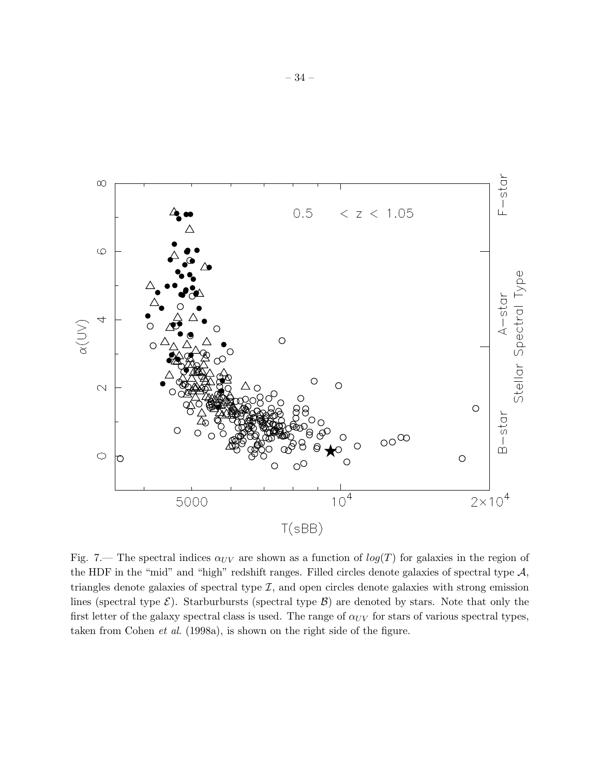

Fig. 7.— The spectral indices  $\alpha_{UV}$  are shown as a function of  $log(T)$  for galaxies in the region of the HDF in the "mid" and "high" redshift ranges. Filled circles denote galaxies of spectral type  $A$ , triangles denote galaxies of spectral type  $\mathcal{I}$ , and open circles denote galaxies with strong emission lines (spectral type  $\mathcal{E}$ ). Starburbursts (spectral type  $\mathcal{B}$ ) are denoted by stars. Note that only the first letter of the galaxy spectral class is used. The range of  $\alpha_{UV}$  for stars of various spectral types, taken from Cohen *et al.* (1998a), is shown on the right side of the figure.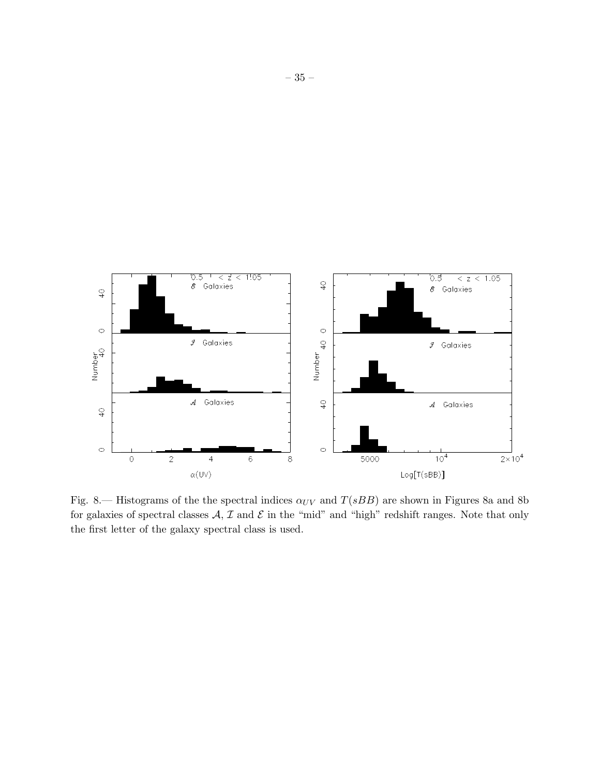

Fig. 8.— Histograms of the the spectral indices  $\alpha_{UV}$  and  $T(sBB)$  are shown in Figures 8a and 8b for galaxies of spectral classes  $A, I$  and  $E$  in the "mid" and "high" redshift ranges. Note that only the first letter of the galaxy spectral class is used.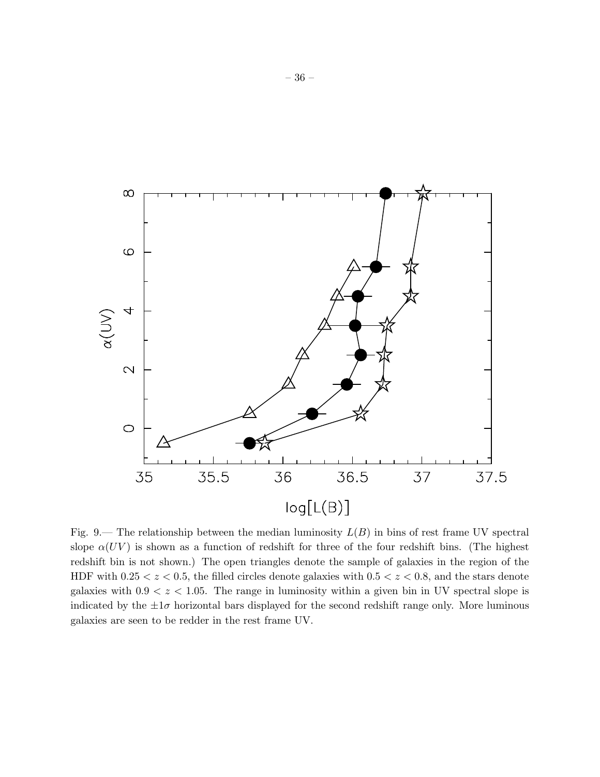

Fig. 9.— The relationship between the median luminosity  $L(B)$  in bins of rest frame UV spectral slope  $\alpha(UV)$  is shown as a function of redshift for three of the four redshift bins. (The highest redshift bin is not shown.) The open triangles denote the sample of galaxies in the region of the HDF with  $0.25 < z < 0.5$ , the filled circles denote galaxies with  $0.5 < z < 0.8$ , and the stars denote galaxies with  $0.9 < z < 1.05$ . The range in luminosity within a given bin in UV spectral slope is indicated by the  $\pm 1\sigma$  horizontal bars displayed for the second redshift range only. More luminous galaxies are seen to be redder in the rest frame UV.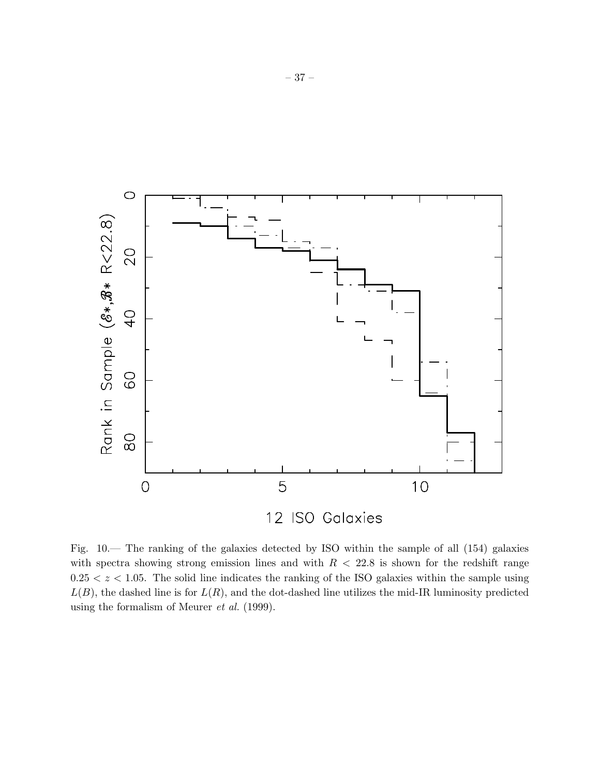

Fig. 10.— The ranking of the galaxies detected by ISO within the sample of all (154) galaxies with spectra showing strong emission lines and with  $R < 22.8$  is shown for the redshift range  $0.25 < z < 1.05$ . The solid line indicates the ranking of the ISO galaxies within the sample using  $L(B)$ , the dashed line is for  $L(R)$ , and the dot-dashed line utilizes the mid-IR luminosity predicted using the formalism of Meurer *et al.* (1999).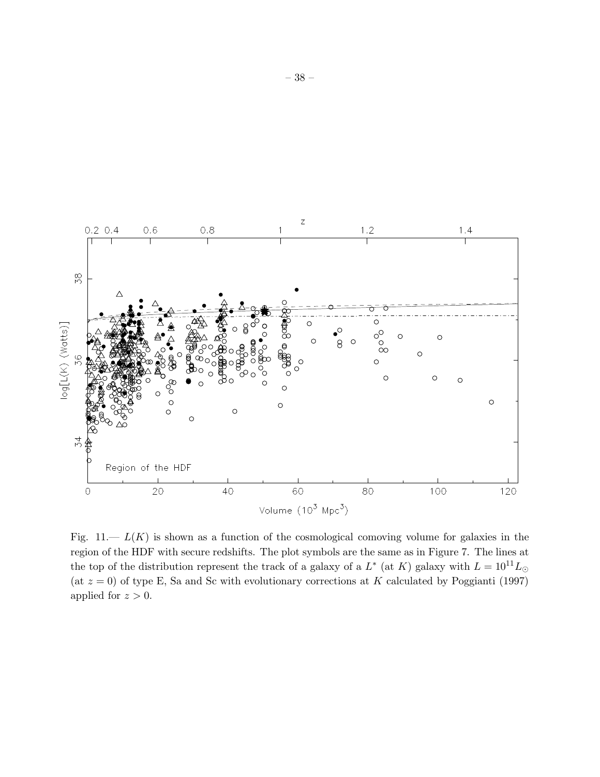

Fig.  $11 - L(K)$  is shown as a function of the cosmological comoving volume for galaxies in the region of the HDF with secure redshifts. The plot symbols are the same as in Figure 7. The lines at the top of the distribution represent the track of a galaxy of a  $L^*$  (at K) galaxy with  $L = 10^{11} L_{\odot}$ (at  $z = 0$ ) of type E, Sa and Sc with evolutionary corrections at K calculated by Poggianti (1997) applied for  $z > 0$ .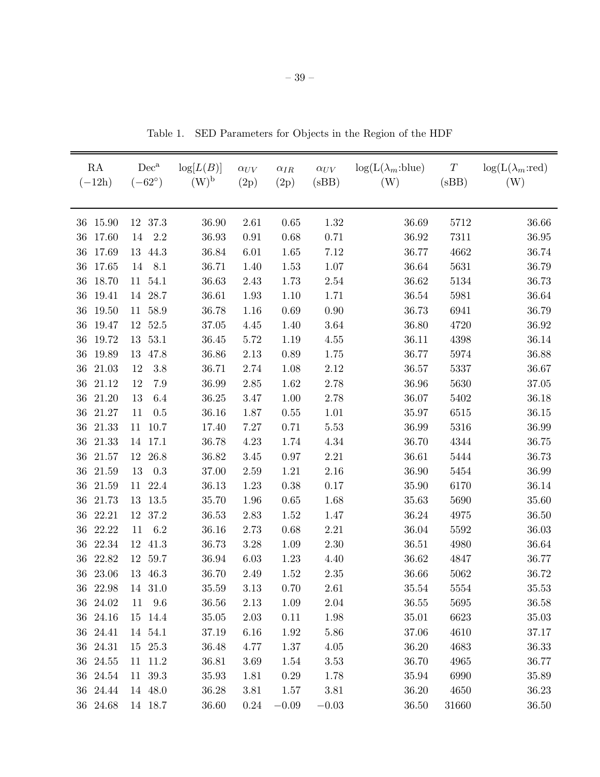| RA<br>$(-12h)$ | $Dec^a$<br>$(-62^{\circ})$ | log[L(B)]<br>$(W)^{\rm b}$ | $\alpha_{UV}$<br>(2p) | $\alpha_{IR}$<br>(2p) | $\alpha_{UV}$<br>(sBB) | $log(L(\lambda_m:blue))$<br>(W) | $\cal T$<br>(sBB) | $\log(L(\lambda_m:red))$<br>(W) |
|----------------|----------------------------|----------------------------|-----------------------|-----------------------|------------------------|---------------------------------|-------------------|---------------------------------|
| 15.90<br>36    | 37.3<br>12                 | 36.90                      | 2.61                  | 0.65                  | 1.32                   | 36.69                           | 5712              | 36.66                           |
| 17.60<br>36    | 2.2<br>14                  | 36.93                      | $\rm 0.91$            | 0.68                  | 0.71                   | 36.92                           | 7311              | 36.95                           |
| 36 17.69       | 13 44.3                    | 36.84                      | 6.01                  | 1.65                  | 7.12                   | 36.77                           | 4662              | 36.74                           |
| 17.65<br>36    | 8.1<br>14                  | 36.71                      | 1.40                  | $1.53\,$              | 1.07                   | 36.64                           | 5631              | 36.79                           |
| 36 18.70       | 11 54.1                    | 36.63                      | 2.43                  | 1.73                  | 2.54                   | 36.62                           | $5134\,$          | 36.73                           |
| 36<br>19.41    | 28.7<br>14                 | 36.61                      | $1.93\,$              | $1.10\,$              | 1.71                   | 36.54                           | 5981              | $36.64\,$                       |
| 36<br>19.50    | 11 58.9                    | 36.78                      | 1.16                  | 0.69                  | 0.90                   | 36.73                           | 6941              | 36.79                           |
| 36<br>19.47    | 52.5<br>12                 | 37.05                      | 4.45                  | 1.40                  | 3.64                   | 36.80                           | 4720              | $36.92\,$                       |
| 36<br>19.72    | 53.1<br>13                 | 36.45                      | 5.72                  | 1.19                  | 4.55                   | 36.11                           | 4398              | 36.14                           |
| 36<br>19.89    | 13<br>47.8                 | 36.86                      | $2.13\,$              | 0.89                  | 1.75                   | 36.77                           | 5974              | 36.88                           |
| 36<br>21.03    | $3.8\,$<br>12              | 36.71                      | 2.74                  | 1.08                  | 2.12                   | 36.57                           | 5337              | 36.67                           |
| 36<br>21.12    | 7.9<br>12                  | 36.99                      | $2.85\,$              | 1.62                  | 2.78                   | 36.96                           | 5630              | $37.05\,$                       |
| 36<br>21.20    | 6.4<br>13                  | 36.25                      | 3.47                  | $1.00\,$              | 2.78                   | 36.07                           | 5402              | 36.18                           |
| 36<br>21.27    | 11<br>0.5                  | 36.16                      | 1.87                  | $0.55\,$              | 1.01                   | 35.97                           | 6515              | 36.15                           |
| 21.33<br>36    | 10.7<br>11                 | 17.40                      | 7.27                  | 0.71                  | 5.53                   | 36.99                           | 5316              | 36.99                           |
| 36<br>21.33    | 17.1<br>14                 | 36.78                      | 4.23                  | 1.74                  | 4.34                   | 36.70                           | 4344              | 36.75                           |
| 36<br>21.57    | 12 26.8                    | 36.82                      | $3.45\,$              | 0.97                  | 2.21                   | 36.61                           | 5444              | 36.73                           |
| 36<br>21.59    | 13<br>0.3                  | 37.00                      | 2.59                  | 1.21                  | 2.16                   | 36.90                           | 5454              | 36.99                           |
| 36<br>21.59    | 22.4<br>11                 | 36.13                      | 1.23                  | 0.38                  | 0.17                   | 35.90                           | 6170              | 36.14                           |
| 36<br>21.73    | 13.5<br>13                 | 35.70                      | 1.96                  | $0.65\,$              | 1.68                   | 35.63                           | 5690              | 35.60                           |
| 36<br>22.21    | 12<br>37.2                 | $36.53\,$                  | 2.83                  | 1.52                  | 1.47                   | 36.24                           | 4975              | 36.50                           |
| 36<br>22.22    | 6.2<br>11                  | 36.16                      | 2.73                  | 0.68                  | 2.21                   | 36.04                           | 5592              | 36.03                           |
| 36<br>22.34    | 12<br>41.3                 | 36.73                      | $3.28\,$              | 1.09                  | 2.30                   | 36.51                           | 4980              | 36.64                           |
| 36<br>22.82    | 12<br>59.7                 | 36.94                      | $6.03\,$              | 1.23                  | 4.40                   | 36.62                           | 4847              | 36.77                           |
| 36<br>23.06    | 13<br>46.3                 | 36.70                      | 2.49                  | 1.52                  | $2.35\,$               | 36.66                           | 5062              | 36.72                           |
| 36<br>22.98    | 14 31.0                    | 35.59                      | 3.13                  | 0.70                  | 2.61                   | 35.54                           | 5554              | 35.53                           |
| 36 24.02       | 11 9.6                     | 36.56                      | 2.13                  | 1.09                  | 2.04                   | 36.55                           | 5695              | 36.58                           |
| 36 24.16       | 15 14.4                    | 35.05                      | 2.03                  | 0.11                  | 1.98                   | $35.01\,$                       | 6623              | 35.03                           |
| 36 24.41       | 14 54.1                    | 37.19                      | 6.16                  | 1.92                  | $5.86\,$               | $37.06\,$                       | 4610              | 37.17                           |
| 36 24.31       | 15 25.3                    | 36.48                      | 4.77                  | 1.37                  | 4.05                   | 36.20                           | 4683              | 36.33                           |
| 36 24.55       | 11 11.2                    | 36.81                      | 3.69                  | 1.54                  | $3.53\,$               | 36.70                           | 4965              | 36.77                           |
| 36 24.54       | 11 39.3                    | 35.93                      | 1.81                  | 0.29                  | 1.78                   | 35.94                           | 6990              | 35.89                           |
| 36 24.44       | 14 48.0                    | 36.28                      | 3.81                  | 1.57                  | $3.81\,$               | 36.20                           | 4650              | 36.23                           |
| 36 24.68       | 14 18.7                    | 36.60                      | 0.24                  | $-0.09$               | $-0.03$                | 36.50                           | 31660             | 36.50                           |

Table 1. SED Parameters for Objects in the Region of the HDF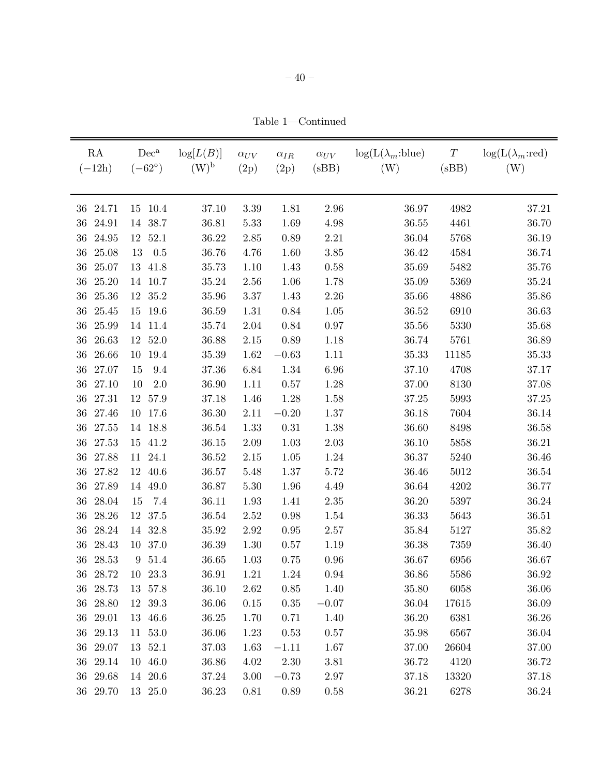Table 1—Continued

| RA<br>$(-12h)$ | $Dec^a$<br>$(-62^{\circ})$ | $\log[L(B)]$<br>$(W)^b$ | $\alpha_{UV}$<br>(2p) | $\alpha_{IR}$<br>(2p) | $\alpha_{UV}$<br>(sBB) | $\log(L(\lambda_m:blue))$<br>(W) | $\boldsymbol{T}$<br>(sBB) | $log(L(\lambda_m:red))$<br>(W) |
|----------------|----------------------------|-------------------------|-----------------------|-----------------------|------------------------|----------------------------------|---------------------------|--------------------------------|
| 36 24.71       |                            |                         | $3.39\,$              | 1.81                  | 2.96                   |                                  |                           |                                |
| 24.91<br>36    | 10.4<br>15<br>14 38.7      | 37.10<br>36.81          | 5.33                  | 1.69                  | 4.98                   | 36.97<br>36.55                   | 4982<br>4461              | 37.21<br>36.70                 |
| 24.95<br>36    | 12 52.1                    | 36.22                   | 2.85                  | 0.89                  | 2.21                   | 36.04                            | 5768                      | 36.19                          |
| 25.08<br>36    | 0.5<br>13                  | 36.76                   | 4.76                  | 1.60                  | 3.85                   | 36.42                            | 4584                      | 36.74                          |
| 25.07<br>36    | 13<br>41.8                 | 35.73                   | 1.10                  | 1.43                  | 0.58                   | 35.69                            | 5482                      | 35.76                          |
| 25.20<br>36    | 10.7<br>14                 | 35.24                   | 2.56                  | 1.06                  | 1.78                   | 35.09                            | 5369                      | 35.24                          |
| 25.36<br>36    | 12<br>35.2                 | 35.96                   | 3.37                  | 1.43                  | $2.26\,$               | 35.66                            | 4886                      | $35.86\,$                      |
| 36<br>25.45    | 19.6<br>15                 | 36.59                   | $1.31\,$              | 0.84                  | 1.05                   | $36.52\,$                        | 6910                      | 36.63                          |
| 25.99<br>36    | 11.4<br>14                 | 35.74                   | $2.04\,$              | $0.84\,$              | $0.97\,$               | 35.56                            | 5330                      | 35.68                          |
| 26.63<br>36    | 52.0<br>12                 | 36.88                   | 2.15                  | $0.89\,$              | 1.18                   | 36.74                            | 5761                      | 36.89                          |
| 26.66<br>36    | 19.4<br>10                 | 35.39                   | 1.62                  | $-0.63$               | 1.11                   | 35.33                            | 11185                     | 35.33                          |
| 27.07<br>36    | 9.4<br>15                  | 37.36                   | $6.84\,$              | 1.34                  | 6.96                   | 37.10                            | 4708                      | 37.17                          |
| 27.10<br>36    | 2.0<br>10                  | 36.90                   | $1.11\,$              | $0.57\,$              | 1.28                   | 37.00                            | 8130                      | 37.08                          |
| 27.31<br>36    | 12 57.9                    | 37.18                   | 1.46                  | 1.28                  | 1.58                   | 37.25                            | 5993                      | 37.25                          |
| 27.46<br>36    | 10<br>17.6                 | 36.30                   | 2.11                  | $-0.20$               | 1.37                   | 36.18                            | 7604                      | 36.14                          |
| 36<br>27.55    | 14 18.8                    | 36.54                   | 1.33                  | $0.31\,$              | 1.38                   | 36.60                            | 8498                      | 36.58                          |
| 27.53<br>36    | 41.2<br>15                 | 36.15                   | $2.09\,$              | $1.03\,$              | $2.03\,$               | 36.10                            | 5858                      | 36.21                          |
| 36<br>27.88    | 24.1<br>11                 | 36.52                   | 2.15                  | 1.05                  | 1.24                   | 36.37                            | 5240                      | 36.46                          |
| 27.82<br>36    | 40.6<br>12                 | 36.57                   | 5.48                  | $1.37\,$              | 5.72                   | 36.46                            | 5012                      | $36.54\,$                      |
| 27.89<br>36    | 14 49.0                    | 36.87                   | 5.30                  | 1.96                  | 4.49                   | 36.64                            | 4202                      | 36.77                          |
| 28.04<br>36    | 7.4<br>15                  | 36.11                   | $1.93\,$              | 1.41                  | $2.35\,$               | 36.20                            | 5397                      | 36.24                          |
| 28.26<br>36    | 12 37.5                    | 36.54                   | 2.52                  | 0.98                  | 1.54                   | 36.33                            | 5643                      | 36.51                          |
| 28.24<br>36    | 32.8<br>14                 | 35.92                   | $2.92\,$              | $0.95\,$              | $2.57\,$               | 35.84                            | 5127                      | 35.82                          |
| 28.43<br>36    | 10 37.0                    | 36.39                   | 1.30                  | 0.57                  | 1.19                   | 36.38                            | 7359                      | 36.40                          |
| 28.53<br>36    | 51.4<br>$\boldsymbol{9}$   | 36.65                   | $1.03\,$              | 0.75                  | 0.96                   | 36.67                            | 6956                      | 36.67                          |
| 28.72<br>36    | $10\,$<br>23.3             | 36.91                   | 1.21                  | 1.24                  | $0.94\,$               | 36.86                            | 5586                      | 36.92                          |
| 36 28.73       | 13 57.8                    | 36.10                   | 2.62                  | 0.85                  | 1.40                   | 35.80                            | 6058                      | 36.06                          |
| 36 28.80       | 12 39.3                    | 36.06                   | $0.15\,$              | 0.35                  | $-0.07$                | 36.04                            | 17615                     | 36.09                          |
| 36 29.01       | 13 46.6                    | 36.25                   | 1.70                  | 0.71                  | 1.40                   | 36.20                            | 6381                      | 36.26                          |
| 36 29.13       | $11\ 53.0$                 | 36.06                   | 1.23                  | 0.53                  | 0.57                   | 35.98                            | 6567                      | 36.04                          |
| 36 29.07       | 13 52.1                    | 37.03                   | 1.63                  | $-1.11$               | 1.67                   | 37.00                            | 26604                     | 37.00                          |
| 36 29.14       | 10 46.0                    | 36.86                   | 4.02                  | $2.30\,$              | 3.81                   | 36.72                            | 4120                      | 36.72                          |
| 36 29.68       | 14 20.6                    | 37.24                   | 3.00                  | $-0.73$               | 2.97                   | 37.18                            | 13320                     | 37.18                          |
| 36 29.70       | $13\quad 25.0$             | 36.23                   | $0.81\,$              | $0.89\,$              | 0.58                   | 36.21                            | 6278                      | 36.24                          |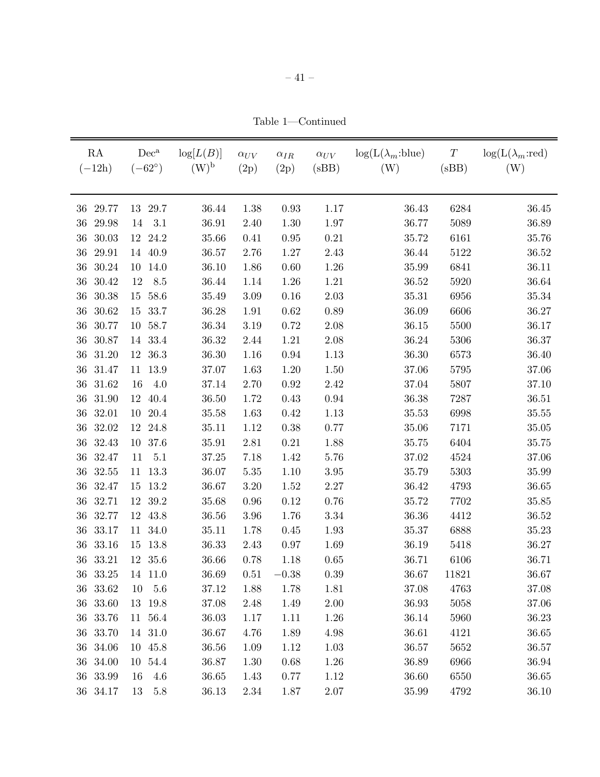Table 1—Continued

| RA<br>$(-12h)$  | $Dec^a$<br>$(-62^{\circ})$ | $\log[L(B)]$<br>$(W)^{b}$ | $\alpha_{UV}$<br>(2p) | $\alpha_{IR}$<br>(2p) | $\alpha_{UV}$<br>(sBB) | $log(L(\lambda_m:blue))$<br>(W) | $\cal T$<br>(sBB) | $log(L(\lambda_m:red))$<br>(W) |
|-----------------|----------------------------|---------------------------|-----------------------|-----------------------|------------------------|---------------------------------|-------------------|--------------------------------|
|                 |                            |                           |                       |                       |                        |                                 |                   |                                |
| 29.77<br>36     | 29.7<br>13                 | 36.44                     | 1.38                  | 0.93                  | 1.17                   | 36.43                           | 6284              | 36.45                          |
| 36<br>29.98     | 3.1<br>14                  | 36.91                     | 2.40                  | 1.30                  | 1.97                   | 36.77                           | 5089              | 36.89                          |
| 36<br>30.03     | 12 24.2                    | 35.66                     | 0.41                  | 0.95                  | 0.21                   | 35.72                           | 6161              | 35.76                          |
| 29.91<br>$36\,$ | 14 40.9                    | 36.57                     | 2.76                  | $1.27\,$              | 2.43                   | 36.44                           | 5122              | 36.52                          |
| 30.24<br>36     | 10<br>14.0                 | 36.10                     | 1.86                  | 0.60                  | 1.26                   | 35.99                           | 6841              | 36.11                          |
| 36<br>30.42     | 8.5<br>12                  | 36.44                     | 1.14                  | 1.26                  | 1.21                   | 36.52                           | 5920              | 36.64                          |
| 30.38<br>36     | 58.6<br>15                 | 35.49                     | $3.09\,$              | $0.16\,$              | $2.03\,$               | 35.31                           | 6956              | $35.34\,$                      |
| 30.62<br>36     | 33.7<br>15                 | 36.28                     | 1.91                  | 0.62                  | 0.89                   | 36.09                           | 6606              | 36.27                          |
| 36<br>30.77     | 58.7<br>10                 | 36.34                     | $3.19\,$              | 0.72                  | $2.08\,$               | 36.15                           | 5500              | 36.17                          |
| 30.87<br>$36\,$ | $33.4\,$<br>14             | 36.32                     | 2.44                  | 1.21                  | 2.08                   | 36.24                           | 5306              | 36.37                          |
| 31.20<br>36     | 36.3<br>12                 | $36.30\,$                 | 1.16                  | $\rm 0.94$            | 1.13                   | 36.30                           | 6573              | 36.40                          |
| 31.47<br>36     | 13.9<br>11                 | 37.07                     | 1.63                  | $1.20\,$              | 1.50                   | 37.06                           | 5795              | 37.06                          |
| 31.62<br>36     | 4.0<br>16                  | 37.14                     | 2.70                  | 0.92                  | $2.42\,$               | 37.04                           | 5807              | 37.10                          |
| 31.90<br>$36\,$ | 40.4<br>12                 | 36.50                     | 1.72                  | 0.43                  | $0.94\,$               | 36.38                           | 7287              | 36.51                          |
| 32.01<br>36     | 20.4<br>10                 | 35.58                     | 1.63                  | 0.42                  | 1.13                   | 35.53                           | 6998              | 35.55                          |
| 32.02<br>36     | 24.8<br>12                 | 35.11                     | 1.12                  | 0.38                  | 0.77                   | 35.06                           | 7171              | 35.05                          |
| 36<br>32.43     | 10<br>37.6                 | 35.91                     | $2.81\,$              | $0.21\,$              | 1.88                   | 35.75                           | 6404              | 35.75                          |
| 32.47<br>36     | 5.1<br>11                  | 37.25                     | 7.18                  | 1.42                  | 5.76                   | 37.02                           | 4524              | 37.06                          |
| 32.55<br>36     | 13.3<br>11                 | 36.07                     | $5.35\,$              | 1.10                  | $3.95\,$               | 35.79                           | $5303\,$          | 35.99                          |
| 32.47<br>36     | 13.2<br>15                 | 36.67                     | 3.20                  | 1.52                  | 2.27                   | 36.42                           | 4793              | 36.65                          |
| 32.71<br>$36\,$ | 39.2<br>12                 | 35.68                     | $0.96\,$              | 0.12                  | $0.76\,$               | 35.72                           | 7702              | 35.85                          |
| 36<br>32.77     | 43.8<br>12                 | 36.56                     | 3.96                  | 1.76                  | 3.34                   | 36.36                           | 4412              | 36.52                          |
| 33.17<br>36     | 11<br>34.0                 | 35.11                     | 1.78                  | 0.45                  | 1.93                   | 35.37                           | 6888              | 35.23                          |
| 33.16<br>36     | 13.8<br>15                 | 36.33                     | 2.43                  | 0.97                  | 1.69                   | 36.19                           | 5418              | $36.27\,$                      |
| 36<br>33.21     | 12<br>35.6                 | 36.66                     | 0.78                  | 1.18                  | 0.65                   | 36.71                           | 6106              | 36.71                          |
| 36<br>33.25     | 14 11.0                    | 36.69                     | 0.51                  | $-0.38$               | 0.39                   | 36.67                           | 11821             | 36.67                          |
| 36 33.62        | 10<br>5.6                  | 37.12                     | 1.88                  | 1.78                  | 1.81                   | 37.08                           | 4763              | 37.08                          |
| 36 33.60        | 13 19.8                    | 37.08                     | 2.48                  | 1.49                  | $2.00\,$               | 36.93                           | 5058              | 37.06                          |
| 36 33.76        | 11 56.4                    | 36.03                     | 1.17                  | 1.11                  | 1.26                   | 36.14                           | 5960              | 36.23                          |
| 36 33.70        | 14 31.0                    | 36.67                     | 4.76                  | 1.89                  | 4.98                   | 36.61                           | 4121              | 36.65                          |
| 36 34.06        | 10 45.8                    | 36.56                     | 1.09                  | 1.12                  | 1.03                   | 36.57                           | 5652              | 36.57                          |
| 36 34.00        | 10 54.4                    | 36.87                     | 1.30                  | 0.68                  | 1.26                   | 36.89                           | 6966              | 36.94                          |
| 36 33.99        | 4.6<br>16                  | 36.65                     | 1.43                  | 0.77                  | 1.12                   | 36.60                           | 6550              | 36.65                          |
| 36 34.17        | $5.8\,$<br>13              | 36.13                     | $2.34\,$              | 1.87                  | $2.07\,$               | 35.99                           | 4792              | 36.10                          |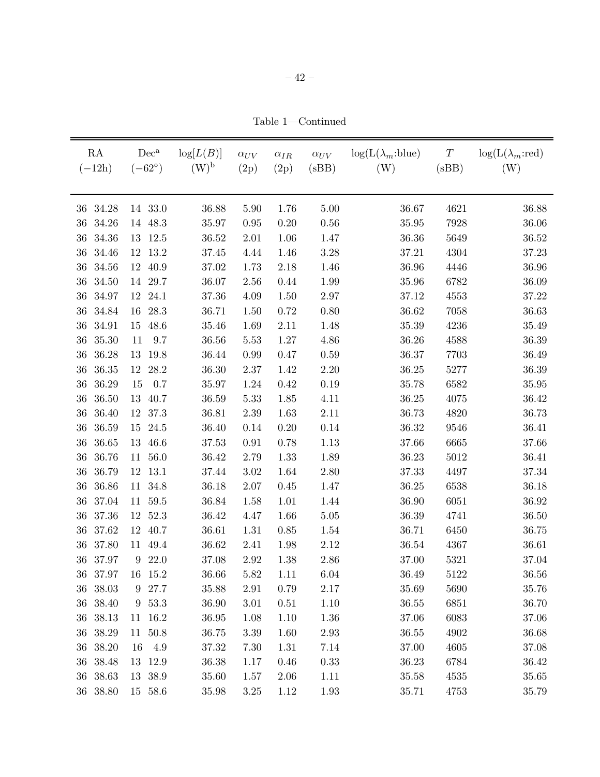Table 1—Continued

| RA<br>$(-12h)$  | $Dec^a$<br>$(-62^{\circ})$ | log[L(B)]<br>$(W)^{\rm b}$ | $\alpha_{UV}$<br>(2p) | $\alpha_{IR}$<br>(2p) | $\alpha_{UV}$<br>(sBB) | $\log(L(\lambda_m:blue))$<br>(W) | $\cal T$<br>(sBB) | $\log(L(\lambda_m:red))$<br>(W) |
|-----------------|----------------------------|----------------------------|-----------------------|-----------------------|------------------------|----------------------------------|-------------------|---------------------------------|
| 34.28<br>36     | 14 33.0                    | 36.88                      | 5.90                  | 1.76                  | 5.00                   | 36.67                            | 4621              | 36.88                           |
| 34.26<br>36     | 14 48.3                    | 35.97                      | 0.95                  | 0.20                  | 0.56                   | 35.95                            | 7928              | 36.06                           |
| 34.36<br>36     | 13 12.5                    | 36.52                      | $2.01\,$              | 1.06                  | 1.47                   | 36.36                            | 5649              | 36.52                           |
| 34.46<br>36     | 13.2<br>12                 | 37.45                      | 4.44                  | 1.46                  | 3.28                   | 37.21                            | 4304              | 37.23                           |
| 34.56<br>36     | 40.9<br>12                 | 37.02                      | 1.73                  | 2.18                  | 1.46                   | 36.96                            | 4446              | $36.96\,$                       |
| 34.50<br>36     | 14 29.7                    | 36.07                      | 2.56                  | 0.44                  | 1.99                   | 35.96                            | 6782              | 36.09                           |
| 34.97<br>36     | 12<br>24.1                 | 37.36                      | 4.09                  | 1.50                  | 2.97                   | 37.12                            | 4553              | 37.22                           |
| 34.84<br>36     | 28.3<br>16                 | 36.71                      | 1.50                  | 0.72                  | 0.80                   | 36.62                            | 7058              | 36.63                           |
| 36<br>34.91     | 48.6<br>15                 | 35.46                      | 1.69                  | 2.11                  | 1.48                   | 35.39                            | 4236              | $35.49\,$                       |
| 36<br>35.30     | 9.7<br>11                  | 36.56                      | 5.53                  | $1.27\,$              | 4.86                   | 36.26                            | 4588              | 36.39                           |
| 36<br>36.28     | 19.8<br>13                 | 36.44                      | 0.99                  | 0.47                  | $0.59\,$               | 36.37                            | 7703              | 36.49                           |
| 36.35<br>$36\,$ | 12 28.2                    | 36.30                      | 2.37                  | 1.42                  | 2.20                   | 36.25                            | 5277              | 36.39                           |
| 36<br>36.29     | 15<br>0.7                  | 35.97                      | 1.24                  | 0.42                  | 0.19                   | 35.78                            | 6582              | 35.95                           |
| 36<br>36.50     | 40.7<br>13                 | 36.59                      | 5.33                  | 1.85                  | 4.11                   | 36.25                            | 4075              | 36.42                           |
| 36<br>36.40     | 12 37.3                    | 36.81                      | 2.39                  | 1.63                  | 2.11                   | 36.73                            | 4820              | 36.73                           |
| 36<br>36.59     | 24.5<br>15                 | 36.40                      | 0.14                  | 0.20                  | 0.14                   | 36.32                            | 9546              | 36.41                           |
| $36\,$<br>36.65 | 46.6<br>13                 | 37.53                      | 0.91                  | 0.78                  | 1.13                   | 37.66                            | 6665              | 37.66                           |
| 36.76<br>36     | 11 56.0                    | 36.42                      | 2.79                  | 1.33                  | 1.89                   | 36.23                            | 5012              | 36.41                           |
| 36.79<br>36     | 13.1<br>12                 | 37.44                      | $3.02\,$              | 1.64                  | 2.80                   | 37.33                            | 4497              | $37.34\,$                       |
| 36.86<br>36     | 11 34.8                    | 36.18                      | $2.07\,$              | 0.45                  | 1.47                   | 36.25                            | 6538              | 36.18                           |
| 37.04<br>$36\,$ | 59.5<br>11                 | 36.84                      | 1.58                  | 1.01                  | 1.44                   | 36.90                            | $6051\,$          | 36.92                           |
| 36<br>37.36     | 12 52.3                    | 36.42                      | 4.47                  | 1.66                  | 5.05                   | 36.39                            | 4741              | 36.50                           |
| 37.62<br>$36\,$ | 12 40.7                    | 36.61                      | 1.31                  | 0.85                  | 1.54                   | 36.71                            | 6450              | 36.75                           |
| $36\,$<br>37.80 | 11 49.4                    | 36.62                      | 2.41                  | 1.98                  | 2.12                   | 36.54                            | 4367              | 36.61                           |
| $36\,$<br>37.97 | 22.0<br>9                  | 37.08                      | $2.92\,$              | 1.38                  | $2.86\,$               | 37.00                            | $5321\,$          | $37.04\,$                       |
| 36 37.97        | 16 15.2                    | 36.66                      | 5.82                  | 1.11                  | 6.04                   | 36.49                            | 5122              | 36.56                           |
| 36 38.03        | 9 27.7                     | 35.88                      | 2.91                  | 0.79                  | 2.17                   | 35.69                            | 5690              | 35.76                           |
| 36 38.40        | 9 53.3                     | 36.90                      | 3.01                  | 0.51                  | 1.10                   | 36.55                            | 6851              | 36.70                           |
| 36 38.13        | 11 16.2                    | 36.95                      | 1.08                  | 1.10                  | 1.36                   | 37.06                            | 6083              | 37.06                           |
| 36 38.29        | 11 50.8                    | 36.75                      | $3.39\,$              | 1.60                  | $2.93\,$               | 36.55                            | 4902              | 36.68                           |
| 36 38.20        | 4.9<br>16                  | 37.32                      | 7.30                  | 1.31                  | 7.14                   | 37.00                            | 4605              | 37.08                           |
| 36 38.48        | 13 12.9                    | 36.38                      | 1.17                  | 0.46                  | 0.33                   | 36.23                            | 6784              | 36.42                           |
| 36 38.63        | 13 38.9                    | 35.60                      | 1.57                  | 2.06                  | 1.11                   | 35.58                            | 4535              | 35.65                           |
| 36 38.80        | 15 58.6                    | 35.98                      | $3.25\,$              | 1.12                  | 1.93                   | 35.71                            | 4753              | 35.79                           |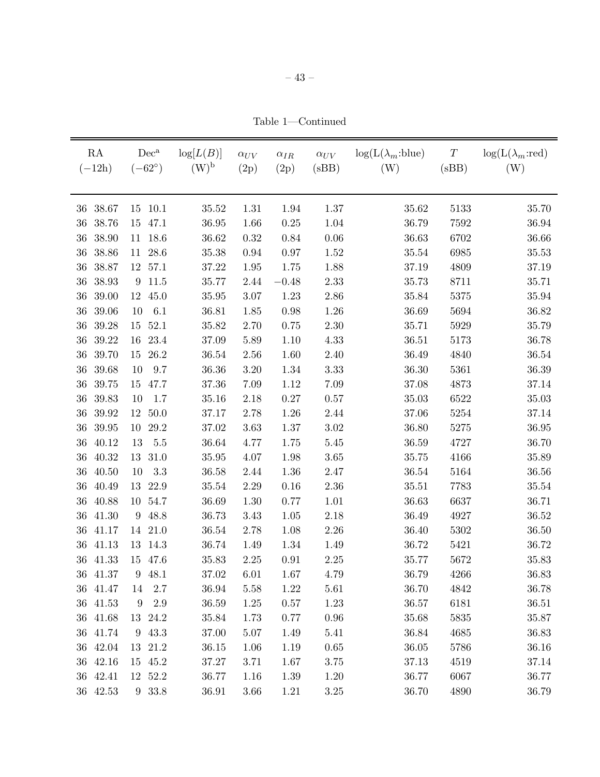Table 1—Continued

| RA<br>$(-12h)$                 | $Dec^a$<br>$(-62^{\circ})$ |              | log[L(B)]<br>$(W)^{b}$ | $\alpha_{UV}$<br>(2p) | $\alpha_{IR}$<br>(2p) | $\alpha_{UV}$<br>(sBB) | $\log(L(\lambda_m:blue))$<br>(W) | $\boldsymbol{T}$<br>(sBB) | $log(L(\lambda_m:red))$<br>(W) |
|--------------------------------|----------------------------|--------------|------------------------|-----------------------|-----------------------|------------------------|----------------------------------|---------------------------|--------------------------------|
|                                |                            |              |                        |                       |                       |                        |                                  |                           |                                |
| 38.67<br>36<br>$36\,$<br>38.76 | 15<br>15                   | 10.1<br>47.1 | 35.52<br>36.95         | 1.31<br>1.66          | 1.94<br>$0.25\,$      | 1.37<br>1.04           | 35.62<br>36.79                   | 5133<br>7592              | 35.70<br>36.94                 |
| 38.90<br>36                    | 11                         | 18.6         | 36.62                  | 0.32                  | $0.84\,$              | $0.06\,$               | 36.63                            | 6702                      | 36.66                          |
| 38.86<br>36                    | 11                         | 28.6         | 35.38                  | $0.94\,$              | $0.97\,$              | 1.52                   | 35.54                            | 6985                      | $35.53\,$                      |
| 38.87<br>36                    | 12                         | 57.1         | 37.22                  | $1.95\,$              | 1.75                  | 1.88                   | 37.19                            | 4809                      | 37.19                          |
| $36\,$<br>38.93                | 9                          | 11.5         | 35.77                  | 2.44                  | $-0.48$               | 2.33                   | 35.73                            | 8711                      | 35.71                          |
| 39.00<br>36                    | 12                         | 45.0         | 35.95                  | 3.07                  | $1.23\,$              | $2.86\,$               | 35.84                            | 5375                      | $35.94\,$                      |
| $36\,$<br>39.06                | 10                         | 6.1          | 36.81                  | 1.85                  | $0.98\,$              | 1.26                   | 36.69                            | 5694                      | 36.82                          |
| 39.28<br>36                    | 15                         | 52.1         | 35.82                  | 2.70                  | 0.75                  | $2.30\,$               | 35.71                            | 5929                      | 35.79                          |
| $36\,$<br>39.22                | 16                         | 23.4         | 37.09                  | 5.89                  | 1.10                  | 4.33                   | 36.51                            | 5173                      | 36.78                          |
| 39.70<br>36                    | 15                         | 26.2         | 36.54                  | 2.56                  | 1.60                  | 2.40                   | 36.49                            | 4840                      | 36.54                          |
| 39.68<br>$36\,$                | 10                         | 9.7          | 36.36                  | 3.20                  | 1.34                  | $3.33\,$               | 36.30                            | 5361                      | 36.39                          |
| 39.75<br>36                    | 15                         | 47.7         | 37.36                  | 7.09                  | 1.12                  | 7.09                   | 37.08                            | 4873                      | 37.14                          |
| $36\,$<br>39.83                | 10                         | 1.7          | 35.16                  | 2.18                  | $0.27\,$              | $0.57\,$               | 35.03                            | 6522                      | 35.03                          |
| 39.92<br>36                    | 12                         | 50.0         | 37.17                  | 2.78                  | 1.26                  | 2.44                   | 37.06                            | 5254                      | 37.14                          |
| 36<br>39.95                    | 10                         | 29.2         | 37.02                  | 3.63                  | $1.37\,$              | $3.02\,$               | 36.80                            | 5275                      | 36.95                          |
| 36<br>40.12                    | 13                         | 5.5          | 36.64                  | 4.77                  | 1.75                  | 5.45                   | 36.59                            | 4727                      | 36.70                          |
| 40.32<br>36                    | 13                         | 31.0         | 35.95                  | 4.07                  | 1.98                  | 3.65                   | 35.75                            | 4166                      | 35.89                          |
| 40.50<br>36                    | 10                         | $3.3\,$      | 36.58                  | 2.44                  | 1.36                  | 2.47                   | 36.54                            | 5164                      | $36.56\,$                      |
| 36<br>40.49                    | 13                         | 22.9         | 35.54                  | 2.29                  | $0.16\,$              | 2.36                   | 35.51                            | 7783                      | $35.54\,$                      |
| 40.88<br>36                    | 10                         | 54.7         | 36.69                  | $1.30\,$              | 0.77                  | 1.01                   | 36.63                            | 6637                      | 36.71                          |
| 41.30<br>36                    | 9                          | 48.8         | 36.73                  | 3.43                  | 1.05                  | 2.18                   | 36.49                            | 4927                      | 36.52                          |
| 41.17<br>36                    | 14                         | 21.0         | 36.54                  | 2.78                  | 1.08                  | $2.26\,$               | 36.40                            | 5302                      | 36.50                          |
| 41.13<br>36                    | 13                         | 14.3         | 36.74                  | 1.49                  | 1.34                  | 1.49                   | 36.72                            | 5421                      | 36.72                          |
| 36<br>41.33                    | 15                         | 47.6         | 35.83                  | $2.25\,$              | 0.91                  | 2.25                   | 35.77                            | 5672                      | 35.83                          |
| 41.37<br>36                    | $\boldsymbol{9}$           | 48.1         | 37.02                  | 6.01                  | 1.67                  | 4.79                   | 36.79                            | 4266                      | 36.83                          |
| 36 41.47                       | 14                         | 2.7          | 36.94                  | 5.58                  | 1.22                  | 5.61                   | 36.70                            | 4842                      | 36.78                          |
| 36 41.53                       | $9\phantom{.0}$            | 2.9          | 36.59                  | 1.25                  | 0.57                  | 1.23                   | 36.57                            | 6181                      | 36.51                          |
| 36 41.68                       | 13 24.2                    |              | 35.84                  | 1.73                  | 0.77                  | 0.96                   | 35.68                            | 5835                      | 35.87                          |
| 36 41.74                       | 9 43.3                     |              | 37.00                  | $5.07\,$              | 1.49                  | 5.41                   | 36.84                            | 4685                      | 36.83                          |
| 36 42.04                       | 13 21.2                    |              | 36.15                  | 1.06                  | 1.19                  | $0.65\,$               | 36.05                            | 5786                      | 36.16                          |
| 36 42.16                       | 15 45.2                    |              | 37.27                  | 3.71                  | 1.67                  | 3.75                   | 37.13                            | 4519                      | 37.14                          |
| 36 42.41                       | 12 52.2                    |              | 36.77                  | 1.16                  | 1.39                  | 1.20                   | 36.77                            | 6067                      | 36.77                          |
| 36 42.53                       | 9 33.8                     |              | 36.91                  | $3.66\,$              | 1.21                  | $3.25\,$               | 36.70                            | 4890                      | 36.79                          |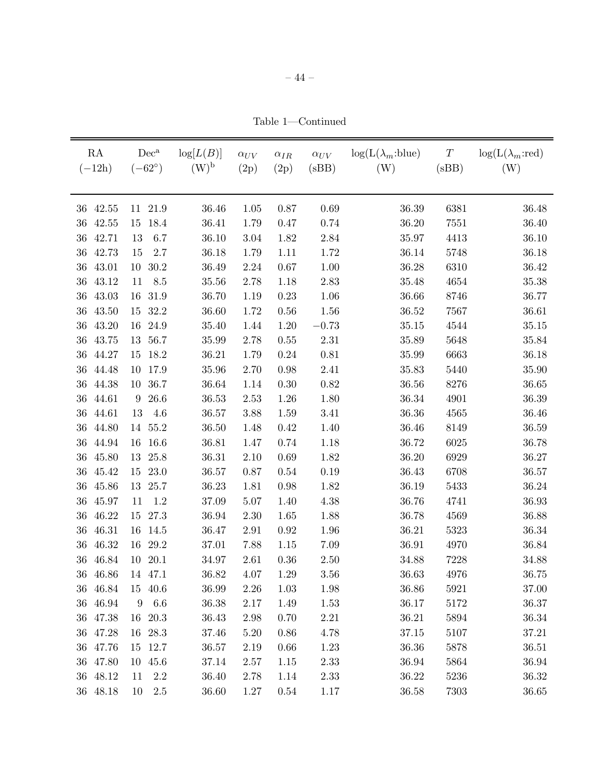Table 1—Continued

| RA<br>$(-12h)$  | $Dec^a$<br>$(-62^{\circ})$ | $\log[L(B)]$<br>$(W)^{\rm b}$ | $\alpha_{UV}$<br>(2p) | $\alpha_{IR}$<br>(2p) | $\alpha_{UV}$<br>(sBB) | $\log(L(\lambda_m:blue))$<br>(W) | $\cal T$<br>(sBB) | $\log(L(\lambda_m:red))$<br>(W) |
|-----------------|----------------------------|-------------------------------|-----------------------|-----------------------|------------------------|----------------------------------|-------------------|---------------------------------|
| 42.55<br>36     | 21.9<br>11                 | 36.46                         | 1.05                  | 0.87                  | 0.69                   | 36.39                            | 6381              | 36.48                           |
| 36<br>42.55     | 18.4<br>15                 | 36.41                         | 1.79                  | 0.47                  | 0.74                   | 36.20                            | 7551              | 36.40                           |
| 36<br>42.71     | 13<br>6.7                  | 36.10                         | $3.04\,$              | 1.82                  | 2.84                   | 35.97                            | 4413              | 36.10                           |
| 42.73<br>36     | 15<br>2.7                  | 36.18                         | 1.79                  | 1.11                  | 1.72                   | 36.14                            | 5748              | 36.18                           |
| 36<br>43.01     | 30.2<br>10                 | 36.49                         | $2.24\,$              | $0.67\,$              | 1.00                   | 36.28                            | 6310              | $36.42\,$                       |
| 43.12<br>$36\,$ | 8.5<br>11                  | 35.56                         | 2.78                  | 1.18                  | 2.83                   | 35.48                            | 4654              | 35.38                           |
| 36<br>43.03     | 31.9<br>16                 | 36.70                         | 1.19                  | 0.23                  | 1.06                   | 36.66                            | 8746              | 36.77                           |
| 43.50<br>$36\,$ | 32.2<br>15                 | 36.60                         | 1.72                  | 0.56                  | 1.56                   | 36.52                            | 7567              | 36.61                           |
| 36<br>43.20     | 24.9<br>16                 | 35.40                         | 1.44                  | $1.20\,$              | $-0.73$                | 35.15                            | 4544              | 35.15                           |
| 43.75<br>36     | 56.7<br>13                 | 35.99                         | 2.78                  | $0.55\,$              | 2.31                   | 35.89                            | 5648              | 35.84                           |
| 36<br>44.27     | 18.2<br>15                 | 36.21                         | 1.79                  | $0.24\,$              | 0.81                   | 35.99                            | 6663              | 36.18                           |
| 36<br>44.48     | 17.9<br>10                 | 35.96                         | 2.70                  | 0.98                  | 2.41                   | 35.83                            | 5440              | 35.90                           |
| 44.38<br>36     | 36.7<br>10                 | 36.64                         | 1.14                  | 0.30                  | 0.82                   | 36.56                            | 8276              | 36.65                           |
| 36<br>44.61     | 26.6<br>9                  | 36.53                         | 2.53                  | 1.26                  | 1.80                   | 36.34                            | 4901              | 36.39                           |
| 44.61<br>36     | 13<br>4.6                  | 36.57                         | 3.88                  | 1.59                  | 3.41                   | 36.36                            | 4565              | 36.46                           |
| 44.80<br>36     | 14 55.2                    | 36.50                         | 1.48                  | 0.42                  | 1.40                   | 36.46                            | 8149              | 36.59                           |
| 44.94<br>36     | 16.6<br>16                 | 36.81                         | 1.47                  | 0.74                  | 1.18                   | 36.72                            | 6025              | 36.78                           |
| 36<br>45.80     | 25.8<br>13                 | 36.31                         | 2.10                  | 0.69                  | 1.82                   | 36.20                            | 6929              | 36.27                           |
| 45.42<br>36     | 23.0<br>15                 | 36.57                         | 0.87                  | 0.54                  | 0.19                   | 36.43                            | 6708              | $36.57\,$                       |
| 45.86<br>36     | 13 25.7                    | 36.23                         | 1.81                  | 0.98                  | 1.82                   | 36.19                            | 5433              | 36.24                           |
| 45.97<br>$36\,$ | 1.2<br>11                  | 37.09                         | $5.07\,$              | 1.40                  | 4.38                   | 36.76                            | 4741              | 36.93                           |
| 46.22<br>36     | 15 27.3                    | 36.94                         | 2.30                  | 1.65                  | 1.88                   | 36.78                            | 4569              | 36.88                           |
| 46.31<br>36     | 14.5<br>16                 | 36.47                         | 2.91                  | $\rm 0.92$            | 1.96                   | 36.21                            | 5323              | 36.34                           |
| 46.32<br>36     | 29.2<br>16                 | 37.01                         | 7.88                  | 1.15                  | 7.09                   | 36.91                            | 4970              | 36.84                           |
| 46.84<br>36     | 20.1<br>10                 | 34.97                         | 2.61                  | $0.36\,$              | 2.50                   | 34.88                            | 7228              | 34.88                           |
| $36\,$<br>46.86 | 14 47.1                    | 36.82                         | 4.07                  | 1.29                  | 3.56                   | 36.63                            | 4976              | 36.75                           |
| 36 46.84        | 15 40.6                    | 36.99                         | 2.26                  | 1.03                  | 1.98                   | 36.86                            | 5921              | 37.00                           |
| 36 46.94        | 6.6<br>$9\phantom{.0}$     | 36.38                         | $2.17\,$              | 1.49                  | 1.53                   | 36.17                            | 5172              | 36.37                           |
| 36 47.38        | 20.3<br>16                 | 36.43                         | 2.98                  | 0.70                  | 2.21                   | 36.21                            | 5894              | 36.34                           |
| 36 47.28        | 16 28.3                    | 37.46                         | $5.20\,$              | 0.86                  | 4.78                   | $37.15\,$                        | 5107              | 37.21                           |
| 36 47.76        | 12.7<br>15                 | 36.57                         | 2.19                  | 0.66                  | 1.23                   | 36.36                            | 5878              | 36.51                           |
| 36 47.80        | 10 45.6                    | 37.14                         | 2.57                  | 1.15                  | 2.33                   | 36.94                            | 5864              | 36.94                           |
| 36 48.12        | $2.2\,$<br>11              | 36.40                         | 2.78                  | 1.14                  | 2.33                   | 36.22                            | 5236              | 36.32                           |
| 36 48.18        | $2.5\,$<br>10              | 36.60                         | 1.27                  | $0.54\,$              | 1.17                   | 36.58                            | 7303              | 36.65                           |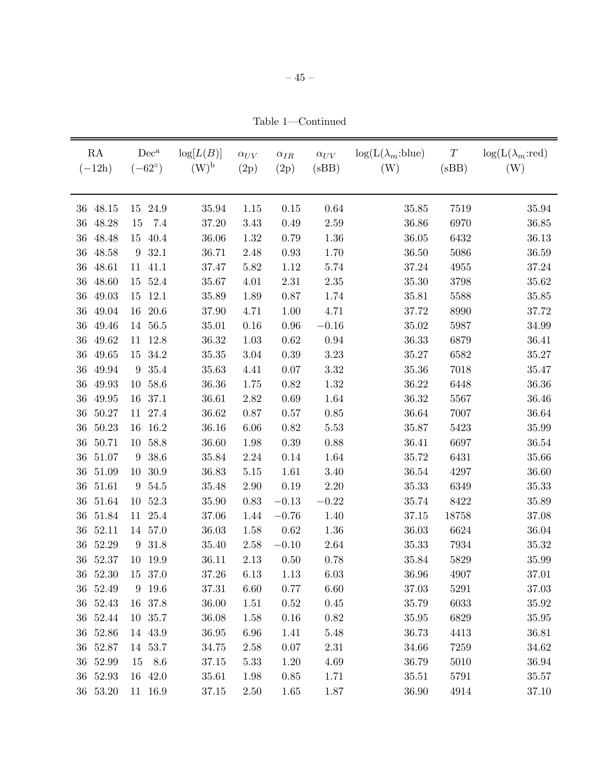Table 1—Continued

| RA<br>$(-12h)$  | $Dec^a$<br>$(-62^{\circ})$ | log[L(B)]<br>$(W)^{b}$ | $\alpha_{UV}$<br>(2p) | $\alpha_{IR}$<br>(2p) | $\alpha_{UV}$<br>(sBB) | $\log(L(\lambda_m:blue))$<br>(W) | $\boldsymbol{T}$<br>(sBB) | $log(L(\lambda_m:red))$<br>(W) |
|-----------------|----------------------------|------------------------|-----------------------|-----------------------|------------------------|----------------------------------|---------------------------|--------------------------------|
| 48.15<br>36     | 24.9<br>15                 | 35.94                  | 1.15                  | $0.15\,$              | 0.64                   | 35.85                            | 7519                      | 35.94                          |
| 36<br>48.28     | 7.4<br>15                  | 37.20                  | 3.43                  | 0.49                  | 2.59                   | 36.86                            | 6970                      | 36.85                          |
| 48.48<br>36     | 40.4<br>15                 | 36.06                  | 1.32                  | 0.79                  | 1.36                   | 36.05                            | 6432                      | 36.13                          |
| 48.58<br>36     | 32.1<br>9                  | 36.71                  | 2.48                  | 0.93                  | 1.70                   | 36.50                            | 5086                      | 36.59                          |
| 48.61<br>36     | 41.1<br>11                 | 37.47                  | 5.82                  | 1.12                  | 5.74                   | 37.24                            | 4955                      | 37.24                          |
| $36\,$<br>48.60 | 52.4<br>15                 | 35.67                  | 4.01                  | $2.31\,$              | $2.35\,$               | 35.30                            | 3798                      | 35.62                          |
| 49.03<br>36     | 12.1<br>15                 | 35.89                  | 1.89                  | $0.87\,$              | 1.74                   | 35.81                            | 5588                      | 35.85                          |
| 36<br>49.04     | 20.6<br>16                 | 37.90                  | 4.71                  | 1.00                  | 4.71                   | 37.72                            | 8990                      | 37.72                          |
| 49.46<br>36     | 56.5<br>14                 | 35.01                  | 0.16                  | $0.96\,$              | $-0.16$                | 35.02                            | 5987                      | 34.99                          |
| 49.62<br>$36\,$ | 12.8<br>11                 | 36.32                  | $1.03\,$              | $\,0.62\,$            | 0.94                   | 36.33                            | 6879                      | 36.41                          |
| 49.65<br>36     | 34.2<br>15                 | 35.35                  | $3.04\,$              | $0.39\,$              | 3.23                   | 35.27                            | 6582                      | $35.27\,$                      |
| 49.94<br>36     | $35.4\,$<br>9              | 35.63                  | 4.41                  | $0.07\,$              | $3.32\,$               | 35.36                            | 7018                      | 35.47                          |
| 36<br>49.93     | 58.6<br>10                 | 36.36                  | 1.75                  | $0.82\,$              | 1.32                   | 36.22                            | 6448                      | 36.36                          |
| $36\,$<br>49.95 | 37.1<br>16                 | 36.61                  | 2.82                  | $0.69\,$              | 1.64                   | 36.32                            | 5567                      | 36.46                          |
| 50.27<br>36     | 27.4<br>11                 | 36.62                  | 0.87                  | $0.57\,$              | 0.85                   | 36.64                            | 7007                      | 36.64                          |
| 50.23<br>36     | 16.2<br>16                 | 36.16                  | $6.06\,$              | 0.82                  | 5.53                   | 35.87                            | 5423                      | 35.99                          |
| 50.71<br>36     | 58.8<br>10                 | 36.60                  | $1.98\,$              | $0.39\,$              | 0.88                   | 36.41                            | 6697                      | 36.54                          |
| 51.07<br>36     | 38.6<br>$\boldsymbol{9}$   | 35.84                  | $2.24\,$              | 0.14                  | 1.64                   | 35.72                            | 6431                      | 35.66                          |
| 51.09<br>36     | $30.9\,$<br>10             | 36.83                  | $5.15\,$              | 1.61                  | 3.40                   | 36.54                            | 4297                      | 36.60                          |
| 51.61<br>36     | 54.5<br>$\boldsymbol{9}$   | 35.48                  | 2.90                  | 0.19                  | 2.20                   | 35.33                            | 6349                      | 35.33                          |
| 51.64<br>36     | 52.3<br>10                 | 35.90                  | 0.83                  | $-0.13$               | $-0.22$                | 35.74                            | 8422                      | 35.89                          |
| 51.84<br>36     | 25.4<br>11                 | 37.06                  | 1.44                  | $-0.76$               | 1.40                   | 37.15                            | 18758                     | 37.08                          |
| 52.11<br>36     | 57.0<br>14                 | 36.03                  | 1.58                  | 0.62                  | 1.36                   | 36.03                            | 6624                      | 36.04                          |
| 52.29<br>36     | 31.8<br>$\boldsymbol{9}$   | 35.40                  | 2.58                  | $-0.10$               | 2.64                   | 35.33                            | 7934                      | 35.32                          |
| 52.37<br>36     | 19.9<br>10                 | 36.11                  | 2.13                  | 0.50                  | 0.78                   | 35.84                            | 5829                      | 35.99                          |
| 52.30<br>36     | 37.0<br>15                 | 37.26                  | 6.13                  | 1.13                  | 6.03                   | 36.96                            | 4907                      | 37.01                          |
| 36 52.49        | 9 19.6                     | 37.31                  | 6.60                  | 0.77                  | 6.60                   | 37.03                            | 5291                      | 37.03                          |
| $36\ 52.43$     | 16 37.8                    | 36.00                  | 1.51                  | 0.52                  | 0.45                   | 35.79                            | 6033                      | $35.92\,$                      |
| 36 52.44        | 10 35.7                    | 36.08                  | 1.58                  | 0.16                  | 0.82                   | 35.95                            | 6829                      | 35.95                          |
| 36 52.86        | 14 43.9                    | 36.95                  | 6.96                  | 1.41                  | 5.48                   | 36.73                            | 4413                      | 36.81                          |
| 36 52.87        | 14 53.7                    | 34.75                  | 2.58                  | $0.07\,$              | 2.31                   | 34.66                            | 7259                      | 34.62                          |
| 36 52.99        | 15 8.6                     | 37.15                  | 5.33                  | 1.20                  | 4.69                   | 36.79                            | 5010                      | 36.94                          |
| 36 52.93        | 16 42.0                    | 35.61                  | 1.98                  | 0.85                  | 1.71                   | 35.51                            | 5791                      | 35.57                          |
| 36 53.20        | 11 16.9                    | 37.15                  | $2.50\,$              | 1.65                  | 1.87                   | 36.90                            | 4914                      | 37.10                          |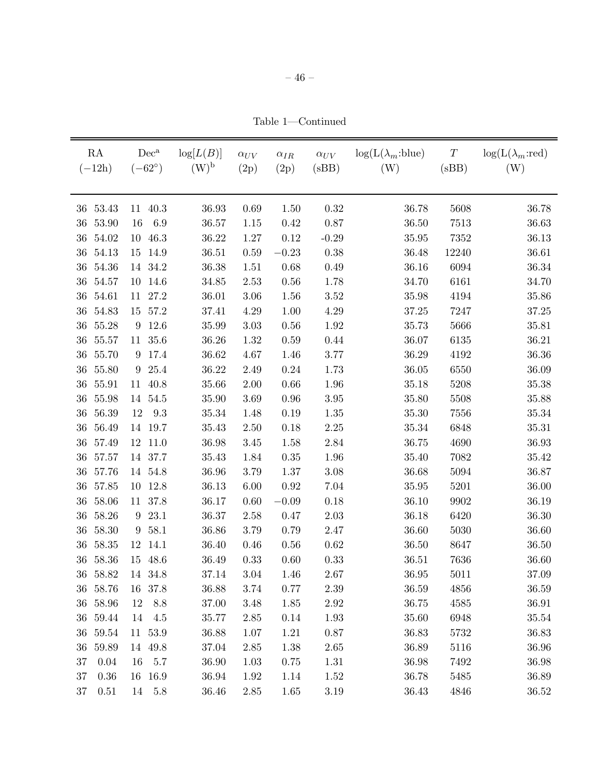Table 1—Continued

| RA<br>$(-12h)$  | $(-62^{\circ})$  | $Dec^a$ | $\log[L(B)]$<br>$(W)^{b}$ | $\alpha_{UV}$<br>(2p) | $\alpha_{IR}$<br>(2p) | $\alpha_{UV}$<br>(sBB) | $log(L(\lambda_m:blue))$<br>(W) | $\cal T$<br>(sBB) | $log(L(\lambda_m:red))$<br>(W) |
|-----------------|------------------|---------|---------------------------|-----------------------|-----------------------|------------------------|---------------------------------|-------------------|--------------------------------|
| 53.43<br>36     | 11               | 40.3    | 36.93                     | 0.69                  | 1.50                  | 0.32                   | 36.78                           | 5608              | 36.78                          |
| 53.90<br>36     | 16               | 6.9     | 36.57                     | 1.15                  | 0.42                  | $0.87\,$               | 36.50                           | 7513              | 36.63                          |
| 54.02<br>36     | 10               | 46.3    | 36.22                     | 1.27                  | 0.12                  | $-0.29$                | $35.95\,$                       | 7352              | 36.13                          |
| 54.13<br>36     | 15               | 14.9    | 36.51                     | 0.59                  | $-0.23$               | 0.38                   | 36.48                           | 12240             | 36.61                          |
| 54.36<br>36     |                  | 14 34.2 | 36.38                     | 1.51                  | 0.68                  | 0.49                   | 36.16                           | 6094              | 36.34                          |
| 54.57<br>36     | 10               | 14.6    | 34.85                     | 2.53                  | 0.56                  | 1.78                   | 34.70                           | 6161              | 34.70                          |
| 54.61<br>36     | 11               | 27.2    | 36.01                     | $3.06\,$              | 1.56                  | $3.52\,$               | 35.98                           | 4194              | 35.86                          |
| 54.83<br>36     | 15               | 57.2    | 37.41                     | 4.29                  | 1.00                  | 4.29                   | 37.25                           | 7247              | $37.25\,$                      |
| 36<br>55.28     | $\boldsymbol{9}$ | 12.6    | 35.99                     | $3.03\,$              | 0.56                  | 1.92                   | 35.73                           | 5666              | 35.81                          |
| 55.57<br>$36\,$ |                  | 11 35.6 | 36.26                     | 1.32                  | 0.59                  | 0.44                   | 36.07                           | 6135              | 36.21                          |
| 55.70<br>36     | 9                | 17.4    | 36.62                     | 4.67                  | 1.46                  | 3.77                   | 36.29                           | 4192              | 36.36                          |
| 36<br>55.80     | 9                | 25.4    | 36.22                     | 2.49                  | $0.24\,$              | 1.73                   | 36.05                           | 6550              | 36.09                          |
| 55.91<br>36     | 11               | 40.8    | 35.66                     | $2.00\,$              | $0.66\,$              | 1.96                   | 35.18                           | 5208              | $35.38\,$                      |
| 36<br>55.98     |                  | 14 54.5 | 35.90                     | 3.69                  | $\rm 0.96$            | $3.95\,$               | 35.80                           | 5508              | 35.88                          |
| 56.39<br>36     | 12               | 9.3     | 35.34                     | 1.48                  | 0.19                  | 1.35                   | 35.30                           | 7556              | $35.34\,$                      |
| 56.49<br>36     |                  | 14 19.7 | 35.43                     | $2.50\,$              | 0.18                  | $2.25\,$               | 35.34                           | 6848              | 35.31                          |
| 57.49<br>36     | 12               | 11.0    | 36.98                     | $3.45\,$              | 1.58                  | 2.84                   | 36.75                           | 4690              | 36.93                          |
| 36<br>57.57     |                  | 14 37.7 | 35.43                     | 1.84                  | $0.35\,$              | 1.96                   | 35.40                           | 7082              | 35.42                          |
| 57.76<br>36     |                  | 14 54.8 | 36.96                     | 3.79                  | $1.37\,$              | $3.08\,$               | 36.68                           | $5094\,$          | 36.87                          |
| 57.85<br>36     | 10               | 12.8    | 36.13                     | 6.00                  | 0.92                  | 7.04                   | 35.95                           | 5201              | 36.00                          |
| 58.06<br>36     | 11               | 37.8    | 36.17                     | 0.60                  | $\!-0.09$             | 0.18                   | 36.10                           | 9902              | 36.19                          |
| 58.26<br>36     | $9\phantom{.0}$  | 23.1    | 36.37                     | 2.58                  | 0.47                  | $2.03\,$               | 36.18                           | 6420              | 36.30                          |
| 58.30<br>36     | $9\phantom{.0}$  | 58.1    | 36.86                     | 3.79                  | 0.79                  | 2.47                   | 36.60                           | 5030              | 36.60                          |
| 58.35<br>36     | 12               | 14.1    | 36.40                     | 0.46                  | $0.56\,$              | 0.62                   | 36.50                           | 8647              | 36.50                          |
| 58.36<br>36     |                  | 15 48.6 | 36.49                     | 0.33                  | 0.60                  | $0.33\,$               | $36.51\,$                       | 7636              | 36.60                          |
| 36 58.82        |                  | 14 34.8 | 37.14                     | 3.04                  | 1.46                  | 2.67                   | 36.95                           | 5011              | 37.09                          |
| 36 58.76        |                  | 16 37.8 | 36.88                     | 3.74                  | 0.77                  | 2.39                   | 36.59                           | 4856              | 36.59                          |
| 36 58.96        | 12               | 8.8     | 37.00                     | 3.48                  | 1.85                  | $2.92\,$               | 36.75                           | 4585              | 36.91                          |
| 36 59.44        | 14               | 4.5     | 35.77                     | 2.85                  | 0.14                  | 1.93                   | 35.60                           | 6948              | 35.54                          |
| 36 59.54        |                  | 11 53.9 | 36.88                     | 1.07                  | 1.21                  | 0.87                   | 36.83                           | 5732              | 36.83                          |
| 36 59.89        |                  | 14 49.8 | 37.04                     | $2.85\,$              | 1.38                  | 2.65                   | 36.89                           | 5116              | 36.96                          |
| 37<br>0.04      | 16               | $5.7\,$ | 36.90                     | 1.03                  | 0.75                  | 1.31                   | 36.98                           | 7492              | 36.98                          |
| 0.36<br>37      |                  | 16 16.9 | 36.94                     | 1.92                  | 1.14                  | 1.52                   | 36.78                           | 5485              | 36.89                          |
| $37\,$<br>0.51  | 14               | $5.8\,$ | 36.46                     | $2.85\,$              | 1.65                  | $3.19\,$               | 36.43                           | 4846              | 36.52                          |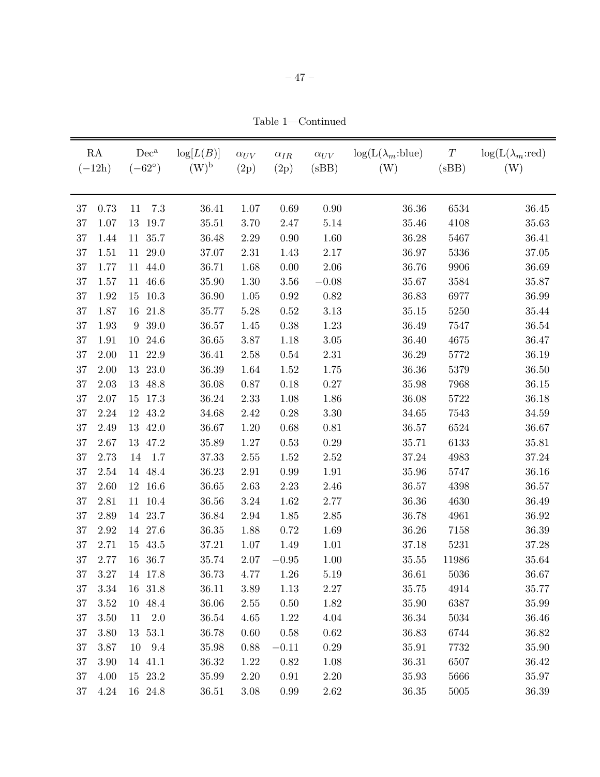Table 1—Continued

| RA<br>$(-12h)$ |          | $Dec^a$<br>$(-62^{\circ})$ | log[L(B)]<br>$(W)^{\rm b}$ | $\alpha_{UV}$<br>(2p) | $\alpha_{IR}$<br>(2p) | $\alpha_{UV}$<br>(sBB) | $log(L(\lambda_m:blue))$<br>(W) | $\cal T$<br>(sBB) | $log(L(\lambda_m:red))$<br>(W) |
|----------------|----------|----------------------------|----------------------------|-----------------------|-----------------------|------------------------|---------------------------------|-------------------|--------------------------------|
| 37             | 0.73     | $7.3\,$<br>11              | 36.41                      | 1.07                  | 0.69                  | $0.90\,$               | 36.36                           | 6534              | 36.45                          |
| 37             | 1.07     | 19.7<br>13                 | 35.51                      | 3.70                  | 2.47                  | $5.14\,$               | 35.46                           | 4108              | 35.63                          |
| 37             | 1.44     | 11 35.7                    | 36.48                      | 2.29                  | 0.90                  | 1.60                   | 36.28                           | 5467              | 36.41                          |
| 37             | 1.51     | 11<br>29.0                 | 37.07                      | 2.31                  | 1.43                  | 2.17                   | 36.97                           | 5336              | 37.05                          |
| 37             | 1.77     | 11 44.0                    | 36.71                      | 1.68                  | 0.00                  | 2.06                   | 36.76                           | 9906              | 36.69                          |
| 37             | 1.57     | 46.6<br>11                 | 35.90                      | 1.30                  | 3.56                  | $-0.08$                | 35.67                           | 3584              | 35.87                          |
| 37             | 1.92     | 10.3<br>15                 | 36.90                      | $1.05\,$              | $0.92\,$              | $0.82\,$               | 36.83                           | 6977              | 36.99                          |
| 37             | 1.87     | 21.8<br>16                 | 35.77                      | 5.28                  | 0.52                  | 3.13                   | 35.15                           | 5250              | $35.44\,$                      |
| 37             | 1.93     | 39.0<br>$\boldsymbol{9}$   | 36.57                      | 1.45                  | 0.38                  | 1.23                   | 36.49                           | 7547              | 36.54                          |
| 37             | 1.91     | 10<br>24.6                 | 36.65                      | 3.87                  | 1.18                  | $3.05\,$               | 36.40                           | 4675              | 36.47                          |
| 37             | 2.00     | 22.9<br>11                 | 36.41                      | $2.58\,$              | $0.54\,$              | 2.31                   | 36.29                           | 5772              | 36.19                          |
| 37             | 2.00     | 23.0<br>13                 | 36.39                      | 1.64                  | 1.52                  | 1.75                   | 36.36                           | 5379              | 36.50                          |
| 37             | $2.03\,$ | 48.8<br>13                 | 36.08                      | 0.87                  | 0.18                  | 0.27                   | 35.98                           | 7968              | 36.15                          |
| 37             | 2.07     | 17.3<br>15                 | 36.24                      | 2.33                  | $1.08\,$              | 1.86                   | 36.08                           | 5722              | 36.18                          |
| 37             | 2.24     | 43.2<br>12                 | 34.68                      | 2.42                  | $0.28\,$              | $3.30\,$               | 34.65                           | 7543              | $34.59\,$                      |
| 37             | 2.49     | 13 42.0                    | 36.67                      | 1.20                  | $0.68\,$              | 0.81                   | 36.57                           | 6524              | 36.67                          |
| 37             | 2.67     | 13<br>47.2                 | 35.89                      | $1.27\,$              | 0.53                  | 0.29                   | 35.71                           | 6133              | 35.81                          |
| 37             | 2.73     | 14<br>1.7                  | 37.33                      | $2.55\,$              | 1.52                  | 2.52                   | 37.24                           | 4983              | 37.24                          |
| 37             | 2.54     | 14 48.4                    | 36.23                      | 2.91                  | 0.99                  | 1.91                   | 35.96                           | 5747              | 36.16                          |
| 37             | 2.60     | 12 16.6                    | 36.65                      | $2.63\,$              | 2.23                  | 2.46                   | 36.57                           | 4398              | 36.57                          |
| 37             | 2.81     | 11 10.4                    | 36.56                      | $3.24\,$              | 1.62                  | 2.77                   | 36.36                           | 4630              | 36.49                          |
| 37             | 2.89     | 14 23.7                    | 36.84                      | 2.94                  | 1.85                  | $2.85\,$               | 36.78                           | 4961              | 36.92                          |
| 37             | 2.92     | 14 27.6                    | 36.35                      | 1.88                  | 0.72                  | 1.69                   | 36.26                           | 7158              | 36.39                          |
| 37             | 2.71     | 43.5<br>$15\,$             | 37.21                      | 1.07                  | 1.49                  | 1.01                   | 37.18                           | 5231              | 37.28                          |
| 37             | 2.77     | 16<br>36.7                 | 35.74                      | $2.07\,$              | $-0.95$               | 1.00                   | $35.55\,$                       | 11986             | $35.64\,$                      |
| 37             | 3.27     | 14 17.8                    | 36.73                      | 4.77                  | 1.26                  | 5.19                   | 36.61                           | 5036              | 36.67                          |
| 3.34<br>37     |          | 16 31.8                    | 36.11                      | 3.89                  | 1.13                  | 2.27                   | 35.75                           | 4914              | 35.77                          |
| 37             | 3.52     | 10 48.4                    | 36.06                      | 2.55                  | 0.50                  | 1.82                   | 35.90                           | 6387              | 35.99                          |
| $37\,$         | 3.50     | $11 \t 2.0$                | 36.54                      | 4.65                  | 1.22                  | 4.04                   | 36.34                           | 5034              | 36.46                          |
| $37\,$         | 3.80     | 13 53.1                    | 36.78                      | 0.60                  | 0.58                  | 0.62                   | 36.83                           | 6744              | 36.82                          |
| $37\,$         | 3.87     | 10 9.4                     | 35.98                      | 0.88                  | $-0.11$               | 0.29                   | 35.91                           | 7732              | 35.90                          |
| $37\,$         | 3.90     | 14 41.1                    | 36.32                      | 1.22                  | 0.82                  | 1.08                   | 36.31                           | 6507              | 36.42                          |
| $37\,$         | 4.00     | 15 23.2                    | $35.99\,$                  | 2.20                  | 0.91                  | $2.20\,$               | 35.93                           | 5666              | 35.97                          |
| 37             | 4.24     | 16 24.8                    | 36.51                      | 3.08                  | 0.99                  | 2.62                   | 36.35                           | 5005              | 36.39                          |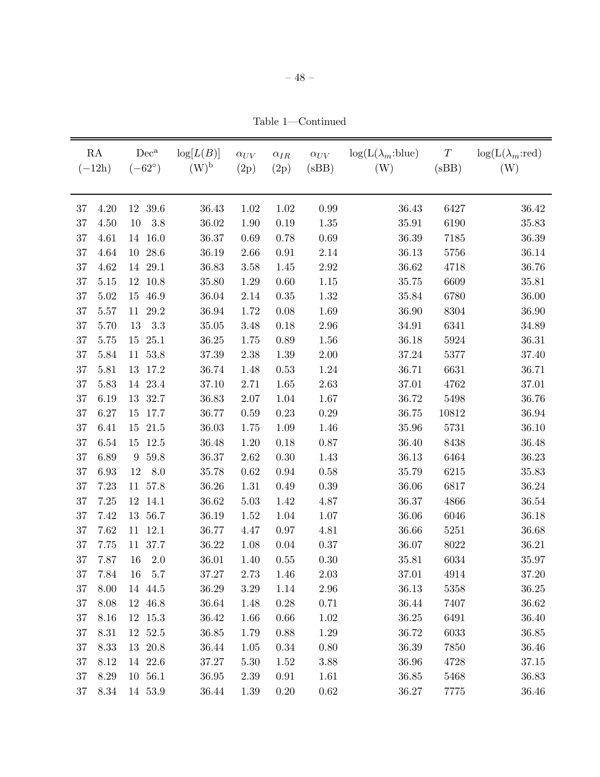Table 1—Continued

|        | RA<br>$(-12h)$ | $Dec^a$<br>$(-62^{\circ})$ | log[L(B)]<br>$(W)^{\rm b}$ | $\alpha_{UV}$<br>(2p) | $\alpha_{IR}$<br>(2p) | $\alpha_{UV}$<br>(sBB) | $log(L(\lambda_m:blue))$<br>(W) | $\cal T$<br>(sBB) | $\log(L(\lambda_m:red))$<br>(W) |
|--------|----------------|----------------------------|----------------------------|-----------------------|-----------------------|------------------------|---------------------------------|-------------------|---------------------------------|
| 37     | 4.20           | 12 39.6                    | 36.43                      | 1.02                  | 1.02                  | 0.99                   | 36.43                           | 6427              | 36.42                           |
| 37     | 4.50           | 3.8<br>10                  | 36.02                      | 1.90                  | 0.19                  | $1.35\,$               | 35.91                           | 6190              | 35.83                           |
| 37     | 4.61           | 14 16.0                    | 36.37                      | 0.69                  | 0.78                  | 0.69                   | 36.39                           | 7185              | 36.39                           |
| 37     | 4.64           | 28.6<br>10                 | 36.19                      | 2.66                  | 0.91                  | 2.14                   | 36.13                           | 5756              | 36.14                           |
| 37     | 4.62           | 14 29.1                    | 36.83                      | $3.58\,$              | 1.45                  | $2.92\,$               | 36.62                           | 4718              | 36.76                           |
| 37     | 5.15           | 10.8<br>12                 | 35.80                      | 1.29                  | 0.60                  | $1.15\,$               | 35.75                           | 6609              | 35.81                           |
| 37     | 5.02           | 15 46.9                    | 36.04                      | 2.14                  | 0.35                  | 1.32                   | 35.84                           | 6780              | 36.00                           |
| 37     | 5.57           | 29.2<br>11                 | 36.94                      | 1.72                  | 0.08                  | 1.69                   | 36.90                           | 8304              | 36.90                           |
| 37     | 5.70           | 3.3<br>13                  | 35.05                      | 3.48                  | 0.18                  | $2.96\,$               | 34.91                           | 6341              | 34.89                           |
| 37     | 5.75           | 15 25.1                    | 36.25                      | 1.75                  | 0.89                  | 1.56                   | 36.18                           | 5924              | 36.31                           |
| 37     | 5.84           | 11 53.8                    | $37.39\,$                  | 2.38                  | 1.39                  | $2.00\,$               | 37.24                           | 5377              | 37.40                           |
| 37     | 5.81           | 17.2<br>13                 | 36.74                      | 1.48                  | 0.53                  | 1.24                   | 36.71                           | 6631              | 36.71                           |
| 37     | 5.83           | 14 23.4                    | 37.10                      | 2.71                  | 1.65                  | 2.63                   | 37.01                           | 4762              | 37.01                           |
| 37     | 6.19           | 13 32.7                    | 36.83                      | $2.07\,$              | 1.04                  | 1.67                   | 36.72                           | 5498              | 36.76                           |
| 37     | 6.27           | 17.7<br>$15\,$             | 36.77                      | $0.59\,$              | 0.23                  | 0.29                   | 36.75                           | 10812             | 36.94                           |
| 37     | 6.41           | 15 21.5                    | 36.03                      | 1.75                  | 1.09                  | 1.46                   | 35.96                           | 5731              | 36.10                           |
| 37     | 6.54           | 12.5<br>15                 | 36.48                      | $1.20\,$              | 0.18                  | $0.87\,$               | 36.40                           | 8438              | 36.48                           |
| 37     | 6.89           | 59.8<br>$9\phantom{.0}$    | $36.37\,$                  | $2.62\,$              | 0.30                  | 1.43                   | 36.13                           | 6464              | 36.23                           |
| 37     | 6.93           | 8.0<br>12                  | 35.78                      | $\,0.62\,$            | 0.94                  | 0.58                   | 35.79                           | 6215              | 35.83                           |
| 37     | 7.23           | 11 57.8                    | 36.26                      | $1.31\,$              | 0.49                  | 0.39                   | 36.06                           | 6817              | 36.24                           |
| 37     | 7.25           | 12<br>14.1                 | $36.62\,$                  | $5.03\,$              | 1.42                  | 4.87                   | 36.37                           | 4866              | $36.54\,$                       |
| 37     | 7.42           | 13 56.7                    | 36.19                      | 1.52                  | 1.04                  | 1.07                   | 36.06                           | 6046              | 36.18                           |
| 37     | 7.62           | $11 \t12.1$                | 36.77                      | 4.47                  | 0.97                  | 4.81                   | 36.66                           | 5251              | 36.68                           |
| 37     | 7.75           | 11 37.7                    | 36.22                      | 1.08                  | $0.04\,$              | $0.37\,$               | 36.07                           | 8022              | 36.21                           |
| 37     | 7.87           | $16\,$<br>$2.0\,$          | $36.01\,$                  | 1.40                  | $0.55\,$              | $0.30\,$               | 35.81                           | 6034              | 35.97                           |
| 37     | 7.84           | 5.7<br>16                  | 37.27                      | 2.73                  | 1.46                  | 2.03                   | 37.01                           | 4914              | 37.20                           |
| 37     | 8.00           | 14 44.5                    | 36.29                      | $3.29\,$              | 1.14                  | $2.96\,$               | 36.13                           | 5358              | 36.25                           |
| 37     | 8.08           | 12 46.8                    | 36.64                      | 1.48                  | 0.28                  | 0.71                   | 36.44                           | 7407              | 36.62                           |
| 37     | 8.16           | 12 15.3                    | 36.42                      | 1.66                  | 0.66                  | $1.02\,$               | 36.25                           | 6491              | 36.40                           |
| 37     | 8.31           | 12 52.5                    | 36.85                      | 1.79                  | 0.88                  | 1.29                   | 36.72                           | 6033              | 36.85                           |
| $37\,$ | 8.33           | 13 20.8                    | 36.44                      | 1.05                  | $0.34\,$              | 0.80                   | 36.39                           | 7850              | 36.46                           |
| 37     | 8.12           | 14 22.6                    | 37.27                      | 5.30                  | 1.52                  | 3.88                   | 36.96                           | 4728              | 37.15                           |
| 37     | 8.29           | 10 56.1                    | 36.95                      | 2.39                  | 0.91                  | 1.61                   | 36.85                           | 5468              | 36.83                           |
| 37     | 8.34           | 14 53.9                    | 36.44                      | 1.39                  | $0.20\,$              | 0.62                   | 36.27                           | 7775              | 36.46                           |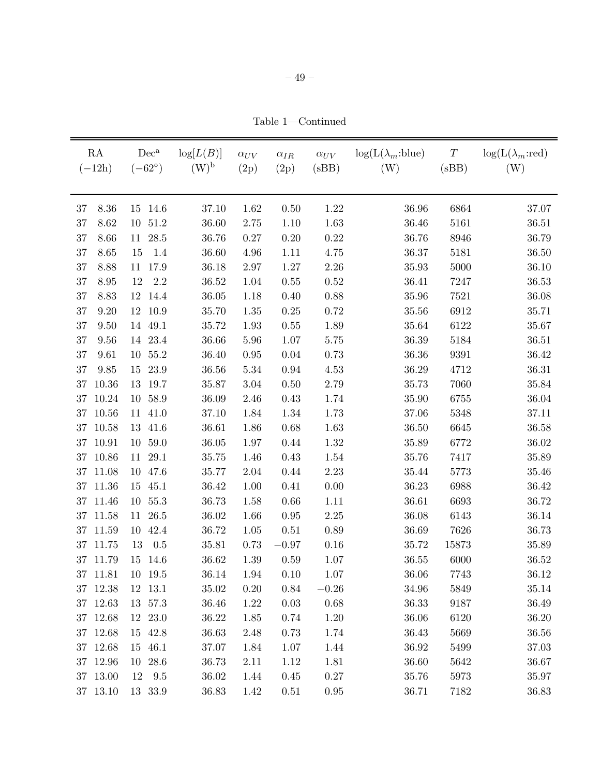Table 1—Continued

| RA<br>$(-12h)$ | $Dec^a$<br>$(-62^{\circ})$ | $\log[L(B)]$<br>$(W)^{b}$ | $\alpha_{UV}$<br>(2p) | $\alpha_{IR}$<br>(2p) | $\alpha_{UV}$<br>(sBB) | $log(L(\lambda_m:blue))$<br>(W) | $\cal T$<br>(sBB) | $log(L(\lambda_m:red))$<br>(W) |
|----------------|----------------------------|---------------------------|-----------------------|-----------------------|------------------------|---------------------------------|-------------------|--------------------------------|
| 8.36<br>37     | 14.6<br>15                 | 37.10                     | 1.62                  | $0.50\,$              | $1.22\,$               | 36.96                           | 6864              | 37.07                          |
| 8.62<br>37     | 51.2<br>10                 | 36.60                     | 2.75                  | 1.10                  | 1.63                   | 36.46                           | 5161              | $36.51\,$                      |
| 37<br>8.66     | 28.5<br>11                 | 36.76                     | 0.27                  | $0.20\,$              | $0.22\,$               | 36.76                           | 8946              | 36.79                          |
| 37<br>8.65     | 1.4<br>15                  | 36.60                     | $4.96\,$              | 1.11                  | 4.75                   | 36.37                           | 5181              | 36.50                          |
| 37<br>8.88     | 17.9<br>11                 | 36.18                     | 2.97                  | $1.27\,$              | $2.26\,$               | 35.93                           | 5000              | 36.10                          |
| 37<br>8.95     | $2.2\,$<br>12              | 36.52                     | 1.04                  | 0.55                  | 0.52                   | 36.41                           | 7247              | 36.53                          |
| 37<br>8.83     | 12<br>14.4                 | 36.05                     | 1.18                  | $0.40\,$              | 0.88                   | 35.96                           | 7521              | 36.08                          |
| 37<br>9.20     | 10.9<br>12                 | 35.70                     | $1.35\,$              | 0.25                  | 0.72                   | 35.56                           | 6912              | 35.71                          |
| 37<br>9.50     | 49.1<br>14                 | 35.72                     | 1.93                  | $0.55\,$              | 1.89                   | 35.64                           | 6122              | 35.67                          |
| 37<br>9.56     | 14 23.4                    | 36.66                     | 5.96                  | 1.07                  | 5.75                   | 36.39                           | 5184              | 36.51                          |
| 9.61<br>37     | 55.2<br>10                 | 36.40                     | $0.95\,$              | $0.04\,$              | 0.73                   | 36.36                           | 9391              | 36.42                          |
| 9.85<br>37     | 23.9<br>15                 | 36.56                     | $5.34\,$              | $\rm 0.94$            | 4.53                   | 36.29                           | 4712              | 36.31                          |
| 10.36<br>37    | 19.7<br>13                 | 35.87                     | $3.04\,$              | $0.50\,$              | 2.79                   | 35.73                           | 7060              | 35.84                          |
| 10.24<br>37    | 58.9<br>10                 | 36.09                     | 2.46                  | 0.43                  | 1.74                   | 35.90                           | 6755              | 36.04                          |
| 10.56<br>37    | 41.0<br>11                 | 37.10                     | 1.84                  | 1.34                  | 1.73                   | 37.06                           | 5348              | 37.11                          |
| 10.58<br>37    | 41.6<br>13                 | 36.61                     | 1.86                  | 0.68                  | 1.63                   | 36.50                           | 6645              | 36.58                          |
| 10.91<br>37    | 59.0<br>10                 | 36.05                     | $1.97\,$              | 0.44                  | $1.32\,$               | 35.89                           | 6772              | 36.02                          |
| 10.86<br>37    | 29.1<br>11                 | 35.75                     | 1.46                  | 0.43                  | 1.54                   | 35.76                           | 7417              | 35.89                          |
| 11.08<br>37    | 10<br>47.6                 | 35.77                     | $2.04\,$              | 0.44                  | $2.23\,$               | 35.44                           | 5773              | 35.46                          |
| 11.36<br>37    | 45.1<br>15                 | 36.42                     | 1.00                  | 0.41                  | 0.00                   | 36.23                           | 6988              | 36.42                          |
| 11.46<br>37    | $55.3\,$<br>10             | 36.73                     | 1.58                  | 0.66                  | 1.11                   | 36.61                           | 6693              | 36.72                          |
| 11.58<br>37    | 26.5<br>11                 | 36.02                     | 1.66                  | 0.95                  | $2.25\,$               | 36.08                           | 6143              | 36.14                          |
| 11.59<br>37    | 42.4<br>10                 | 36.72                     | $1.05\,$              | 0.51                  | 0.89                   | 36.69                           | 7626              | 36.73                          |
| 11.75<br>37    | 13<br>0.5                  | 35.81                     | 0.73                  | $-0.97$               | $0.16\,$               | 35.72                           | 15873             | 35.89                          |
| 37<br>11.79    | 15<br>14.6                 | 36.62                     | 1.39                  | 0.59                  | 1.07                   | 36.55                           | 6000              | 36.52                          |
| 37<br>11.81    | $10\,$<br>19.5             | 36.14                     | 1.94                  | 0.10                  | 1.07                   | 36.06                           | 7743              | 36.12                          |
| 37 12.38       | 12 13.1                    | 35.02                     | 0.20                  | 0.84                  | $-0.26$                | 34.96                           | 5849              | 35.14                          |
| 37 12.63       | 13 57.3                    | 36.46                     | 1.22                  | $0.03\,$              | $0.68\,$               | 36.33                           | 9187              | 36.49                          |
| 37 12.68       | 12 23.0                    | 36.22                     | 1.85                  | 0.74                  | 1.20                   | 36.06                           | 6120              | 36.20                          |
| 37 12.68       | 15 42.8                    | 36.63                     | 2.48                  | 0.73                  | 1.74                   | 36.43                           | 5669              | 36.56                          |
| 37 12.68       | 46.1<br>15                 | 37.07                     | 1.84                  | 1.07                  | 1.44                   | 36.92                           | 5499              | 37.03                          |
| 37 12.96       | 10 28.6                    | 36.73                     | 2.11                  | 1.12                  | 1.81                   | 36.60                           | 5642              | 36.67                          |
| 37 13.00       | 12<br>9.5                  | 36.02                     | 1.44                  | 0.45                  | $0.27\,$               | 35.76                           | 5973              | 35.97                          |
| 37 13.10       | 13 33.9                    | 36.83                     | 1.42                  | $0.51\,$              | $\rm 0.95$             | 36.71                           | 7182              | 36.83                          |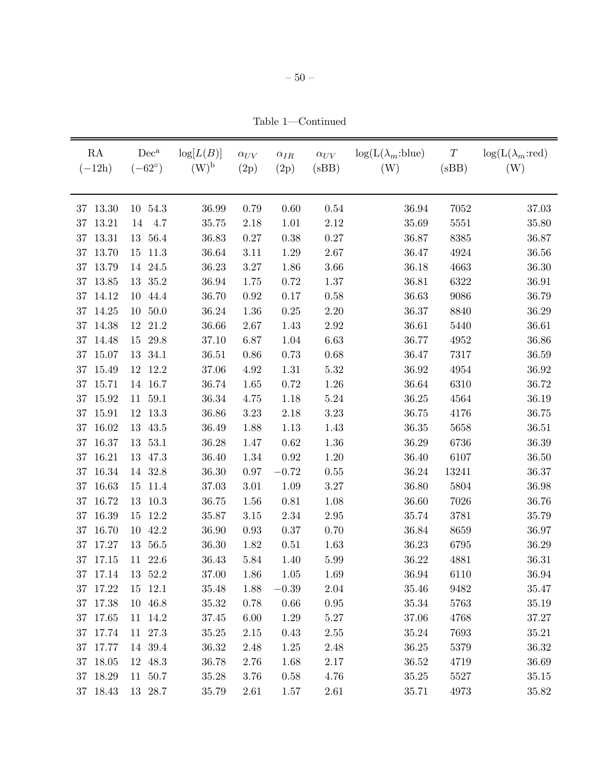Table 1—Continued

| RA<br>$(-12h)$ | $Dec^a$<br>$(-62^{\circ})$ | $\log[L(B)]$<br>$(W)^{\rm b}$ | $\alpha_{UV}$<br>(2p) | $\alpha_{IR}$<br>(2p) | $\alpha_{UV}$<br>(sBB) | $log(L(\lambda_m:blue))$<br>(W) | $\cal T$<br>(sBB) | $log(L(\lambda_m:red))$<br>(W) |
|----------------|----------------------------|-------------------------------|-----------------------|-----------------------|------------------------|---------------------------------|-------------------|--------------------------------|
| 13.30<br>37    | 10 54.3                    | 36.99                         | 0.79                  | 0.60                  | $0.54\,$               | 36.94                           | 7052              | 37.03                          |
| 13.21<br>37    | 4.7<br>14                  | 35.75                         | 2.18                  | 1.01                  | 2.12                   | 35.69                           | 5551              | 35.80                          |
| 13.31<br>37    | 13 56.4                    | 36.83                         | $0.27\,$              | 0.38                  | $0.27\,$               | 36.87                           | 8385              | 36.87                          |
| 13.70<br>37    | 11.3<br>15                 | 36.64                         | 3.11                  | 1.29                  | 2.67                   | 36.47                           | 4924              | 36.56                          |
| 13.79<br>37    | 14 24.5                    | 36.23                         | 3.27                  | 1.86                  | 3.66                   | 36.18                           | 4663              | 36.30                          |
| 13.85<br>37    | 13 35.2                    | 36.94                         | 1.75                  | 0.72                  | 1.37                   | 36.81                           | 6322              | 36.91                          |
| 14.12<br>37    | 44.4<br>10                 | 36.70                         | 0.92                  | 0.17                  | 0.58                   | 36.63                           | 9086              | 36.79                          |
| 14.25<br>37    | 50.0<br>10                 | 36.24                         | 1.36                  | $0.25\,$              | $2.20\,$               | 36.37                           | 8840              | 36.29                          |
| 14.38<br>37    | 21.2<br>12                 | 36.66                         | 2.67                  | 1.43                  | $2.92\,$               | 36.61                           | 5440              | 36.61                          |
| 37<br>14.48    | 29.8<br>$15\,$             | 37.10                         | 6.87                  | 1.04                  | 6.63                   | 36.77                           | 4952              | 36.86                          |
| 15.07<br>37    | 13 34.1                    | 36.51                         | $0.86\,$              | 0.73                  | $0.68\,$               | 36.47                           | 7317              | 36.59                          |
| 15.49<br>37    | 12 12.2                    | 37.06                         | $4.92\,$              | 1.31                  | $5.32\,$               | 36.92                           | 4954              | 36.92                          |
| 15.71<br>37    | 14 16.7                    | 36.74                         | 1.65                  | 0.72                  | $1.26\,$               | 36.64                           | 6310              | 36.72                          |
| 37<br>15.92    | 11 59.1                    | 36.34                         | 4.75                  | 1.18                  | $5.24\,$               | 36.25                           | 4564              | $36.19\,$                      |
| 15.91<br>37    | 12 13.3                    | 36.86                         | $3.23\,$              | 2.18                  | 3.23                   | 36.75                           | 4176              | 36.75                          |
| 16.02<br>37    | 13 43.5                    | 36.49                         | 1.88                  | 1.13                  | 1.43                   | 36.35                           | 5658              | 36.51                          |
| 16.37<br>37    | 53.1<br>13                 | 36.28                         | 1.47                  | 0.62                  | 1.36                   | 36.29                           | 6736              | 36.39                          |
| 16.21<br>37    | 13 47.3                    | 36.40                         | 1.34                  | $\rm 0.92$            | 1.20                   | 36.40                           | 6107              | 36.50                          |
| 16.34<br>37    | 32.8<br>14                 | $36.30\,$                     | $0.97\,$              | $-0.72$               | $0.55\,$               | 36.24                           | 13241             | 36.37                          |
| 16.63<br>37    | 11.4<br>15                 | 37.03                         | $3.01\,$              | 1.09                  | $3.27\,$               | 36.80                           | 5804              | 36.98                          |
| 16.72<br>37    | 10.3<br>13                 | 36.75                         | 1.56                  | $0.81\,$              | 1.08                   | 36.60                           | 7026              | 36.76                          |
| 16.39<br>37    | 12.2<br>$15\,$             | 35.87                         | $3.15\,$              | 2.34                  | $2.95\,$               | 35.74                           | 3781              | 35.79                          |
| 16.70<br>37    | 42.2<br>10                 | 36.90                         | $0.93\,$              | $0.37\,$              | 0.70                   | 36.84                           | 8659              | 36.97                          |
| 37 17.27       | 13 56.5                    | 36.30                         | 1.82                  | 0.51                  | 1.63                   | 36.23                           | 6795              | 36.29                          |
| 37 17.15       | 11 22.6                    | 36.43                         | $5.84\,$              | 1.40                  | 5.99                   | 36.22                           | 4881              | 36.31                          |
| 37 17.14       | 13 52.2                    | 37.00                         | 1.86                  | 1.05                  | 1.69                   | 36.94                           | 6110              | 36.94                          |
| 37 17.22       | 15 12.1                    | 35.48                         | 1.88                  | $-0.39$               | 2.04                   | 35.46                           | 9482              | 35.47                          |
| 37 17.38       | 10 46.8                    | $35.32\,$                     | 0.78                  | $0.66\,$              | $0.95\,$               | 35.34                           | 5763              | 35.19                          |
| 37 17.65       | 11 14.2                    | 37.45                         | $6.00\,$              | 1.29                  | $5.27\,$               | 37.06                           | 4768              | 37.27                          |
| 37 17.74       | 11 27.3                    | 35.25                         | $2.15\,$              | 0.43                  | $2.55\,$               | 35.24                           | 7693              | 35.21                          |
| 37 17.77       | 14 39.4                    | 36.32                         | 2.48                  | 1.25                  | 2.48                   | 36.25                           | 5379              | 36.32                          |
| 37 18.05       | 12 48.3                    | 36.78                         | 2.76                  | 1.68                  | $2.17\,$               | 36.52                           | 4719              | 36.69                          |
| 37 18.29       | 11 50.7                    | 35.28                         | 3.76                  | 0.58                  | 4.76                   | 35.25                           | 5527              | 35.15                          |
| 37 18.43       | 13 28.7                    | 35.79                         | 2.61                  | 1.57                  | $2.61\,$               | $35.71\,$                       | 4973              | 35.82                          |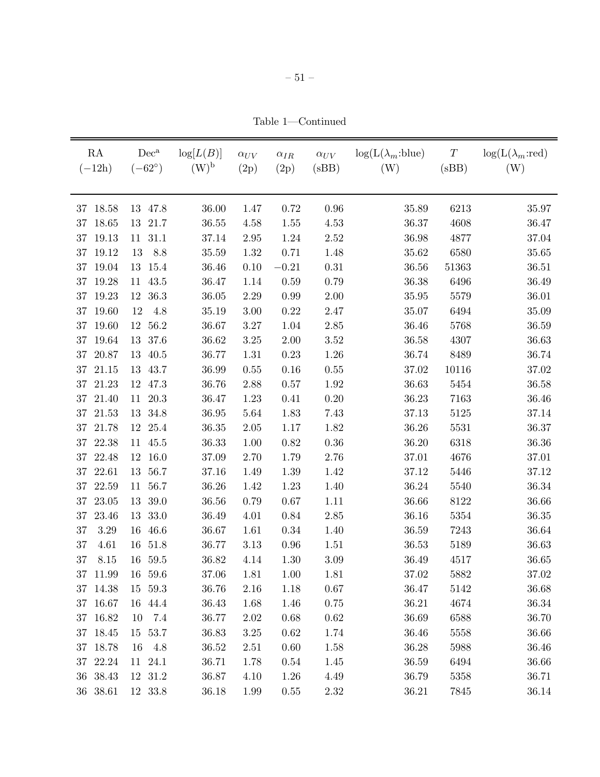Table 1—Continued

| RA<br>$(-12h)$  | $Dec^a$<br>$(-62^{\circ})$ | $\log[L(B)]$<br>$(W)^{b}$ | $\alpha_{UV}$<br>(2p) | $\alpha_{IR}$<br>(2p) | $\alpha_{UV}$<br>(sBB) | $\log(L(\lambda_m:blue))$<br>(W) | $\boldsymbol{T}$<br>(sBB) | $log(L(\lambda_m:red))$<br>(W) |
|-----------------|----------------------------|---------------------------|-----------------------|-----------------------|------------------------|----------------------------------|---------------------------|--------------------------------|
| 18.58<br>37     | 13<br>47.8                 | 36.00                     | 1.47                  | $0.72\,$              | $0.96\,$               | 35.89                            | 6213                      | 35.97                          |
| 18.65<br>37     | 21.7<br>13                 | 36.55                     | 4.58                  | 1.55                  | 4.53                   | 36.37                            | 4608                      | 36.47                          |
| 19.13<br>37     | 31.1<br>11                 | 37.14                     | $2.95\,$              | 1.24                  | $2.52\,$               | 36.98                            | 4877                      | 37.04                          |
| $19.12\,$<br>37 | 8.8<br>13                  | 35.59                     | 1.32                  | 0.71                  | 1.48                   | 35.62                            | 6580                      | $35.65\,$                      |
| 19.04<br>37     | 13<br>15.4                 | 36.46                     | 0.10                  | $-0.21$               | 0.31                   | 36.56                            | 51363                     | 36.51                          |
| 19.28<br>37     | 43.5<br>11                 | 36.47                     | 1.14                  | $0.59\,$              | 0.79                   | 36.38                            | 6496                      | 36.49                          |
| 19.23<br>37     | 36.3<br>12                 | 36.05                     | $2.29\,$              | 0.99                  | $2.00\,$               | 35.95                            | 5579                      | $36.01\,$                      |
| 19.60<br>37     | 4.8<br>12                  | 35.19                     | $3.00\,$              | $0.22\,$              | $2.47\,$               | 35.07                            | 6494                      | 35.09                          |
| 19.60<br>37     | 56.2<br>12                 | 36.67                     | $3.27\,$              | $1.04\,$              | $2.85\,$               | 36.46                            | 5768                      | 36.59                          |
| 19.64<br>37     | 37.6<br>13                 | 36.62                     | $3.25\,$              | $2.00\,$              | $3.52\,$               | 36.58                            | 4307                      | 36.63                          |
| 20.87<br>37     | 40.5<br>13                 | 36.77                     | $1.31\,$              | $0.23\,$              | 1.26                   | 36.74                            | 8489                      | 36.74                          |
| 21.15<br>37     | 43.7<br>13                 | 36.99                     | $0.55\,$              | $0.16\,$              | $0.55\,$               | 37.02                            | 10116                     | $37.02\,$                      |
| 21.23<br>37     | 47.3<br>12                 | 36.76                     | 2.88                  | $0.57\,$              | 1.92                   | 36.63                            | 5454                      | 36.58                          |
| 37<br>21.40     | 20.3<br>11                 | 36.47                     | 1.23                  | 0.41                  | $0.20\,$               | 36.23                            | 7163                      | 36.46                          |
| 21.53<br>37     | 34.8<br>13                 | 36.95                     | $5.64\,$              | 1.83                  | 7.43                   | 37.13                            | 5125                      | 37.14                          |
| 37<br>21.78     | 12<br>25.4                 | 36.35                     | $2.05\,$              | $1.17\,$              | 1.82                   | 36.26                            | 5531                      | 36.37                          |
| 22.38<br>37     | 45.5<br>11                 | 36.33                     | $1.00\,$              | $0.82\,$              | $0.36\,$               | 36.20                            | 6318                      | 36.36                          |
| 37<br>22.48     | 16.0<br>12                 | 37.09                     | 2.70                  | 1.79                  | 2.76                   | 37.01                            | 4676                      | 37.01                          |
| 22.61<br>37     | 56.7<br>13                 | 37.16                     | 1.49                  | $1.39\,$              | 1.42                   | 37.12                            | 5446                      | 37.12                          |
| 22.59<br>37     | 56.7<br>11                 | 36.26                     | 1.42                  | 1.23                  | 1.40                   | 36.24                            | 5540                      | 36.34                          |
| 23.05<br>37     | 39.0<br>13                 | 36.56                     | $0.79\,$              | $0.67\,$              | 1.11                   | 36.66                            | 8122                      | 36.66                          |
| 23.46<br>37     | 33.0<br>13                 | 36.49                     | 4.01                  | 0.84                  | $2.85\,$               | 36.16                            | 5354                      | 36.35                          |
| 37<br>3.29      | 46.6<br>16                 | 36.67                     | 1.61                  | $0.34\,$              | 1.40                   | 36.59                            | 7243                      | 36.64                          |
| 37<br>4.61      | 16<br>51.8                 | 36.77                     | 3.13                  | $0.96\,$              | 1.51                   | 36.53                            | 5189                      | 36.63                          |
| 37<br>8.15      | 59.5<br>16                 | 36.82                     | 4.14                  | $1.30\,$              | 3.09                   | 36.49                            | 4517                      | 36.65                          |
| 37<br>11.99     | 16<br>59.6                 | 37.06                     | 1.81                  | 1.00                  | 1.81                   | 37.02                            | 5882                      | 37.02                          |
| 37 14.38        | 15 59.3                    | 36.76                     | 2.16                  | 1.18                  | 0.67                   | 36.47                            | 5142                      | 36.68                          |
| 37 16.67        | 16 44.4                    | 36.43                     | 1.68                  | 1.46                  | $0.75\,$               | 36.21                            | 4674                      | 36.34                          |
| 37 16.82        | 7.4<br>10                  | 36.77                     | 2.02                  | 0.68                  | 0.62                   | 36.69                            | 6588                      | 36.70                          |
| 37 18.45        | 15 53.7                    | 36.83                     | $3.25\,$              | 0.62                  | 1.74                   | 36.46                            | 5558                      | 36.66                          |
| 37 18.78        | 4.8<br>16                  | 36.52                     | 2.51                  | 0.60                  | 1.58                   | 36.28                            | 5988                      | 36.46                          |
| 37 22.24        | 11 24.1                    | 36.71                     | 1.78                  | 0.54                  | 1.45                   | 36.59                            | 6494                      | 36.66                          |
| 36 38.43        | 12 31.2                    | 36.87                     | 4.10                  | 1.26                  | 4.49                   | 36.79                            | 5358                      | 36.71                          |
| 36 38.61        | 12 33.8                    | 36.18                     | 1.99                  | $0.55\,$              | $2.32\,$               | 36.21                            | 7845                      | 36.14                          |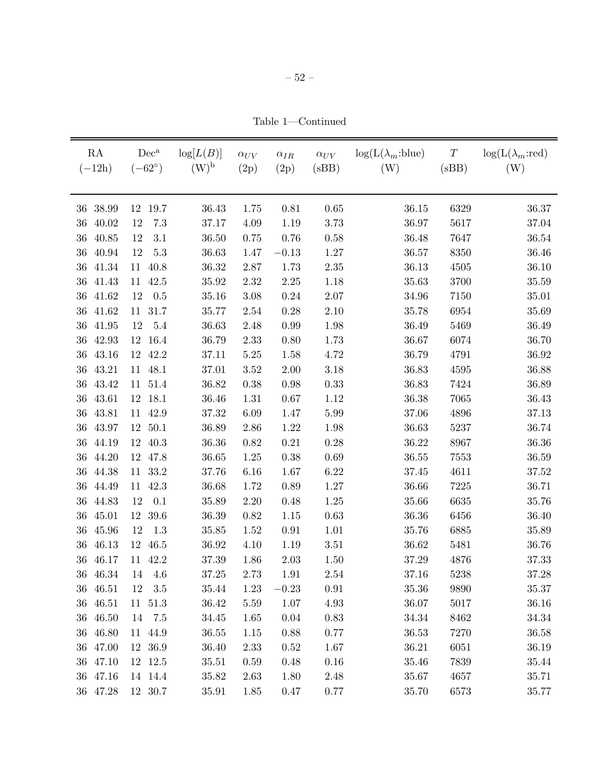Table 1—Continued

| RA<br>$(-12h)$  | $Dec^a$<br>$(-62^{\circ})$ | log[L(B)]<br>$(W)^{b}$ | $\alpha_{UV}$<br>(2p) | $\alpha_{IR}$<br>(2p) | $\alpha_{UV}$<br>(sBB) | $\log(L(\lambda_m:blue))$<br>(W) | $\boldsymbol{T}$<br>(sBB) | $log(L(\lambda_m:red))$<br>(W) |
|-----------------|----------------------------|------------------------|-----------------------|-----------------------|------------------------|----------------------------------|---------------------------|--------------------------------|
|                 |                            |                        |                       |                       |                        |                                  |                           |                                |
| 38.99<br>36     | 19.7<br>12                 | 36.43                  | 1.75                  | 0.81                  | $0.65\,$               | 36.15                            | 6329                      | 36.37                          |
| 36<br>40.02     | $7.3\,$<br>12              | 37.17                  | 4.09                  | 1.19                  | 3.73                   | 36.97                            | 5617                      | 37.04                          |
| 40.85<br>36     | 12<br>3.1                  | 36.50                  | 0.75                  | 0.76                  | 0.58                   | 36.48                            | 7647                      | 36.54                          |
| 40.94<br>36     | $5.3\,$<br>12              | 36.63                  | 1.47                  | $-0.13$               | 1.27                   | 36.57                            | 8350                      | 36.46                          |
| 41.34<br>36     | 40.8<br>11                 | 36.32                  | 2.87                  | 1.73                  | $2.35\,$               | 36.13                            | 4505                      | 36.10                          |
| 41.43<br>$36\,$ | 42.5<br>11                 | 35.92                  | $2.32\,$              | $2.25\,$              | 1.18                   | 35.63                            | 3700                      | $35.59\,$                      |
| 41.62<br>36     | 0.5<br>12                  | 35.16                  | 3.08                  | $0.24\,$              | $2.07\,$               | 34.96                            | 7150                      | $35.01\,$                      |
| 41.62<br>36     | 11 31.7                    | 35.77                  | $2.54\,$              | $0.28\,$              | 2.10                   | 35.78                            | 6954                      | 35.69                          |
| 36<br>41.95     | $5.4\,$<br>12              | 36.63                  | 2.48                  | $0.99\,$              | 1.98                   | 36.49                            | 5469                      | 36.49                          |
| 42.93<br>36     | 16.4<br>12                 | 36.79                  | $2.33\,$              | $0.80\,$              | 1.73                   | 36.67                            | 6074                      | 36.70                          |
| 43.16<br>36     | 42.2<br>12                 | 37.11                  | $5.25\,$              | 1.58                  | 4.72                   | 36.79                            | 4791                      | 36.92                          |
| 43.21<br>36     | 48.1<br>11                 | 37.01                  | 3.52                  | $2.00\,$              | 3.18                   | 36.83                            | 4595                      | 36.88                          |
| 43.42<br>36     | 51.4<br>11                 | 36.82                  | $0.38\,$              | 0.98                  | 0.33                   | 36.83                            | 7424                      | 36.89                          |
| 43.61<br>$36\,$ | 18.1<br>12                 | 36.46                  | 1.31                  | $0.67\,$              | 1.12                   | 36.38                            | 7065                      | 36.43                          |
| 43.81<br>36     | 42.9<br>11                 | 37.32                  | 6.09                  | 1.47                  | 5.99                   | 37.06                            | 4896                      | 37.13                          |
| 43.97<br>$36\,$ | 50.1<br>12                 | 36.89                  | 2.86                  | 1.22                  | 1.98                   | 36.63                            | 5237                      | 36.74                          |
| 44.19<br>36     | 40.3<br>12                 | 36.36                  | 0.82                  | $0.21\,$              | $0.28\,$               | 36.22                            | 8967                      | 36.36                          |
| 44.20<br>36     | 12<br>47.8                 | 36.65                  | 1.25                  | 0.38                  | 0.69                   | 36.55                            | 7553                      | 36.59                          |
| 44.38<br>36     | $33.2\,$<br>11             | 37.76                  | $6.16\,$              | 1.67                  | 6.22                   | 37.45                            | 4611                      | 37.52                          |
| 44.49<br>36     | 42.3<br>11                 | 36.68                  | 1.72                  | $0.89\,$              | 1.27                   | 36.66                            | 7225                      | 36.71                          |
| $36\,$<br>44.83 | 12<br>0.1                  | 35.89                  | $2.20\,$              | 0.48                  | $1.25\,$               | 35.66                            | 6635                      | 35.76                          |
| 45.01<br>36     | 39.6<br>12                 | 36.39                  | 0.82                  | 1.15                  | 0.63                   | 36.36                            | 6456                      | 36.40                          |
| 45.96<br>36     | 1.3<br>12                  | 35.85                  | 1.52                  | $\rm 0.91$            | 1.01                   | 35.76                            | 6885                      | 35.89                          |
| 46.13<br>36     | 46.5<br>12                 | 36.92                  | 4.10                  | 1.19                  | 3.51                   | 36.62                            | 5481                      | 36.76                          |
| 46.17<br>36     | 42.2<br>11                 | 37.39                  | 1.86                  | $2.03\,$              | 1.50                   | 37.29                            | 4876                      | 37.33                          |
| 46.34<br>36     | 14<br>4.6                  | 37.25                  | 2.73                  | 1.91                  | $2.54\,$               | 37.16                            | 5238                      | 37.28                          |
| 36 46.51        | 12 3.5                     | 35.44                  | 1.23                  | $-0.23$               | 0.91                   | 35.36                            | 9890                      | 35.37                          |
| 36 46.51        | 11 51.3                    | 36.42                  | 5.59                  | 1.07                  | 4.93                   | 36.07                            | 5017                      | 36.16                          |
| 36 46.50        | 14 7.5                     | 34.45                  | 1.65                  | $0.04\,$              | 0.83                   | 34.34                            | 8462                      | 34.34                          |
| 36 46.80        | 11 44.9                    | 36.55                  | 1.15                  | $0.88\,$              | 0.77                   | 36.53                            | 7270                      | 36.58                          |
| 36 47.00        | 12 36.9                    | 36.40                  | 2.33                  | 0.52                  | 1.67                   | 36.21                            | 6051                      | 36.19                          |
| 36 47.10        | 12 12.5                    | 35.51                  | 0.59                  | 0.48                  | $0.16\,$               | 35.46                            | 7839                      | 35.44                          |
| 36 47.16        | 14 14.4                    | 35.82                  | 2.63                  | 1.80                  | 2.48                   | 35.67                            | 4657                      | 35.71                          |
| 36 47.28        | $12\ \ 30.7$               | 35.91                  | 1.85                  | $0.47\,$              | $0.77\,$               | 35.70                            | 6573                      | 35.77                          |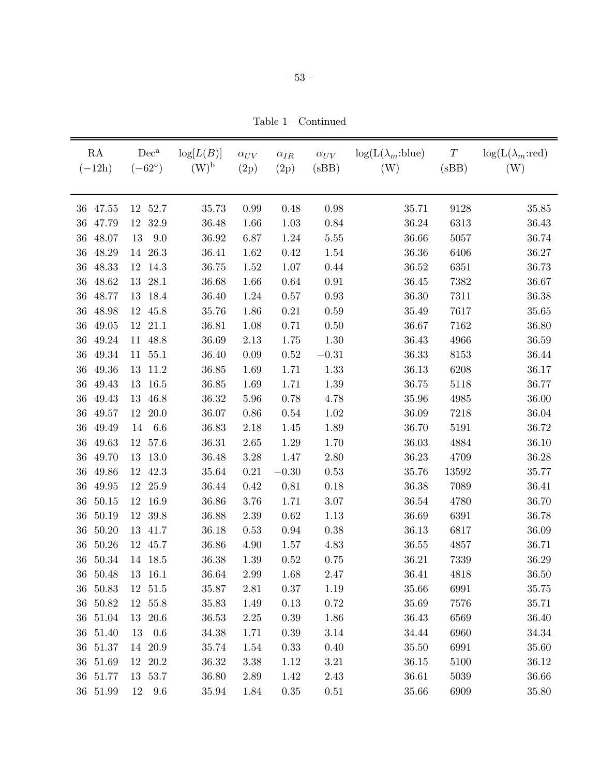Table 1—Continued

| RA<br>$(-12h)$  | $Dec^a$<br>$(-62^{\circ})$ | $\log[L(B)]$<br>$(W)^{b}$ | $\alpha_{UV}$<br>(2p) | $\alpha_{IR}$<br>(2p) | $\alpha_{UV}$<br>(sBB) | $log(L(\lambda_m:blue))$<br>(W) | $\cal T$<br>(sBB) | $\log(L(\lambda_m:red))$<br>(W) |
|-----------------|----------------------------|---------------------------|-----------------------|-----------------------|------------------------|---------------------------------|-------------------|---------------------------------|
| 36 47.55        | 12 52.7                    | 35.73                     | $0.99\,$              | 0.48                  | $0.98\,$               | 35.71                           | 9128              | 35.85                           |
| 47.79<br>36     | 32.9<br>12                 | 36.48                     | 1.66                  | $1.03\,$              | 0.84                   | 36.24                           | 6313              | 36.43                           |
| 48.07<br>36     | 9.0<br>13                  | 36.92                     | 6.87                  | $1.24\,$              | $5.55\,$               | 36.66                           | 5057              | 36.74                           |
| 48.29<br>36     | 14 26.3                    | 36.41                     | 1.62                  | 0.42                  | 1.54                   | 36.36                           | 6406              | 36.27                           |
| 48.33<br>36     | 12 14.3                    | 36.75                     | 1.52                  | 1.07                  | 0.44                   | 36.52                           | 6351              | 36.73                           |
| 48.62<br>36     | 13<br>28.1                 | 36.68                     | 1.66                  | $0.64\,$              | 0.91                   | 36.45                           | 7382              | 36.67                           |
| 48.77<br>36     | 18.4<br>13                 | 36.40                     | 1.24                  | $0.57\,$              | $0.93\,$               | 36.30                           | 7311              | 36.38                           |
| 48.98<br>36     | 12<br>45.8                 | 35.76                     | 1.86                  | $0.21\,$              | $0.59\,$               | 35.49                           | 7617              | $35.65\,$                       |
| 49.05<br>36     | 12<br>21.1                 | 36.81                     | 1.08                  | 0.71                  | $0.50\,$               | 36.67                           | 7162              | 36.80                           |
| 49.24<br>36     | 48.8<br>11                 | 36.69                     | 2.13                  | 1.75                  | 1.30                   | 36.43                           | 4966              | 36.59                           |
| 49.34<br>36     | 11 55.1                    | 36.40                     | $0.09\,$              | $0.52\,$              | $-0.31$                | 36.33                           | 8153              | 36.44                           |
| 49.36<br>36     | 13 11.2                    | 36.85                     | 1.69                  | 1.71                  | 1.33                   | 36.13                           | 6208              | 36.17                           |
| 49.43<br>36     | 16.5<br>13                 | 36.85                     | 1.69                  | 1.71                  | $1.39\,$               | 36.75                           | 5118              | 36.77                           |
| 49.43<br>$36\,$ | 46.8<br>13                 | 36.32                     | 5.96                  | 0.78                  | 4.78                   | 35.96                           | 4985              | 36.00                           |
| 36<br>49.57     | 20.0<br>12                 | 36.07                     | $0.86\,$              | $0.54\,$              | 1.02                   | 36.09                           | 7218              | $36.04\,$                       |
| 49.49<br>36     | 6.6<br>14                  | 36.83                     | $2.18\,$              | 1.45                  | 1.89                   | 36.70                           | 5191              | 36.72                           |
| 49.63<br>$36\,$ | 57.6<br>12                 | 36.31                     | $2.65\,$              | $1.29\,$              | 1.70                   | 36.03                           | 4884              | 36.10                           |
| $36\,$<br>49.70 | 13 13.0                    | 36.48                     | 3.28                  | 1.47                  | $2.80\,$               | 36.23                           | 4709              | 36.28                           |
| 49.86<br>36     | 42.3<br>12                 | 35.64                     | $0.21\,$              | $-0.30$               | 0.53                   | 35.76                           | 13592             | 35.77                           |
| 49.95<br>$36\,$ | 12 25.9                    | 36.44                     | 0.42                  | $0.81\,$              | 0.18                   | 36.38                           | 7089              | 36.41                           |
| 50.15<br>$36\,$ | 12 16.9                    | 36.86                     | $3.76\,$              | 1.71                  | $3.07\,$               | 36.54                           | 4780              | 36.70                           |
| 36<br>50.19     | 12 39.8                    | 36.88                     | 2.39                  | 0.62                  | 1.13                   | 36.69                           | 6391              | 36.78                           |
| 50.20<br>36     | 13<br>41.7                 | 36.18                     | 0.53                  | $0.94\,$              | $0.38\,$               | 36.13                           | 6817              | 36.09                           |
| 50.26<br>36     | 12 45.7                    | 36.86                     | 4.90                  | 1.57                  | 4.83                   | 36.55                           | 4857              | 36.71                           |
| 50.34<br>36     | 14 18.5                    | 36.38                     | $1.39\,$              | $0.52\,$              | $0.75\,$               | 36.21                           | 7339              | 36.29                           |
| 36 50.48        | 13 16.1                    | 36.64                     | 2.99                  | 1.68                  | 2.47                   | 36.41                           | 4818              | 36.50                           |
| 36 50.83        | 12 51.5                    | 35.87                     | 2.81                  | $0.37\,$              | 1.19                   | 35.66                           | 6991              | 35.75                           |
| 36 50.82        | 12 55.8                    | 35.83                     | 1.49                  | 0.13                  | 0.72                   | 35.69                           | 7576              | 35.71                           |
| 36 51.04        | 13 20.6                    | 36.53                     | 2.25                  | $0.39\,$              | 1.86                   | 36.43                           | 6569              | 36.40                           |
| 36 51.40        | 0.6<br>13                  | 34.38                     | 1.71                  | 0.39                  | 3.14                   | 34.44                           | 6960              | 34.34                           |
| 36 51.37        | 14 20.9                    | 35.74                     | 1.54                  | 0.33                  | 0.40                   | 35.50                           | 6991              | 35.60                           |
| 36 51.69        | 12 20.2                    | 36.32                     | 3.38                  | 1.12                  | 3.21                   | 36.15                           | 5100              | 36.12                           |
| 36 51.77        | 13 53.7                    | 36.80                     | 2.89                  | 1.42                  | 2.43                   | 36.61                           | 5039              | 36.66                           |
| 36 51.99        | 12<br>9.6                  | 35.94                     | 1.84                  | $0.35\,$              | 0.51                   | 35.66                           | 6909              | 35.80                           |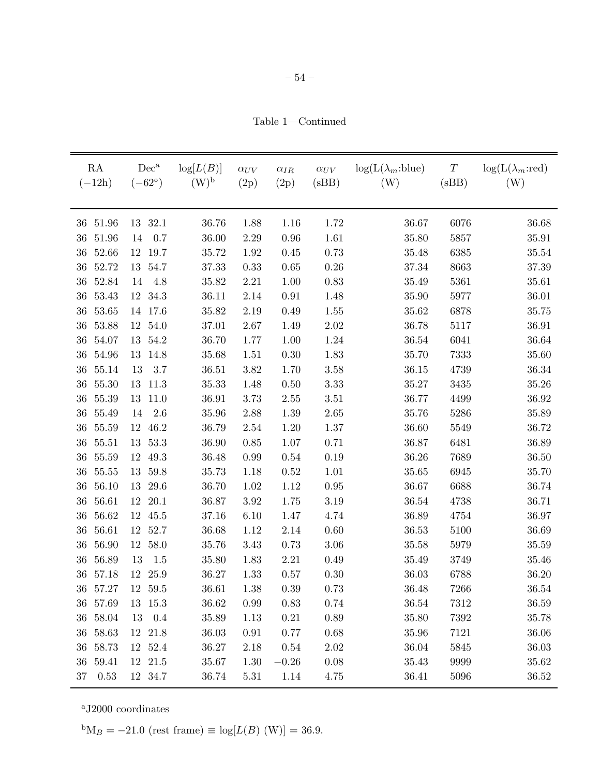Table 1—Continued

| RA<br>$(-12h)$  | $Dec^a$<br>$(-62^{\circ})$ | log[L(B)]<br>$(W)^{b}$ | $\alpha_{UV}$<br>(2p) | $\alpha_{IR}$<br>(2p) | $\alpha_{UV}$<br>(sBB) | $log(L(\lambda_m:blue))$<br>(W) | $\cal T$<br>(sBB) | $\log(L(\lambda_m:red))$<br>(W) |
|-----------------|----------------------------|------------------------|-----------------------|-----------------------|------------------------|---------------------------------|-------------------|---------------------------------|
| 51.96<br>36     | 13 32.1                    | 36.76                  | 1.88                  | 1.16                  | 1.72                   | 36.67                           | 6076              | 36.68                           |
| 51.96<br>36     | 0.7<br>14                  | 36.00                  | $2.29\,$              | 0.96                  | 1.61                   | 35.80                           | 5857              | $35.91\,$                       |
| 52.66<br>36     | 12 19.7                    | 35.72                  | 1.92                  | 0.45                  | 0.73                   | 35.48                           | 6385              | $35.54\,$                       |
| 52.72<br>36     | 13<br>54.7                 | 37.33                  | $0.33\,$              | $0.65\,$              | $0.26\,$               | 37.34                           | 8663              | $37.39\,$                       |
| 52.84<br>36     | 4.8<br>14                  | 35.82                  | $2.21\,$              | 1.00                  | 0.83                   | 35.49                           | 5361              | 35.61                           |
| 53.43<br>36     | 12 34.3                    | 36.11                  | $2.14\,$              | $\rm 0.91$            | 1.48                   | 35.90                           | 5977              | $36.01\,$                       |
| 53.65<br>36     | 14 17.6                    | 35.82                  | 2.19                  | 0.49                  | 1.55                   | 35.62                           | 6878              | 35.75                           |
| 53.88<br>36     | 54.0<br>12                 | 37.01                  | $2.67\,$              | 1.49                  | $2.02\,$               | 36.78                           | 5117              | 36.91                           |
| 54.07<br>36     | 13<br>54.2                 | 36.70                  | 1.77                  | $1.00\,$              | 1.24                   | 36.54                           | 6041              | 36.64                           |
| 54.96<br>36     | 14.8<br>13                 | 35.68                  | 1.51                  | $0.30\,$              | 1.83                   | 35.70                           | 7333              | 35.60                           |
| 55.14<br>36     | $3.7\,$<br>13              | 36.51                  | 3.82                  | 1.70                  | $3.58\,$               | 36.15                           | 4739              | 36.34                           |
| 55.30<br>36     | 13<br>11.3                 | $35.33\,$              | 1.48                  | 0.50                  | $3.33\,$               | 35.27                           | 3435              | 35.26                           |
| 55.39<br>36     | 13<br>11.0                 | 36.91                  | 3.73                  | $2.55\,$              | 3.51                   | 36.77                           | 4499              | 36.92                           |
| 55.49<br>36     | $2.6\,$<br>14              | 35.96                  | 2.88                  | 1.39                  | $2.65\,$               | $35.76\,$                       | 5286              | $35.89\,$                       |
| 55.59<br>36     | 46.2<br>12                 | 36.79                  | $2.54\,$              | 1.20                  | 1.37                   | 36.60                           | 5549              | 36.72                           |
| 55.51<br>36     | 53.3<br>13                 | 36.90                  | $0.85\,$              | 1.07                  | 0.71                   | 36.87                           | 6481              | 36.89                           |
| 55.59<br>36     | 49.3<br>12                 | 36.48                  | $0.99\,$              | $0.54\,$              | $0.19\,$               | 36.26                           | 7689              | 36.50                           |
| 55.55<br>36     | 59.8<br>13                 | 35.73                  | 1.18                  | $0.52\,$              | 1.01                   | 35.65                           | 6945              | 35.70                           |
| 56.10<br>36     | 29.6<br>13                 | 36.70                  | 1.02                  | 1.12                  | $0.95\,$               | 36.67                           | 6688              | 36.74                           |
| 56.61<br>36     | 20.1<br>12                 | 36.87                  | $3.92\,$              | 1.75                  | 3.19                   | 36.54                           | 4738              | 36.71                           |
| 56.62<br>36     | 12<br>45.5                 | 37.16                  | $6.10\,$              | 1.47                  | 4.74                   | 36.89                           | 4754              | 36.97                           |
| 56.61<br>$36\,$ | 12 52.7                    | 36.68                  | 1.12                  | 2.14                  | 0.60                   | 36.53                           | 5100              | 36.69                           |
| 56.90<br>36     | 12 58.0                    | 35.76                  | 3.43                  | 0.73                  | $3.06\,$               | 35.58                           | 5979              | 35.59                           |
| 36<br>56.89     | 13<br>1.5                  | 35.80                  | 1.83                  | 2.21                  | 0.49                   | 35.49                           | 3749              | 35.46                           |
| 36<br>57.18     | 12 25.9                    | 36.27                  | 1.33                  | $0.57\,$              | 0.30                   | 36.03                           | 6788              | 36.20                           |
| 36 57.27        | 12 59.5                    | 36.61                  | 1.38                  | 0.39                  | 0.73                   | 36.48                           | 7266              | 36.54                           |
| 36 57.69        | 13 15.3                    | 36.62                  | 0.99                  | 0.83                  | 0.74                   | 36.54                           | 7312              | 36.59                           |
| 36 58.04        | 13 0.4                     | 35.89                  | 1.13                  | $0.21\,$              | 0.89                   | 35.80                           | 7392              | 35.78                           |
| 36 58.63        | 12 21.8                    | $36.03\,$              | 0.91                  | 0.77                  | $0.68\,$               | 35.96                           | 7121              | 36.06                           |
| 36 58.73        | 12 52.4                    | 36.27                  | 2.18                  | 0.54                  | $2.02\,$               | 36.04                           | 5845              | 36.03                           |
| 36 59.41        | 12 21.5                    | 35.67                  | 1.30                  | $-0.26$               | $0.08\,$               | 35.43                           | 9999              | 35.62                           |
| 37 0.53         | 12 34.7                    | 36.74                  | $5.31\,$              | 1.14                  | 4.75                   | 36.41                           | 5096              | 36.52                           |

 ${}^{b}M_{B} = -21.0$  (rest frame)  $\equiv log[L(B) (W)] = 36.9$ .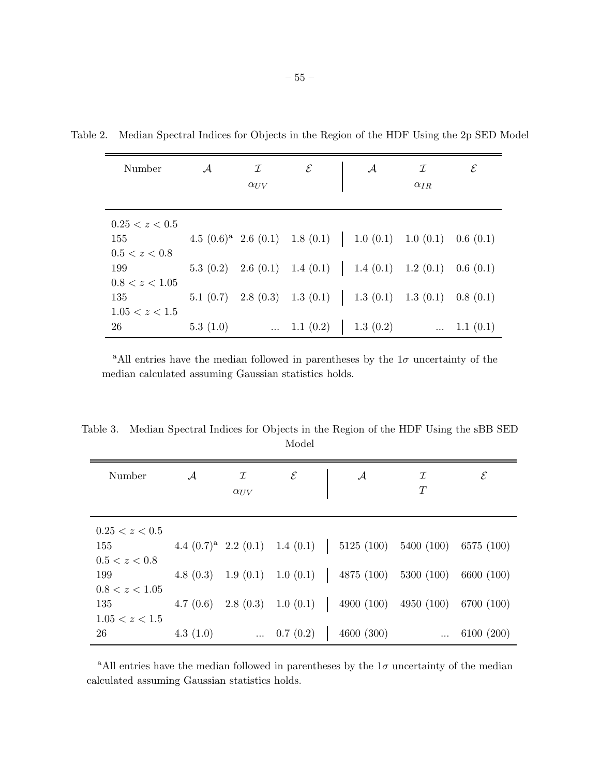| Number         | $\mathcal{A}$ | I<br>$\alpha_{UV}$ | $\mathcal E$ | $\mathcal{A}$ | $\mathcal I$<br>$\alpha_{IR}$                                               | $\mathcal E$ |
|----------------|---------------|--------------------|--------------|---------------|-----------------------------------------------------------------------------|--------------|
|                |               |                    |              |               |                                                                             |              |
| 0.25 < z < 0.5 |               |                    |              |               |                                                                             |              |
| 155            |               |                    |              |               | 4.5 $(0.6)^a$ 2.6 $(0.1)$ 1.8 $(0.1)$   1.0 $(0.1)$ 1.0 $(0.1)$ 0.6 $(0.1)$ |              |
| 0.5 < z < 0.8  |               |                    |              |               |                                                                             |              |
| 199            |               |                    |              |               | 5.3 (0.2) 2.6 (0.1) 1.4 (0.1) 1.4 (0.1) 1.2 (0.1) 0.6 (0.1)                 |              |
| 0.8 < z < 1.05 |               |                    |              |               |                                                                             |              |
| 135            |               |                    |              |               | 5.1 (0.7) 2.8 (0.3) 1.3 (0.1)   1.3 (0.1) 1.3 (0.1) 0.8 (0.1)               |              |
| 1.05 < z < 1.5 |               |                    |              |               |                                                                             |              |
| 26             | 5.3(1.0)      |                    | 1.1(0.2)     | 1.3(0.2)      | $\cdots$                                                                    | 1.1(0.1)     |

Table 2. Median Spectral Indices for Objects in the Region of the HDF Using the 2p SED Model

<sup>a</sup>All entries have the median followed in parentheses by the  $1\sigma$  uncertainty of the median calculated assuming Gaussian statistics holds.

Table 3. Median Spectral Indices for Objects in the Region of the HDF Using the sBB SED Model

| Number         | $\mathcal{A}$ | I             | $\mathcal E$       | $\mathcal{A}$                                                     | ${\cal I}$ | $\mathcal E$ |
|----------------|---------------|---------------|--------------------|-------------------------------------------------------------------|------------|--------------|
|                |               | $\alpha_{UV}$ |                    |                                                                   | T          |              |
|                |               |               |                    |                                                                   |            |              |
| 0.25 < z < 0.5 |               |               |                    |                                                                   |            |              |
| 155            |               |               |                    | 4.4 $(0.7)^a$ 2.2 $(0.1)$ 1.4 $(0.1)$   5125 $(100)$ 5400 $(100)$ |            | 6575 (100)   |
| 0.5 < z < 0.8  |               |               |                    |                                                                   |            |              |
| 199            |               |               |                    | 4.8 (0.3) 1.9 (0.1) 1.0 (0.1)   4875 (100) 5300 (100)             |            | 6600 (100)   |
| 0.8 < z < 1.05 |               |               |                    |                                                                   |            |              |
| 135            |               |               |                    | 4.7 (0.6) 2.8 (0.3) 1.0 (0.1)   4900 (100)                        | 4950 (100) | 6700 (100)   |
| 1.05 < z < 1.5 |               |               |                    |                                                                   |            |              |
| 26             | 4.3 $(1.0)$   |               | $\ldots$ 0.7 (0.2) | 4600(300)                                                         |            | 6100 (200)   |

<sup>a</sup>All entries have the median followed in parentheses by the  $1\sigma$  uncertainty of the median calculated assuming Gaussian statistics holds.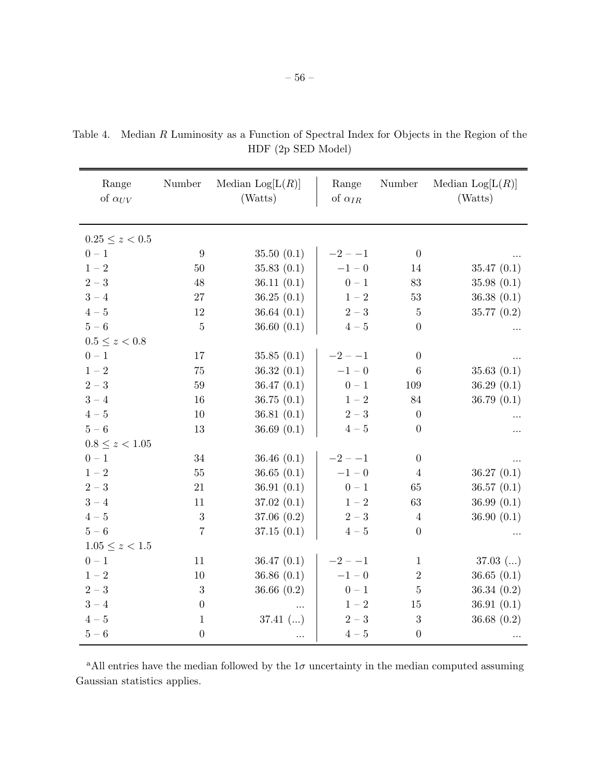| Range<br>of $\alpha_{UV}$ | Number           | Median $\text{Log}[L(R)]$<br>(Watts) | Range<br>of $\alpha_{IR}$             | Number           | Median $Log[L(R)]$<br>(Watts) |
|---------------------------|------------------|--------------------------------------|---------------------------------------|------------------|-------------------------------|
| $0.25\leq z<0.5$          |                  |                                      |                                       |                  |                               |
| $0-1\,$                   | 9                | 35.50(0.1)                           | $-2 - -1$                             | $\theta$         |                               |
| $1-2\,$                   | $50\,$           | 35.83(0.1)                           | $-1 - 0$                              | 14               | 35.47(0.1)                    |
| $2-3$                     | $48\,$           | 36.11(0.1)                           | $0\, -\, 1$                           | 83               | 35.98(0.1)                    |
| $3-4$                     | $27\,$           | 36.25(0.1)                           | $1\,{-}\,2$                           | $53\,$           | 36.38(0.1)                    |
| $4-5$                     | 12               | 36.64 $(0.1)$                        | $2-3$                                 | $\bf 5$          | 35.77(0.2)                    |
| $5-6\,$                   | $\overline{5}$   | 36.60(0.1)                           | $4\hspace{-0.05cm}-\hspace{-0.05cm}5$ | $\overline{0}$   |                               |
| $0.5\leq z < 0.8$         |                  |                                      |                                       |                  |                               |
| $0-1\,$                   | 17               | 35.85(0.1)                           | $-2 - -1$                             | $\overline{0}$   |                               |
| $1-2\,$                   | 75               | 36.32(0.1)                           | $-1 - 0$                              | $\,6\,$          | 35.63(0.1)                    |
| $2-3$                     | 59               | 36.47(0.1)                           | $0-1\,$                               | 109              | 36.29(0.1)                    |
| $3 - 4$                   | 16               | 36.75(0.1)                           | $1-2\,$                               | 84               | 36.79(0.1)                    |
| $4-5$                     | 10               | 36.81(0.1)                           | $2-3$                                 | $\boldsymbol{0}$ |                               |
| $5-6$                     | $13\,$           | 36.69 $(0.1)$                        | $4\hspace{-0.05cm}-\hspace{-0.05cm}5$ | $\boldsymbol{0}$ |                               |
| $0.8 \leq z < 1.05$       |                  |                                      |                                       |                  |                               |
| $0-1$                     | $34\,$           | 36.46(0.1)                           | $-2 - -1$                             | $\overline{0}$   |                               |
| $1-2$                     | $55\,$           | 36.65(0.1)                           | $-1 - 0$                              | $\overline{4}$   | 36.27(0.1)                    |
| $2-3$                     | $21\,$           | 36.91(0.1)                           | $0\, -\, 1$                           | 65               | 36.57(0.1)                    |
| $3-4$                     | 11               | 37.02(0.1)                           | $1\,{-}\,2$                           | 63               | 36.99(0.1)                    |
| $4-5$                     | 3                | 37.06 $(0.2)$                        | $2-3$                                 | $\overline{4}$   | 36.90 $(0.1)$                 |
| $5-6$                     | $\overline{7}$   | 37.15(0.1)                           | $4-5$                                 | $\boldsymbol{0}$ |                               |
| $1.05 \leq z < 1.5$       |                  |                                      |                                       |                  |                               |
| $0-1\,$                   | 11               | 36.47(0.1)                           | $-2 - -1$                             | $\mathbf{1}$     | $37.03$ ()                    |
| $1\,{-}\,2$               | 10               | 36.86(0.1)                           | $-1\, -\, 0$                          | $\,2$            | 36.65(0.1)                    |
| $2-3$                     | $\sqrt{3}$       | 36.66 $(0.2)$                        | $0\, -\, 1$                           | $\bf 5$          | 36.34(0.2)                    |
| $3 - 4$                   | $\overline{0}$   |                                      | $1-2\,$                               | 15               | 36.91(0.1)                    |
| $4-5$                     | $\mathbf{1}$     | $37.41$ ()                           | $2-3$                                 | $\boldsymbol{3}$ | 36.68(0.2)                    |
| $5-6\,$                   | $\boldsymbol{0}$ |                                      | $4-5\,$                               | $\boldsymbol{0}$ |                               |

Table 4. Median R Luminosity as a Function of Spectral Index for Objects in the Region of the HDF (2p SED Model)

<sup>a</sup>All entries have the median followed by the  $1\sigma$  uncertainty in the median computed assuming Gaussian statistics applies.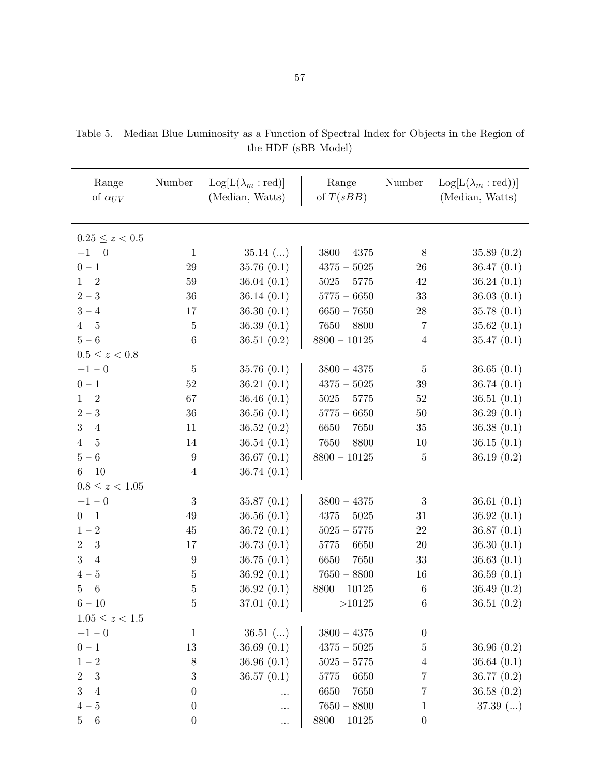| Range                                 | Number           | $\text{Log}[L(\lambda_m : \text{red})]$ | Range              | Number           | $\text{Log}[L(\lambda_m : \text{red}))]$ |
|---------------------------------------|------------------|-----------------------------------------|--------------------|------------------|------------------------------------------|
| of $\alpha_{UV}$                      |                  | (Median, Watts)                         | of $T(sBB)$        |                  | (Median, Watts)                          |
|                                       |                  |                                         |                    |                  |                                          |
| $0.25 \leq z < 0.5$                   |                  |                                         |                    |                  |                                          |
| $-1 - 0$                              | $\mathbf{1}$     | $35.14$ ()                              | $3800 - 4375$      | 8                | 35.89 $(0.2)$                            |
| $0-1\,$                               | $29\,$           | 35.76(0.1)                              | $4375 - 5025$      | 26               | 36.47(0.1)                               |
| $1-2\,$                               | $59\,$           | 36.04(0.1)                              | $5025 - 5775$      | 42               | 36.24(0.1)                               |
| $2-3$                                 | 36               | 36.14 $(0.1)$                           | $5775 - 6650$      | $33\,$           | 36.03(0.1)                               |
| $3-4$                                 | 17               | 36.30(0.1)                              | $6650 - 7650$      | $28\,$           | 35.78(0.1)                               |
| $4-5$                                 | $\bf 5$          | 36.39 $(0.1)$                           | $7650 - 8800$      | $\overline{7}$   | 35.62(0.1)                               |
| $5-6\,$                               | $\,6\,$          | 36.51(0.2)                              | $8800$ – $10125\,$ | $\overline{4}$   | 35.47(0.1)                               |
| $0.5 \le z < 0.8$                     |                  |                                         |                    |                  |                                          |
| $-1 - 0$                              | $\overline{5}$   | 35.76(0.1)                              | $3800 - 4375$      | $\overline{5}$   | 36.65(0.1)                               |
| $0\, -\, 1$                           | $52\,$           | 36.21(0.1)                              | $4375\, -\,5025$   | $39\,$           | 36.74 $(0.1)$                            |
| $1-2\,$                               | 67               | 36.46 $(0.1)$                           | $5025 - 5775$      | $52\,$           | 36.51(0.1)                               |
| $2-3$                                 | 36               | 36.56(0.1)                              | $5775 - 6650$      | $50\,$           | 36.29 $(0.1)$                            |
| $3-4$                                 | 11               | 36.52(0.2)                              | $6650 - 7650$      | $35\,$           | 36.38(0.1)                               |
| $4\hspace{-0.05cm}-\hspace{-0.05cm}5$ | 14               | 36.54(0.1)                              | $7650 - 8800$      | 10               | 36.15(0.1)                               |
| $5-6\,$                               | $\boldsymbol{9}$ | 36.67 $(0.1)$                           | $8800 - 10125$     | $\bf 5$          | 36.19 $(0.2)$                            |
| $6 - 10$                              | $\overline{4}$   | 36.74 $(0.1)$                           |                    |                  |                                          |
| $0.8 \leq z < 1.05$                   |                  |                                         |                    |                  |                                          |
| $-1 - 0$                              | $\sqrt{3}$       | 35.87(0.1)                              | $3800 - 4375$      | $\sqrt{3}$       | 36.61 $(0.1)$                            |
| $0-1\,$                               | $49\,$           | 36.56 $(0.1)$                           | $4375 - 5025$      | 31               | 36.92(0.1)                               |
| $1-2\,$                               | 45               | 36.72(0.1)                              | $5025 - 5775$      | $22\,$           | 36.87(0.1)                               |
| $2-3$                                 | 17               | 36.73(0.1)                              | $5775 - 6650$      | $20\,$           | 36.30 $(0.1)$                            |
| $3 - 4$                               | $\boldsymbol{9}$ | 36.75(0.1)                              | $6650 - 7650$      | 33               | 36.63 $(0.1)$                            |
| $4\hspace{-0.05cm}-\hspace{-0.05cm}5$ | $\bf 5$          | 36.92(0.1)                              | $7650 - 8800$      | 16               | 36.59(0.1)                               |
| $5-6\,$                               | $\bf 5$          | 36.92(0.1)                              | $8800 - 10125$     | $\,6\,$          | 36.49 $(0.2)$                            |
| $6 - 10$                              | $\mathbf 5$      | 37.01 $(0.1)$                           | >10125             | $\,6\,$          | 36.51 $(0.2)$                            |
| $1.05 \leq z < 1.5$                   |                  |                                         |                    |                  |                                          |
| $-1 - 0$                              | $\mathbf{1}$     | $36.51$ ()                              | $3800 - 4375$      | $\boldsymbol{0}$ |                                          |
| $0-1\,$                               | 13               | 36.69 $(0.1)$                           | $4375 - 5025$      | $\overline{5}$   | 36.96 $(0.2)$                            |
| $1-2\,$                               | $8\,$            | 36.96(0.1)                              | $5025 - 5775$      | $\overline{4}$   | 36.64 $(0.1)$                            |
| $2-3$                                 | 3                | 36.57(0.1)                              | $5775 - 6650$      | $\overline{7}$   | 36.77 $(0.2)$                            |
| $3-4$                                 | $\boldsymbol{0}$ | .                                       | $6650 - 7650$      | 7                | 36.58 $(0.2)$                            |
| $4\hspace{-0.05cm}-\hspace{-0.05cm}5$ | $\boldsymbol{0}$ | $\cdots$                                | $7650 - 8800$      | 1                | $37.39$ ()                               |
| $5-6\,$                               | $\boldsymbol{0}$ | $\ddotsc$                               | $8800$ – $10125\,$ | $\boldsymbol{0}$ |                                          |

Table 5. Median Blue Luminosity as a Function of Spectral Index for Objects in the Region of the HDF (sBB Model)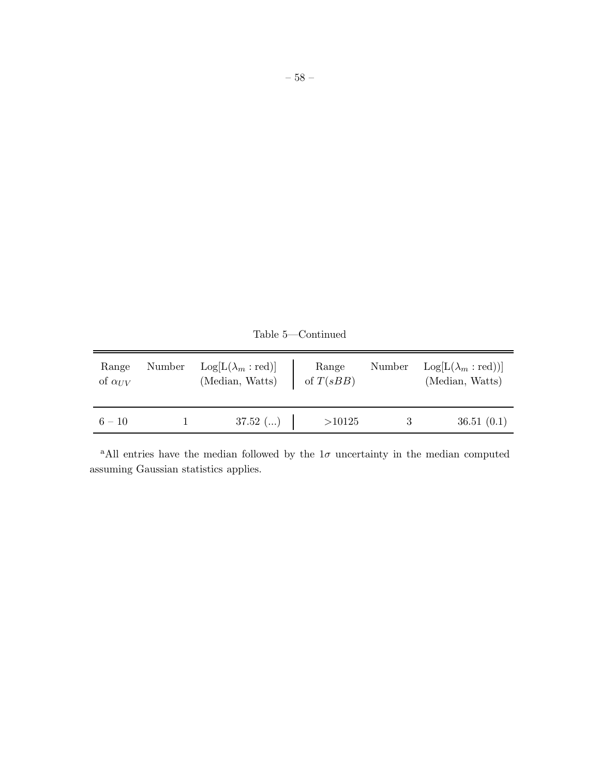| Range<br>of $\alpha_{UV}$ | Number | $\text{Log}[L(\lambda_m : \text{red})]$<br>(Median, Watts) | Range<br>of $T(sBB)$ | Number | $\text{Log}[L(\lambda_m : \text{red}))]$<br>(Median, Watts) |
|---------------------------|--------|------------------------------------------------------------|----------------------|--------|-------------------------------------------------------------|
| $6 - 10$                  |        | $37.52$ ()                                                 | >10125               |        | 36.51(0.1)                                                  |

Table 5—Continued

<sup>a</sup>All entries have the median followed by the  $1\sigma$  uncertainty in the median computed assuming Gaussian statistics applies.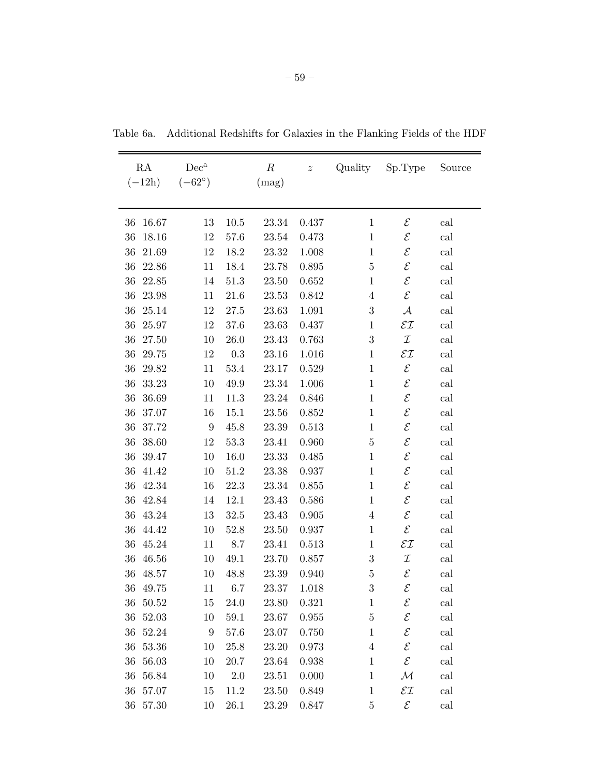| RA              | $Dec^a$          |          | $\boldsymbol{R}$ | $\boldsymbol{z}$ | Quality          | Sp.Type                  | Source |
|-----------------|------------------|----------|------------------|------------------|------------------|--------------------------|--------|
| $(-12h)$        | $(-62^{\circ})$  |          | (mag)            |                  |                  |                          |        |
|                 |                  |          |                  |                  |                  |                          |        |
| 16.67<br>36     | 13               | 10.5     | 23.34            | 0.437            | 1                | ${\cal E}$               | cal    |
| 36<br>18.16     | 12               | 57.6     | 23.54            | 0.473            | $\mathbf{1}$     | ${\cal E}$               | cal    |
| 36<br>$21.69\,$ | 12               | 18.2     | 23.32            | 1.008            | $\mathbf{1}$     | $\mathcal E$             | cal    |
| 36<br>22.86     | 11               | 18.4     | 23.78            | 0.895            | $\bf 5$          | $\mathcal E$             | cal    |
| 36<br>22.85     | 14               | 51.3     | 23.50            | 0.652            | $\,1$            | $\mathcal E$             | cal    |
| 36<br>23.98     | 11               | $21.6\,$ | 23.53            | 0.842            | $\overline{4}$   | $\mathcal E$             | cal    |
| 36<br>25.14     | 12               | 27.5     | 23.63            | 1.091            | $\boldsymbol{3}$ | $\mathcal{A}$            | cal    |
| 36<br>25.97     | 12               | 37.6     | 23.63            | 0.437            | $\mathbf{1}$     | $\mathcal{E}\mathcal{I}$ | cal    |
| 36<br>27.50     | 10               | $26.0\,$ | 23.43            | 0.763            | $\boldsymbol{3}$ | $\mathcal I$             | cal    |
| 36<br>29.75     | 12               | 0.3      | 23.16            | 1.016            | $\mathbf 1$      | $\mathcal{E}\mathcal{I}$ | cal    |
| 36<br>29.82     | 11               | 53.4     | 23.17            | 0.529            | $\mathbf{1}$     | $\mathcal E$             | cal    |
| 36<br>33.23     | 10               | 49.9     | 23.34            | 1.006            | $\mathbf{1}$     | $\mathcal E$             | cal    |
| 36<br>36.69     | 11               | 11.3     | 23.24            | 0.846            | $\mathbf{1}$     | $\mathcal E$             | cal    |
| 36<br>37.07     | 16               | 15.1     | 23.56            | 0.852            | $\mathbf{1}$     | $\mathcal E$             | cal    |
| 36<br>37.72     | $\boldsymbol{9}$ | 45.8     | 23.39            | 0.513            | $\mathbf{1}$     | $\mathcal E$             | cal    |
| 36<br>38.60     | 12               | 53.3     | 23.41            | 0.960            | $\bf 5$          | $\mathcal E$             | cal    |
| 36<br>39.47     | 10               | 16.0     | 23.33            | 0.485            | $\,1$            | $\mathcal E$             | cal    |
| 36<br>41.42     | 10               | 51.2     | 23.38            | 0.937            | $\mathbf{1}$     | $\mathcal E$             | cal    |
| 36<br>42.34     | 16               | 22.3     | 23.34            | 0.855            | $\,1$            | $\mathcal E$             | cal    |
| 36<br>42.84     | 14               | 12.1     | 23.43            | 0.586            | $1\,$            | $\mathcal E$             | cal    |
| 36<br>43.24     | 13               | $32.5\,$ | 23.43            | 0.905            | $\overline{4}$   | $\mathcal E$             | cal    |
| 44.42<br>36     | 10               | 52.8     | 23.50            | 0.937            | $\mathbf{1}$     | ${\cal E}$               | cal    |
| 36<br>45.24     | 11               | 8.7      | 23.41            | 0.513            | $\mathbf{1}$     | $\mathcal{E}\mathcal{I}$ | cal    |
| 36<br>46.56     | 10               | 49.1     | 23.70            | 0.857            | $\sqrt{3}$       | $\mathcal I$             | cal    |
| 36 48.57        | 10               | 48.8     | 23.39            | 0.940            | $\overline{5}$   | $\mathcal E$             | cal    |
| $36\,$<br>49.75 | 11               | 6.7      | 23.37            | 1.018            | 3                | $\mathcal E$             | cal    |
| 36<br>50.52     | 15               | 24.0     | 23.80            | 0.321            | $1\,$            | ${\mathcal E}$           | cal    |
| 52.03<br>36     | 10               | $59.1\,$ | 23.67            | 0.955            | $\overline{5}$   | $\mathcal E$             | cal    |
| 36<br>52.24     | $\boldsymbol{9}$ | 57.6     | 23.07            | 0.750            | $\mathbf{1}$     | ${\cal E}$               | cal    |
| $53.36\,$<br>36 | 10               | 25.8     | 23.20            | 0.973            | $\,4\,$          | $\mathcal E$             | cal    |
| 56.03<br>36     | 10               | 20.7     | 23.64            | 0.938            | $\mathbf{1}$     | $\mathcal E$             | cal    |
| 56.84<br>36     | 10               | 2.0      | 23.51            | 0.000            | $\mathbf{1}$     | ${\cal M}$               | cal    |
| 57.07<br>36     | 15               | 11.2     | 23.50            | 0.849            | $1\,$            | $\mathcal{E}\mathcal{I}$ | cal    |
| 57.30<br>36     | 10               | 26.1     | 23.29            | 0.847            | $\overline{5}$   | ${\cal E}$               | cal    |

Table 6a. Additional Redshifts for Galaxies in the Flanking Fields of the HDF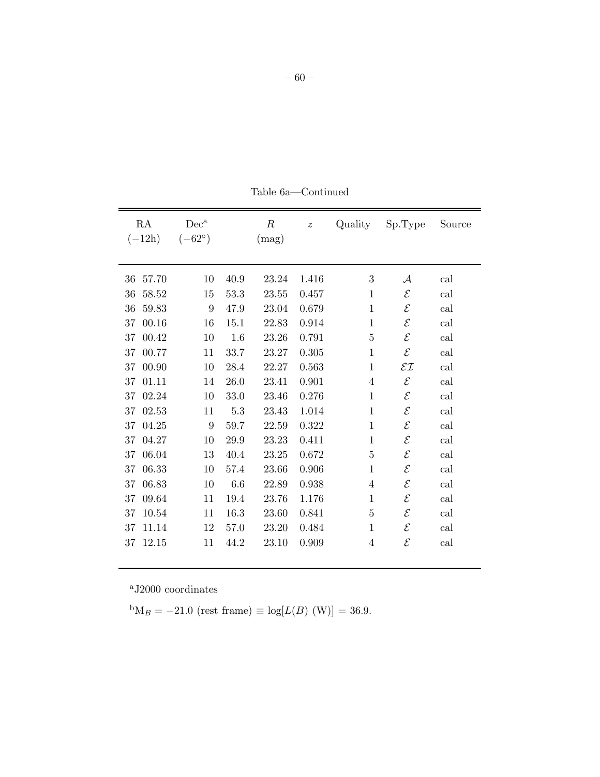| RA<br>$(-12h)$ | $Dec^a$<br>$(-62^{\circ})$ |         | $\boldsymbol{R}$<br>(mag) | $\boldsymbol{z}$ | Quality        | Sp.Type                  | Source |
|----------------|----------------------------|---------|---------------------------|------------------|----------------|--------------------------|--------|
| 36<br>57.70    | 10                         | 40.9    | 23.24                     | 1.416            | 3              | ${\cal A}$               | cal    |
| 36<br>58.52    | 15                         | 53.3    | 23.55                     | 0.457            | $\mathbf{1}$   | $\mathcal{E}_{0}$        | cal    |
| 36<br>59.83    | 9                          | 47.9    | 23.04                     | 0.679            | $\mathbf{1}$   | $\mathcal{E}_{0}$        | cal    |
| 37<br>00.16    | 16                         | 15.1    | 22.83                     | 0.914            | $\mathbf{1}$   | $\mathcal{E}_{0}$        | cal    |
| 37<br>00.42    | 10                         | 1.6     | 23.26                     | 0.791            | $\overline{5}$ | $\mathcal E$             | cal    |
| 00.77<br>37    | 11                         | 33.7    | 23.27                     | 0.305            | $\mathbf{1}$   | $\mathcal{E}_{0}$        | cal    |
| 00.90<br>37    | 10                         | 28.4    | 22.27                     | 0.563            | $\mathbf{1}$   | $\mathcal{E}\mathcal{I}$ | cal    |
| 37<br>01.11    | 14                         | 26.0    | 23.41                     | 0.901            | 4              | $\mathcal{E}_{0}$        | cal    |
| 02.24<br>37    | 10                         | 33.0    | 23.46                     | 0.276            | $\mathbf{1}$   | $\mathcal E$             | cal    |
| 02.53<br>37    | 11                         | $5.3\,$ | 23.43                     | 1.014            | $\mathbf{1}$   | $\mathcal E$             | cal    |
| 04.25<br>37    | 9                          | 59.7    | 22.59                     | 0.322            | $\mathbf{1}$   | $\mathcal E$             | cal    |
| 04.27<br>37    | 10                         | 29.9    | 23.23                     | 0.411            | $\mathbf{1}$   | $\mathcal{E}_{0}^{2}$    | cal    |
| 06.04<br>37    | 13                         | 40.4    | 23.25                     | 0.672            | $\overline{5}$ | $\mathcal{E}_{0}^{2}$    | cal    |
| 06.33<br>37    | 10                         | 57.4    | 23.66                     | 0.906            | $\mathbf{1}$   | $\mathcal{E}_{0}^{2}$    | cal    |
| 06.83<br>37    | 10                         | 6.6     | 22.89                     | 0.938            | 4              | ${\cal E}$               | cal    |
| 09.64<br>37    | 11                         | 19.4    | 23.76                     | 1.176            | $\mathbf{1}$   | $\mathcal{E}_{0}^{2}$    | cal    |
| 10.54<br>37    | 11                         | 16.3    | 23.60                     | 0.841            | $\overline{5}$ | $\mathcal{E}_{0}^{2}$    | cal    |
| 11.14<br>37    | 12                         | 57.0    | 23.20                     | 0.484            | $\mathbf{1}$   | $\mathcal{E}_{0}^{2}$    | cal    |
| 12.15<br>37    | 11                         | 44.2    | 23.10                     | 0.909            | 4              | $\mathcal{E}_{0}^{2}$    | cal    |

Table 6a—Continued

 ${}^{\text{b}}\text{M}_B = -21.0$  (rest frame)  $\equiv \log[L(B) \text{ (W)}] = 36.9.$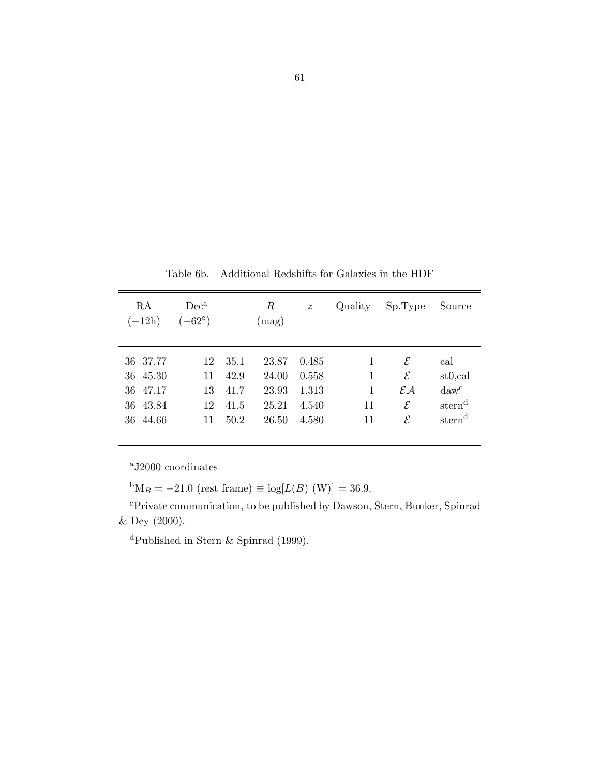| RA<br>$(-12h)$ | $Dec^a$<br>$(-62^{\circ})$ |      | R<br>(mag) | $\boldsymbol{z}$ | Quality | Sp.Type                     | Source               |
|----------------|----------------------------|------|------------|------------------|---------|-----------------------------|----------------------|
| 36 37.77       | 12                         | 35.1 | 23.87      | 0.485            | 1       | $\mathcal E$                | cal                  |
| 36 45.30       | 11                         | 42.9 | 24.00      | 0.558            | 1       | $\mathcal E$                | st <sub>0</sub> ,cal |
| 36 47.17       | 13                         | 41.7 | 23.93      | 1.313            | 1       | $\mathcal{E} \mathcal{A}$   | $daw^c$              |
| 36 43.84       | 12                         | 41.5 | 25.21      | 4.540            | 11      | $\mathcal E$                | stern <sup>d</sup>   |
| 44.66<br>36    | 11                         | 50.2 | 26.50      | 4.580            | 11      | $\mathcal{E}_{\mathcal{E}}$ | stern <sup>d</sup>   |

Table 6b. Additional Redshifts for Galaxies in the HDF

 ${}^{b}M_{B} = -21.0$  (rest frame)  $\equiv \log[L(B) \text{ (W)}] = 36.9.$ 

<sup>c</sup>Private communication, to be published by Dawson, Stern, Bunker, Spinrad & Dey (2000).

<sup>d</sup>Published in Stern & Spinrad (1999).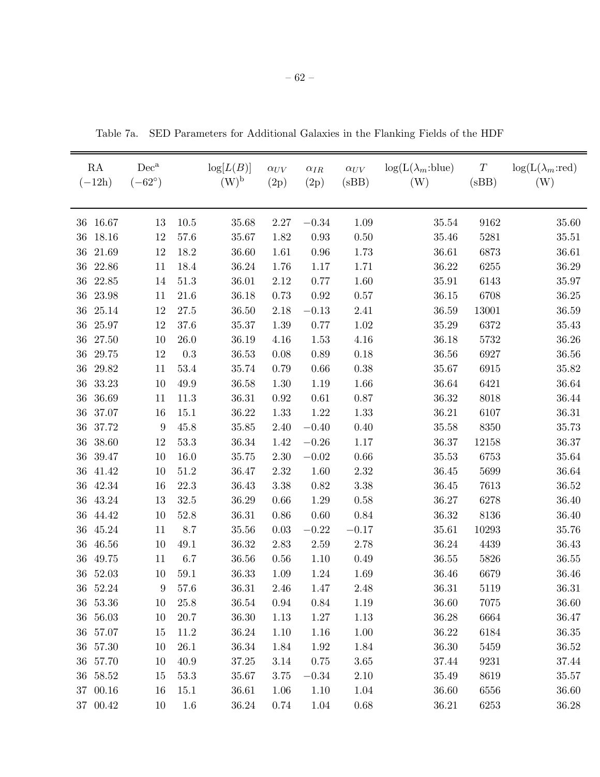| RA<br>$(-12h)$  | $Dec^a$<br>$(-62^{\circ})$ |          | log[L(B)]<br>$(W)^{b}$ | $\alpha_{UV}$<br>(2p) | $\alpha_{IR}$<br>(2p) | $\alpha_{UV}$<br>(sBB) | $log(L(\lambda_m:blue))$<br>(W) | $\cal T$<br>(sBB) | $log(L(\lambda_m:red))$<br>(W) |
|-----------------|----------------------------|----------|------------------------|-----------------------|-----------------------|------------------------|---------------------------------|-------------------|--------------------------------|
| 16.67<br>36     | 13                         | 10.5     | 35.68                  | 2.27                  | $-0.34$               | 1.09                   | 35.54                           | 9162              | 35.60                          |
| 18.16<br>36     | 12                         | 57.6     | 35.67                  | 1.82                  | $\rm 0.93$            | 0.50                   | 35.46                           | 5281              | 35.51                          |
| 21.69<br>36     | 12                         | 18.2     | 36.60                  | 1.61                  | 0.96                  | 1.73                   | 36.61                           | 6873              | 36.61                          |
| 36<br>22.86     | 11                         | 18.4     | 36.24                  | 1.76                  | 1.17                  | 1.71                   | 36.22                           | 6255              | 36.29                          |
| 36<br>22.85     | 14                         | 51.3     | 36.01                  | 2.12                  | 0.77                  | 1.60                   | 35.91                           | 6143              | 35.97                          |
| 23.98<br>36     | 11                         | 21.6     | 36.18                  | 0.73                  | $0.92\,$              | 0.57                   | 36.15                           | 6708              | 36.25                          |
| 25.14<br>36     | 12                         | 27.5     | 36.50                  | 2.18                  | $-0.13$               | 2.41                   | 36.59                           | 13001             | 36.59                          |
| 36<br>25.97     | 12                         | 37.6     | 35.37                  | 1.39                  | 0.77                  | 1.02                   | 35.29                           | 6372              | 35.43                          |
| 36<br>27.50     | 10                         | 26.0     | 36.19                  | 4.16                  | 1.53                  | 4.16                   | 36.18                           | 5732              | 36.26                          |
| 36<br>29.75     | 12                         | 0.3      | 36.53                  | 0.08                  | 0.89                  | 0.18                   | 36.56                           | 6927              | $36.56\,$                      |
| 36<br>29.82     | 11                         | 53.4     | 35.74                  | 0.79                  | 0.66                  | 0.38                   | 35.67                           | 6915              | 35.82                          |
| 33.23<br>36     | 10                         | 49.9     | 36.58                  | 1.30                  | 1.19                  | 1.66                   | 36.64                           | 6421              | 36.64                          |
| 36.69<br>36     | 11                         | 11.3     | 36.31                  | 0.92                  | 0.61                  | 0.87                   | 36.32                           | 8018              | 36.44                          |
| $37.07\,$<br>36 | 16                         | 15.1     | 36.22                  | 1.33                  | 1.22                  | 1.33                   | 36.21                           | 6107              | 36.31                          |
| $36\,$<br>37.72 | $\boldsymbol{9}$           | 45.8     | 35.85                  | 2.40                  | $-0.40$               | 0.40                   | 35.58                           | 8350              | 35.73                          |
| 38.60<br>36     | 12                         | 53.3     | 36.34                  | 1.42                  | $-0.26$               | 1.17                   | 36.37                           | 12158             | 36.37                          |
| 39.47<br>36     | 10                         | 16.0     | 35.75                  | 2.30                  | $-0.02$               | 0.66                   | 35.53                           | 6753              | 35.64                          |
| 36<br>41.42     | 10                         | 51.2     | 36.47                  | 2.32                  | 1.60                  | 2.32                   | 36.45                           | 5699              | 36.64                          |
| 42.34<br>36     | 16                         | 22.3     | 36.43                  | 3.38                  | 0.82                  | 3.38                   | 36.45                           | 7613              | 36.52                          |
| 43.24<br>36     | 13                         | $32.5\,$ | 36.29                  | 0.66                  | 1.29                  | 0.58                   | 36.27                           | 6278              | 36.40                          |
| $36\,$<br>44.42 | 10                         | 52.8     | 36.31                  | 0.86                  | 0.60                  | 0.84                   | 36.32                           | 8136              | 36.40                          |
| 36<br>45.24     | 11                         | 8.7      | 35.56                  | 0.03                  | $-0.22$               | $-0.17$                | 35.61                           | 10293             | 35.76                          |
| 46.56<br>36     | 10                         | 49.1     | 36.32                  | 2.83                  | $2.59\,$              | 2.78                   | 36.24                           | 4439              | 36.43                          |
| 36<br>49.75     | 11                         | $6.7\,$  | 36.56                  | 0.56                  | 1.10                  | 0.49                   | 36.55                           | 5826              | 36.55                          |
| 36<br>52.03     | 10                         | 59.1     | 36.33                  | 1.09                  | 1.24                  | 1.69                   | 36.46                           | 6679              | 36.46                          |
| $36\quad 52.24$ | 9                          | 57.6     | $36.31\,$              | 2.46                  | 1.47                  | 2.48                   | $36.31\,$                       | 5119              | 36.31                          |
| 36 53.36        | 10                         | 25.8     | 36.54                  | 0.94                  | 0.84                  | 1.19                   | 36.60                           | 7075              | 36.60                          |
| 36 56.03        | 10                         | 20.7     | 36.30                  | 1.13                  | 1.27                  | $1.13\,$               | 36.28                           | 6664              | 36.47                          |
| 36 57.07        | 15                         | 11.2     | 36.24                  | 1.10                  | 1.16                  | 1.00                   | 36.22                           | 6184              | 36.35                          |
| 36 57.30        | 10                         | 26.1     | 36.34                  | 1.84                  | 1.92                  | 1.84                   | 36.30                           | 5459              | $36.52\,$                      |
| 36 57.70        | 10                         | 40.9     | 37.25                  | 3.14                  | 0.75                  | 3.65                   | 37.44                           | 9231              | 37.44                          |
| 36 58.52        | 15                         | 53.3     | 35.67                  | 3.75                  | $-0.34$               | 2.10                   | 35.49                           | 8619              | 35.57                          |
| 37 00.16        | 16                         | 15.1     | 36.61                  | 1.06                  | 1.10                  | 1.04                   | 36.60                           | 6556              | 36.60                          |
| 37 00.42        | 10                         | 1.6      | 36.24                  | 0.74                  | 1.04                  | 0.68                   | 36.21                           | 6253              | 36.28                          |

Table 7a. SED Parameters for Additional Galaxies in the Flanking Fields of the HDF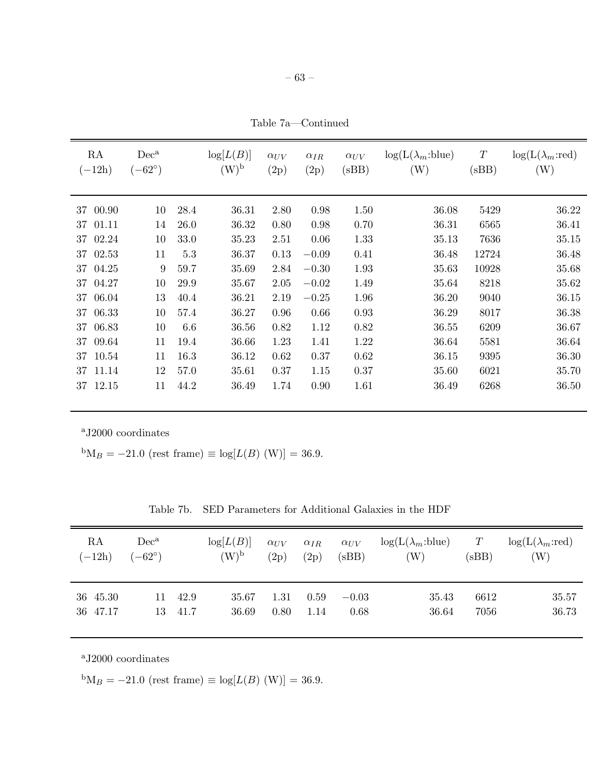– 63 –

Table 7a—Continued

| RA<br>$(-12h)$ | $Dec^a$<br>$(-62^{\circ})$ |      | log[L(B)]<br>$(W)^{b}$ | $\alpha_{UV}$<br>(2p) | $\alpha_{IR}$<br>(2p) | $\alpha_{UV}$<br>(sBB) | $log(L(\lambda_m:blue))$<br>(W) | $\boldsymbol{T}$<br>(sBB) | $log(L(\lambda_m:red))$<br>(W) |
|----------------|----------------------------|------|------------------------|-----------------------|-----------------------|------------------------|---------------------------------|---------------------------|--------------------------------|
| 00.90<br>37    | 10                         | 28.4 | 36.31                  | 2.80                  | 0.98                  | 1.50                   | 36.08                           | 5429                      | 36.22                          |
| 01.11<br>37    | 14                         | 26.0 | 36.32                  | 0.80                  | 0.98                  | 0.70                   | 36.31                           | 6565                      | 36.41                          |
| 02.24<br>37    | 10                         | 33.0 | 35.23                  | 2.51                  | 0.06                  | 1.33                   | 35.13                           | 7636                      | 35.15                          |
| 02.53<br>37    | 11                         | 5.3  | 36.37                  | 0.13                  | $-0.09$               | 0.41                   | 36.48                           | 12724                     | 36.48                          |
| 37<br>04.25    | 9                          | 59.7 | 35.69                  | 2.84                  | $-0.30$               | 1.93                   | 35.63                           | 10928                     | 35.68                          |
| 37<br>04.27    | 10                         | 29.9 | 35.67                  | 2.05                  | $-0.02$               | 1.49                   | 35.64                           | 8218                      | 35.62                          |
| 06.04<br>37    | 13                         | 40.4 | 36.21                  | 2.19                  | $-0.25$               | 1.96                   | 36.20                           | 9040                      | 36.15                          |
| 06.33<br>37    | 10                         | 57.4 | 36.27                  | 0.96                  | 0.66                  | 0.93                   | 36.29                           | 8017                      | 36.38                          |
| 06.83<br>37    | 10                         | 6.6  | 36.56                  | 0.82                  | 1.12                  | 0.82                   | 36.55                           | 6209                      | 36.67                          |
| 09.64<br>37    | 11                         | 19.4 | 36.66                  | 1.23                  | 1.41                  | 1.22                   | 36.64                           | 5581                      | 36.64                          |
| 10.54<br>37    | 11                         | 16.3 | 36.12                  | 0.62                  | 0.37                  | 0.62                   | 36.15                           | 9395                      | 36.30                          |
| 11.14<br>37    | 12                         | 57.0 | 35.61                  | 0.37                  | 1.15                  | 0.37                   | 35.60                           | 6021                      | 35.70                          |
| 12.15<br>37    | 11                         | 44.2 | 36.49                  | 1.74                  | 0.90                  | 1.61                   | 36.49                           | 6268                      | 36.50                          |

 ${}^{\text{b}}\text{M}_B = -21.0$  (rest frame)  $\equiv \log[L(B) \text{ (W)}] = 36.9.$ 

| Table 7b. SED Parameters for Additional Galaxies in the HDF |  |  |  |  |  |  |
|-------------------------------------------------------------|--|--|--|--|--|--|
|-------------------------------------------------------------|--|--|--|--|--|--|

| RA       | $Dec^a$         |      | log[L(B)] | $\alpha_{UV}$ | $\alpha_{IR}$ | $\alpha_{UV}$ | $log(L(\lambda_m:blue))$   | T     | $log(L(\lambda_m:red))$ |
|----------|-----------------|------|-----------|---------------|---------------|---------------|----------------------------|-------|-------------------------|
| $(-12h)$ | $(-62^{\circ})$ |      | $(W)^{b}$ | (2p)          | (2p)          | (sBB)         | $\left( \mathrm{W}\right)$ | (sBB) | W)                      |
| 36 45.30 | 11.             | 42.9 | 35.67     | 1.31          | 0.59          | $-0.03$       | 35.43                      | 6612  | 35.57                   |
| 36 47.17 | 13              | 41.7 | 36.69     | 0.80          | 1.14          | 0.68          | 36.64                      | 7056  | 36.73                   |

<sup>a</sup>J2000 coordinates

 ${}^{b}M_{B} = -21.0$  (rest frame)  $\equiv \log[L(B) \text{ (W)}] = 36.9.$